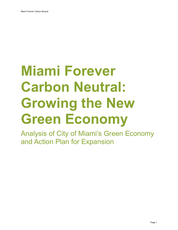# **Miami Forever Carbon Neutral: Growing the New Green Economy**

Analysis of City of Miami's Green Economy and Action Plan for Expansion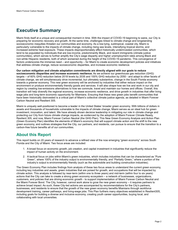# **Executive Summary**

Miami finds itself at a unique and consequential moment in time. With the impact of COVID-19 beginning to wane, our City is preparing for economic recovery and growth. At the same time, challenges linked to climate change and longstanding socioeconomic inequities threaten our communities and economy. As a low-lying, subtropical, coastal city, Miami is particularly vulnerable to the impacts of climate change, including rising sea levels, intensifying tropical storms, and increased extreme heat exposure. These impacts disproportionately effect historically underinvested communities, which tend to be populated by individuals that are low-income, predominantly Black, and recent immigrants (climate justice communities), which serves to further amplify the City's wage disparity and higher unemployment rates among Black and non-white Hispanic residents, both of which worsened during the height of the COVID-19 pandemic. This convergence of factors underscores the immense need – and opportunity – for Miami to create economic development policies and initiatives that address climate change, reduce socioeconomic disparities, and increase economic resilience.

**Our carbon mitigation and climate adaptation commitments are directly aligned with our goals to reduce socioeconomic disparities and increase economic resilience.** As we achieve our greenhouse gas reduction (GHG) targets – of 60% GHG reduction below 2018 levels by 2035 and 100% GHG reduction by 2050 - and adapt to other facets of climate change, we will simultaneously drive incremental, but ultimately substantive, change in the South Florida economy towards a greener economy. This new green economy will be anchored by industries that either reduce impact on the environment or produce environmentally friendly goods and services. It will also shape how we live and work in our city and region by creating low-emissions alternatives to how we commute, travel and maintain our homes and offices. Overall, this transition will help diversify the regional economy, increase economic resilience, and drive growth in industries that offer living wage jobs and long-term economic opportunity for Miamians. Ensuring that these new green jobs benefit communities that have been historically disinvested is a critical part of Miami's collective climate justice agenda, as detailed in Miami Forever Carbon Neutral and Resilient 305.

Miami is uniquely well-positioned to become a leader in the United States' broader green economy. With billions of dollars in assets and thousands of households vulnerable to the impacts of climate change, Miami serves as an ideal hub for green investment, innovation, and talent. We have already shown decisive leadership in mitigating our role in climate change and protecting our City from future climate change impacts, as evidenced by the adoption of Miami Forever Climate Ready, Resilient 305, and now, Miami Forever Carbon Neutral (the GHG Plan). This New Green Economy Analysis and Action Plan (Green Economy Plan) identifies the elements of Miami's economy that will support climate action and the shift to the new green economy, and outlines strategies that the City, our partners, and residents, can pursue to ensure that the transition to a carbon-free future benefits all of our communities.

### **About this Report**

This report builds on 20 years of research to advance a refined view of the now emerging "green economy" across South Florida and the City of Miami. Two focus areas are included:

- 1. A broad focus on economic growth, job creation, and capital investment in industries that significantly reduce the impact of human activity on the environment.
- 2. A tactical focus on jobs within Miami's green industries, which includes industries that can be characterized as "Pure Green", where 100% of the industry output is environmentally friendly, and "Partially Green," where a portion of the industry's output is environmentally friendly (such as the automobile and building construction industries).

The Green Economy Plan includes findings from analysis of these two focus areas to understand the current green economy, including key industries and assets, green industries that are poised for growth, and occupations that will be impacted by climate action. This analysis is followed by near-term (within one to three years) and mid-term (within four to six years) actions that the City can take to create a strong green economy ecosystem – a network of businesses, organizations, customers, and policies that are driving economic growth - to support implementation of Miami Forever Carbon Neutral and the Miami Forever Bond. The City, however, cannot work alone to grow the new green economy – it requires partners to achieve broad impact. As such, these City-led actions are accompanied by recommendations for the City's partners, businesses, and residents to ensure that the growth of the new green economy benefits Miamians through workforce development training, career pathways, and living-wage jobs. This Plan furthers many objectives established in Resilient305, including goals for building a diverse and inclusive economy, creating youth career opportunities, buying local, and collaborating with local universities.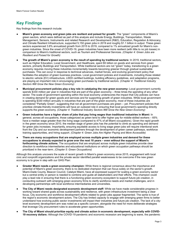# **Key Findings**

Key findings from this research include:

- **Miami's green economy and green jobs are resilient and poised for growth:** The "green" components of Miami's green sectors, which were defined as part of this analysis and include Energy, Buildings, Transportation, Waste Management, Sensors, Instruments and related Research and Development (R&D), Education, Regulation & Advocacy, and Climate Resilient Infrastructure, supported 5,150 green jobs in 2019 and roughly \$1.1 billion in output. These green sectors experienced 3.8% annualized growth from 2015 to 2019, compared to 1% annualized growth for Miami's nongreen industries. Since the onset of COVID-19, green industries have been more resilient (with little to no job losses) in comparison to Miami's traditional sectors, such as Tourism and Professional Services. *(Chapter 4: [Green Jobs are](#page-13-0)  [Resilient and Poised for Growth\)](#page-13-0)*
- The growth of Miami's green economy is the result of spending by traditional sectors: In 2019, traditional sectors, such as Higher Education, Local Government, and Healthcare, spent \$5 billion on goods and services from green sectors, primarily Buildings and Transportation. While traditional sectors are not "green" today, transitioning to a green economy requires moving these industries incrementally towards becoming greener through gradual sustainable purchases. This can occur in response to technical advances, market forces, and evolving government policy that facilitates the adoption of green business practices. Local government policies and investments, including those related to electric vehicle (EV) infrastructure, LEED certified buildings, building efficiency guidelines, and adaptation programs, are playing an important role in encouraging green purchases by traditional sectors. *(Chapter 4: [Traditional Industry](#page-15-0)  [Sectors Will Grow the New Green Economy\)](#page-15-0)*
- **Municipal procurement policies play a key role in catalyzing the new green economy:** Local government currently spends \$330 million per year in industries that are part of the green economy – three times the spending of any other sector. The scale of government spending within the local economy underscores the impact that City policies can have in creating demand for green goods and services and for supporting growth of green industries. While local government is spending \$330 million annually in industries that are part of the green economy, most of these industries are considered "Partially Green", suggesting that not all government purchases are green – yet. Procurement policies that prioritize climate-friendly investments will have an outsized role in ensuring that local government's spending directly supports the green economy. *(Chapter 4: [Traditional Industry Sectors Will Grow the New Green Economy\)](#page-15-0)*
- **Green industries have a higher share of jobs that pay living wages than traditional industries in Miami:** In general, across all occupations, those categorized as green tend to offer higher pay for middle-skilled workers – 65% have a median wage greater than the living wage (compared to 47% of all Miami occupations). Given the rapid growth in the green economy since 2010, the median wage of green jobs has the potential to climb as spending and demand for green jobs increases. Importantly, ensuring equitable access to living wage green jobs will require intentional work from the City and our economic development partners through the development of green career pathways, workforce training opportunities, and hiring support. *(Chapter 4: [Green Jobs Are Higher Paying and More Accessible\)](#page-17-0)*
- **There are many occupations that are employed across multiple green industries and demand for these occupations is already expected to grow over the next 10 years – even without the support of Miami's forthcoming climate actions.** The occupations that are employed across multiple green industries provide clear direction to workforce intermediaries and educational institutions on which green occupation pathways should be prioritized in the near-term. *[\(Chapter 5: Green Occupations\)](#page-18-0)*

Although this analysis uncovers the scale of recent growth in Miami's green economy since 2015, engagement with local civic and nonprofit organizations and the private sector identified parallel weaknesses to be overcome if the new green economy is to grow in step with our GHG Plan:

- Greater Miami needs a green economy champion: While there is regional consensus about the importance and potential of Miami's green economy, there is no dedicated champion that can focus solely on the sector's growth. Miami-Dade County, Beacon Council, Catalyst Miami, have all expressed support for scaling a green economy sector but a central entity or person is needed to combine and guide all stakeholders and their efforts. This champion could play a lead role in ensuring that there is a functioning green economy ecosystem to support future job creation, in conducting outreach with emerging green economy firms to clarify workforce needs and market challenges, and in developing partnerships with local workforce intermediaries and universities.
- **The City of Miami needs designated economic development staff:** While we have made considerable progress in working toward shared goals across sustainability and resilience, with green infrastructure investment being a clear focus, City economic and workforce development efforts related to green jobs appear fragmented. The same is true of the region's economic development actors. The City has limited capacity to engage with emerging green firms to better understand how evolving public sector investments will impact their industries and future job creation. The lack of a citylevel economic development arm was noted as a specific concern, alongside the need for more deliberate strategies that leverage City procurement rules to accelerate green opportunities.
- **The City of Miami should prioritize equity and climate action in economic development, especially with COVID-19 recovery dollars:** Although the COVID-19 pandemic and economic recession are beginning to wane, the pandemic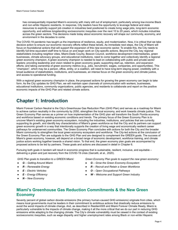has consequentially impacted Miami's economy with many still out of employment, particularly among low-income Black and non-white Hispanic residents. In response, City leaders have the opportunity to leverage federal and state resources to explicitly support job creation in industries best positioned to create living wage jobs, long-term economic opportunity, and address longstanding socioeconomic inequities over the next 10 to 20 years, which includes industries across the green sectors. The decisions made today about economic recovery will shape our community, economy, and environment in the decades to come.

The COVID-19 pandemic has taught us the importance of resilience, equity, and modernization. Now, it is critical that we take decisive action to ensure our economic recovery efforts reflect these tenets. As immediate next steps, the City of Miami will focus on foundational actions that will support the expansion of this new economic sector. To enable this, the City needs to identify full-time equivalent staff time to focus on and begin work on City-specific actions. Beyond the City, key regional stakeholders including neighbor cities, Miami-Dade County, Beacon Council, workforce development intermediaries, green businesses, climate advocacy groups, and educational institutions, need to come together and collectively identify a regional green economy champion. A green economy champion is needed to lead on collaborating with public and private sector leaders; providing leadership and vision related to green economy goals; supporting start-up, retention, and expansion efforts; and taking ownership of green economy metrics (e.g., jobs, recruitment, wages, companies, and opportunities). This "champion", which may be a person, office, entity, or a coalition, will need to have long-term staying power, credibility with a broad audience of stakeholders, institutions, and businesses, an intense focus on the green economy and climate justice, and access to operational funding.

With a regional green economy champion in place, the proposed actions for growing the green economy can begin to take form. As the City updates its GHG Plan, we will maintain open channels of communication with workers, businesses, educational institutions, community organizations, public agencies, and residents to collaborate and report on the positive economic impacts of the GHG Plan and related climate actions.

# **Chapter 1: Introduction**

Miami Forever Carbon Neutral is the City's Greenhouse Gas Reduction Plan (GHG Plan) and serves as a roadmap for Miami to achieve carbon neutrality in the community by 2050, strengthen the local economy, and work towards climate justice. This Green Economy Plan serves as a primer on how implementation of the GHG plan will transform the South Florida economy and workforce based on existing economic conditions and trends. The primary focus of the Green Economy Plan is to uncover Miami's existing green economy ecosystem, including the industries, institutions, and policies that are currently supporting its growth, and identify key characteristics of Miami's green workforce so that the City and its partners can support green economic growth in a way that intentionally supports the creation of living wage and economically resilient career pathways for underserved communities. The Green Economy Plan concludes with actions for both the City and the broader Miami community to strengthen the local green economy ecosystem and workforce. The City-led actions at the conclusion of the Green Economy Plan are subgoals to the GHG Plan and are designed to complement the GREEN goals. The success of Miami's green economy, however, will depend on a broad range of economic development, workforce training, and climate justice actors working together towards a shared vision. To that end, the green economy plan goals are accompanied by proposed actions to be led by partners. These goals and actions are discussed in detail in Chapter 6.

Pursuing both goals in tandem will result in economic progress that is sustainable, resilient, inclusive, and equitable – delivering a green and just recovery from the COVID-19 crisis (Garcetti, et al., 2020).

- 
- 
- 
- 
- *N – New Economy*

*GHG Plan goals to transition to a GREEN Miami: Green Economy Plan goals to support the new green economy:*

- *G – Getting Around Miami G – Grow the Green Economy Ecosystem*
- *R – Renewable Energy R – Recruit and Retain a Green Workforce*
- *E – Electric Vehicles O – Open Occupational Pathways*
	- *E – Energy Efficiency W – Welcome and Support Green Industry*

### **Miami's Greenhouse Gas Reduction Commitments & the New Green Economy**

Seventy percent of global carbon dioxide emissions (the primary human-caused GHG emissions) originate from cities, which means local governments must be leaders in their commitment to ambitious actions that drastically reduce emissions to avoid the worst impacts of climate change. And, as described in Resilient305 and Miami Forever Climate Ready, Miami is particularly vulnerable to the impacts of climate change, making it all the more critical that we do our part in reducing GHG emissions while adapting to the changing climate. The City's climate vulnerability must be viewed in the context of existing socioeconomic inequities, such as wage disparity and higher unemployment rates among Black or non-white Hispanic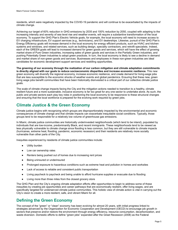residents, which were negatively impacted by the COVID-19 pandemic and will continue to be exacerbated by the impacts of climate change.

Achieving our target of 60% reduction in GHG emissions by 2035 and 100% reduction by 2050, coupled with adapting to the increasing intensity and severity of sea level rise and weather events, will require a substantive transformation of the local economy. To support the GHG Plan's Electric Vehicle goals, for example, the local economy will need to increase access to EV charging infrastructure, EV support services (e.g., technicians), and EV dealerships. Likewise, pursuit of the GHG Plan's Energy Efficiency goals will increase demand in the local economy for energy efficient products, such as HVAC and kitchen systems and windows, and related services, such as building design, specialty contractors, and retrofit specialists. Indeed, each of the GREEN goals will lead to increased demand for green goods and services, which will have the effect of growing market share of Pure Green industries, increasing sales of green goods and services in the Partially Green industries, and pushing Potentially Green industries to adopt green practices. In turn, the local economy is likely to see a decline in demand and market share of non-green goods and services. Businesses and employees in these non-green industries are ideal candidates for economic development support services and reskilling opportunities.

**The greening of our economy through the realization of our carbon mitigation and climate adaptation commitments is directly aligned with our goals to reduce socioeconomic disparities and increase economic resilience.** This new green economy will diversify the regional economy, increase economic resilience, and create demand for living-wage jobs that are less susceptible to the economic shocks of weather events and global pandemics. Ensuring that these new, green living wage jobs benefit communities that have been historically disinvested is a critical part of our collective climate justice goals.

The scale of climate change impacts facing the City and the mitigation actions needed to transition to a healthy, climate resilient future and a more sustainable, inclusive economy is far too great for any one sector to undertake alone. As such, the public and private sectors each play key roles in positioning the local economy to be responsive to these structural changes and ensuring that the local workforce is prepared for the evolving work required by green jobs.

### **Climate Justice & the Green Economy**

Climate justice begins with recognizing which groups are disproportionately impacted by the environmental and economic consequences of climate change and that climate impacts can exacerbate inequitable social conditions. Typically, those groups tend to be responsible for a relatively low volume of greenhouse gas emissions.

In Miami, climate justice communities are historically underinvested neighborhoods (which tend to be inland), populated by individuals that are low-income, predominantly Black, and recent immigrants. These neighborhoods tend to be viewed as less physically vulnerable to climate change since flooding is less common, but they are still vulnerable to climate impacts (hurricanes, extreme heat, flooding, pandemic, economic recession) and their residents are relatively more socially vulnerable than other parts of the City.

Inequities experienced by residents of climate justice communities include:

- **Utility burden**
- Low car ownership rates
- Renters being pushed out of homes due to increasing rent prices
- Being uninsured or underinsured
- Prolonged exposure to hazardous conditions such as extreme heat and pollution in homes and worksites
- Lack of access to reliable and consistent public transportation
- Living paycheck to paycheck and being unable to afford hurricane supplies or evacuate due to flooding
- Living more than three miles from the closest grocery store

The GHG Plan and the City's ongoing climate adaptation efforts offer opportunities to begin to address some of these inequities by creating job opportunities and career pathways that are economically resilient, offer living wages, and are specifically targeted for underserved climate justice communities. This holistic view of climate action is vital in carrying out the City's vision to create a more resilient, safe, and vibrant Miami for all.

### **Defining the Green Economy**

The concept of the "green" or "clean" economy has been evolving for almost 20 years, with initial progress linked to strategies advanced by the Organization for Economic Cooperation and Development (OECD) to encourage job growth in sectors that preserve and/or restore the environment through energy efficiency, resource consumption, decarbonization, and waste diversion. Domestic efforts to define "green jobs" expanded after the Great Recession (2008) as the Federal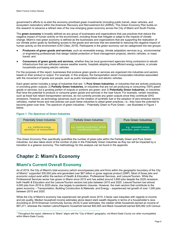government's efforts to re-start the economy prioritized green investments (including public transit, clean vehicles, and ecosystem restoration) within the American Recovery and Reinvestment Act (ARRA). This Green Economy Plan builds on this research to advance a refined view of the now emerging green economy across the City of Miami and South Florida.

The **green economy** is broadly defined as any group of businesses and organizations that use practices that reduce the negative impact of human activity on the environment, including those that mitigate or adapt to the impacts of climate change. Miami's new green economy is defined as the businesses and organizations that are supporting the realization of our climate action goals by facilitating access to the goods and services that are essential to reducing the negative impact of human activity on the environment (C40 Cities, 2019). Participants in the green economy can be categorized into two groups:

- **Producers of green goods and services**, such as renewable energy, climate adaptation services (e.g., environmental or engineering professionals that design habitat protection or flood management projects), electric vehicles, or mass transit; and
- **Consumers of green goods and services**, whether they be local government agencies hiring contractors to rebuild infrastructure that can withstand severe weather events, hospitals adopting more efficient energy systems, or private households purchasing electric vehicles.

For the purposes of this report, businesses that produce green goods or services are organized into industries and sectors based on their product or output. For example, in this analysis, the transportation sector incorporates industries associated with the movement of goods and people, such as public transportation and electric vehicles.

Each green sector includes a range of industries that are: 1) **Pure Green Industries**, or industries that are actively producing or providing green outputs; 2) **Partially Green Industries**, or industries that are not yet producing or consuming 100% green goods or services, but a growing portion of outputs or portions are green; and 3) **Potentially Green Industries**, or industries that have the potential to produce or consume green goods and services in the near future. For example, certain industries, such as fossil fuel reliant transportation services, do not currently provide any green outputs since they contribute GHG emissions. However, as technology advances (such as the creation of synthetic fuel or the adoption of zero-emission electric vehicles), market forces and new policies can push these industries to adopt green practices, i.e., they have the *potential* to become green over time. The spectrum of green industries – Potentially Green to Pure Green – are illustrated in Figure 1 below.

#### **Figure 1. The Spectrum of Green Industries**



This Green Economy Plan specifically quantifies the number of green jobs within the Partially Green and Pure Green industries, but also takes stock of the number of jobs in the Potentially Green industries as they too will be impacted by a transition to a greener economy. The methodology for this analysis can be found in the appendix.

# **Chapter 2: Miami's Economy**

### **Miami's Current Overall Economy**

As of 2019, the City of Miami's total economy (which encompasses jobs and firms within the geographic boundary of the City of Miami)[1](#page-5-0) supported 300,000 jobs and generated over \$67 billion in gross regional product (GRP). Most of those jobs and economic output exist within the sectors of Health & Education, Professional Services, and Leisure/Tourism. While the Professional Services sector has grown in Miami since 2015 and has added around 3,800 jobs despite the 2020 recession, both Health & Education and the Leisure/Tourism sectors lost jobs between 2015 and 2020. Leisure/Tourism lost almost 4,000 jobs from 2019 to 2020 alone, due largely to pandemic closures. However, the main sectors that contribute to the green economy – Transportation, Building Construction & Materials, and Energy – experienced net growth of over 1,000 jobs between 2015 and 2020.

While the City of Miami's economy has experienced net growth since 2015, it faces vast inequities with regards to income and job quality. Median household income estimates alone depict stark wealth disparity in terms of a householder's race. According to 2019 American Community Survey (ACS) 5-year estimates, the median white household earned an income of \$97,271, whereas the median Latino/Hispanic household earned \$40,925 and Black household earned \$29,462 (US Census

<span id="page-5-0"></span><sup>&</sup>lt;sup>1</sup> Throughout this report, reference to "Miami" aligns with the "City of Miami" geography, not Miami-Dade County nor other municipalities within Miami-Dade County.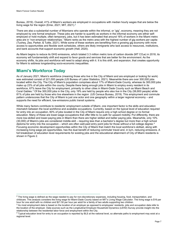Bureau, 2019). Overall, 41% of Miami's workers are employed in occupations with median hourly wages that are below the living wage for the region (Emsi, 2021; MIT, 2021).[2](#page-6-0)

There are also a substantial number of Miamians who operate within the informal, or "gig", economy, meaning they are not employed by one formal employer. These jobs are harder to quantify as workers in the informal economy are either selfemployed or hold multiple, often temporary, jobs, but it has been estimated that around 16% of workers in the Miami metro area are in "non-employer relationships." Miami ranks as the metro area with the highest number of gig workers per capita (Tuohey, Zea, Parker, & Tuttle, 2021). While some of these workers are benefiting from a growing gig economy with more access to opportunities and flexible work schedules, others are likely immigrants who lack access to resources, institutions, and bank accounts that support economic growth (Hall, 2020).

As Miami begins to reduce its GHG emissions, which totaled 3.3 million metric tons of carbon dioxide (MT CO<sub>2</sub>e) in 2018, its economy will fundamentally shift and expand to favor goods and services that are better for the environment. As the economy shifts, its jobs and workforce will need to adapt along with it. It is this shift, and expansion, that creates opportunity for Miami to address longstanding socio-economic inequalities.

### **Miami's Workforce Today**

As of January 2021, Miami's workforce (meaning those who live in the City of Miami and are employed or looking for work) was estimated consist of 221,000 people (US Bureau of Labor Statistics, 2021). Meanwhile there are over 300,000 jobs located within the City. The City of Miami's population comprises about 17% of Miami-Dade County, whereas its 300,000 jobs make up 23% of all jobs within the county. Despite there being enough jobs in Miami to employ every resident in its workforce, 67% leave the City for employment, primarily to other cities in Miami-Dade County such as Miami Beach and Coral Gables. [3](#page-6-1) Of the 300,000 jobs in the City, only 19% are held by people who also live in the City (56,800 people) while 81% of jobs are held by those who live elsewhere in the region (US Census Bureau, 2019). This employment and commute pattern underscores that the City of Miami is just one actor and one geography within a larger regional economy – and supports the need for efficient, low-emissions public transit systems.

While many factors contribute to residents' employment outside of Miami, one important factor is the skills and education mismatch between the local workforce and available occupations. Currently, based on the typical level of education required for entry into an occupation, 60% of jobs located in the City of Miami require only a high school degree or no formal education. Many of these are lower-wage occupations that offer little to no path for upward mobility. Put differently, there are more low-skilled and lower-paying jobs in Miami than there are higher skilled and better paying jobs. Meanwhile, only 10% (30,000) of Miami's jobs are considered middle-skill – requiring less than a bachelor's degree but more than a high school diploma for entry into the occupation – which are often well-paid entry point jobs for those without a full college degree. $^4\,$  $^4\,$  $^4\,$ Focusing economic development opportunities within the City of Miami that match the local workforce's skillset, along with increasing living wage job opportunities, has the dual benefit of reducing commuter travel and, in turn, reducing emissions. A full breakdown of education level requirements for existing jobs and the educational attainment of City of Miami residents is shown i[n Figure 2.](#page-7-0)

<span id="page-6-0"></span> $2$  The living wage is defined as the wage needed to pay for non-discretionary expenses, including housing, food, transportation, and childcare. This analysis considers the living wage for Miami-Dade County based on MIT's Living Wage Calculator. The living wage is \$16 per hour for one adult with no children and \$21.50 per hour per adult for a family of two adults supporting two children.

<span id="page-6-1"></span> $3$  As most employment data is based on the location of an employer as opposed to employees' residents, jobs and occupation data refer to the location of the employer. Data sources such as the Longitudinal Employer-Household Dynamics (LEHD) Survey provide insight into the relationship between the residential labor force and employment within the City.

<span id="page-6-2"></span> $4$  Typical education level for entry to an occupation is reported by BLS at the national level, so alternate paths to employment may exist at a regional level.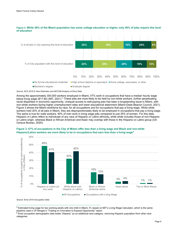

<span id="page-7-0"></span>**Figure 2. While 50% of the Miami population has some college education or higher, only 40% of jobs require this level of education**

*Source: ACS 2019 5-Year Estimates and AECOM Analysis of Emsi Data*

Among the approximately 300,000 workers employed in Miami, 47% work in occupations that have a median hourly wage below living wage (\$17.90) (MIT, 2021).<sup>[5](#page-7-1)</sup> These jobs are more likely to be held by non-white workers, further perpetuating racial disparities in economic opportunity. Unequal access to well-paying jobs has been a longstanding issue in Miami, with non-white workers facing higher unemployment rates and lower educational attainment (Miami-Dade Beacon Council, 2021). Figure 3 shows the Miami workforce by race, for all occupations and for occupations that pay a living wage. While white workers hold 32% of all jobs in Miami, they are disproportionately likely to be employed in occupations that pay a living wage. The same is true for male workers: 40% of men work in living wage jobs compared to just 35% of women. For this data, Hispanic or Latino refers to individuals of any race of Hispanic or Latino ethnicity, while white includes those of non-Hispanic or Latino origin, whereas Black or African American and Asian may overlap with those in the Hispanic or Latino group (US Census Bureau, 2020).



**Figure 3. 47% of occupations in the City of Miami offer less than a living wage and Black and non-white Hispanic/Latino workers are more likely to be in occupations that earn less than a living wage[6](#page-7-2)**

*Source: Emsi 2019 Occupation Data* 

<span id="page-7-1"></span><sup>5</sup> Estimated living wage for two working adults with one child in Miami, FL based on MIT's Living Wage Calculator, which is the same baseline used in JP Morgan's "Trading on Innovation to Expand Opportunity" report.

<span id="page-7-2"></span> $6$  Emsi occupation demographic data treats 'Hispanic' as an additional race category, removing Hispanic population from other race categories.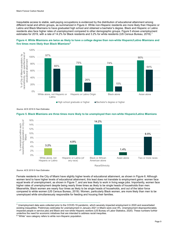Inequitable access to stable, well-paying occupations is evidenced by the distribution of educational attainment among different racial and ethnic groups, as summarized in Figure 4. White non-Hispanic residents are more likely than Hispanic or Latino and Black Miamians to have graduated high school and obtained a bachelor's degree. Black and Hispanic or Latino residents also face higher rates of unemployment compared to other demographic groups[. Figure 5](#page-8-0) shows unemployment estimates for 2019, with a rate of 14.2% for Black residents and 3.2% for white residents (US Census Bureau, 2019). $^7$  $^7$ 





*Source: ACS 2019 5-Year Estimates*

<span id="page-8-0"></span>



*Source: ACS 2019 5-Year Estimates*

Female residents in the City of Miami have slightly higher levels of educational attainment, as shown in [Figure 6.](#page-9-0) Although women tend to have higher levels of educational attainment, this lead does not translate to employment gains: women face equal levels of unemployment, as shown in [Figure 7,](#page-9-1) and are less likely to work in living wage jobs. Importantly, women face higher rates of unemployment despite being nearly three times as likely to be single heads of households than men. Meanwhile, Black women are nearly four times as likely to be single heads of households, and out of the labor force compared to white women (US Census Bureau, 2019). Women, particularly Black women, are more likely than men to be unemployed while simultaneously responsible for feeding and housing their families.

<span id="page-8-1"></span><sup>&</sup>lt;sup>7</sup> Unemployment data were collected prior to the COVID-19 pandemic, which severely impacted employment in 2020 and exacerbated existing inequalities. Preliminary estimates for unemployment in January 2021 in Miami were over 8%. Unemployment disproportionately impacted people in service jobs and Black and non-white Hispanic workers (US Bureau of Labor Statistics, 2020). These numbers further underline the need for economic initiatives that are intended to address racial inequities.

<span id="page-8-2"></span><sup>&</sup>lt;sup>8</sup> "White" race category refers to white non-Hispanic population.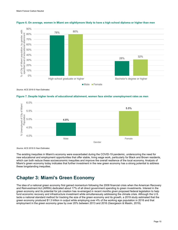

#### <span id="page-9-0"></span>**Figure 6. On average, women in Miami are slightlymore likely to have a high school diploma or higher than men**

*Source: ACS 2019 5-Year Estimates*

#### <span id="page-9-1"></span>**Figure 7. Despite higher levels of educational attainment, women face similar unemployment rates as men**



*Source: ACS 2019 5-Year Estimates*

The existing inequities in Miami's economy were exacerbated during the COVID-19 pandemic, underscoring the need for new educational and employment opportunities that offer stable, living wage work, particularly for Black and Brown residents, which can both reduce these socioeconomic inequities and improve the overall resilience of the local economy. Analysis of Miami's green economy today indicates that further investment in the new green economy has a strong potential to address these longstanding inequities.

# **Chapter 3: Miami's Green Economy**

The idea of a national green economy first gained momentum following the 2008 financial crisis when the American Recovery and Reinvestment Act (ARRA) dedicated about 17% of all direct government spending to green investments. Interest in the green economy and its potential for job creation has re-emerged in recent months given proposed federal legislation to help fund economic recovery and infrastructure investment while simultaneously addressing the climate crisis. Although the U.S. lacks a national standard method for tracking the size of the green economy and its growth, a 2019 study estimated that the green economy produced \$1.3 trillion in output while employing over 4% of the working age population in 2016 and that employment in the green economy grew by over 20% between 2013 and 2016 (Georgeson & Maslin, 2019).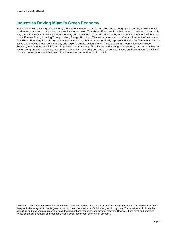# **Industries Driving Miami's Green Economy**

Industries driving a local green economy are different in each metropolitan area due to geographic context, environmental challenges, state and local policies, and regional economies. This Green Economy Plan focuses on industries that currently play a role in the City of Miami's green economy and industries that will be impacted by implementation of the GHG Plan and Miami Forever Bond, including Transportation, Energy, Buildings, Waste Management, and Climate Resilient Infrastructure. This Green Economy Plan also evaluates green industries that are not specifically represented in the GHG Plan but have an active and growing presence in the City and region's climate action efforts. These additional green industries include Sensors, Instruments, and R&D, and Regulation and Advocacy. The players in Miami's green economy can be organized into sectors, or groups of industries, that are connected by a shared green output or service. Based on these factors, the City of Miami's green sectors and their associated industries are outlined i[n Table 1.](#page-11-0) $^{\rm 9}$  $^{\rm 9}$  $^{\rm 9}$ 

<span id="page-10-0"></span><sup>9</sup> While this Green Economy Plan focuses on these dominant sectors, there are many small or emerging industries that are not included in the quantitative analysis of Miami's green economy due to the small size of this industry within city limits. These industries include urban agriculture and food sources, green business development and marketing, and disaster-recovery. However, these small and emerging industries are still a relevant and important, even if small, component of the green economy.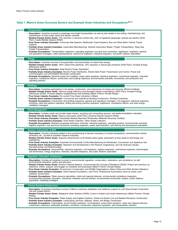#### <span id="page-11-0"></span>**Table 1. Miami's Green Economy Sectors and Example Green Industries and Occupations[10,](#page-11-1)[11](#page-11-2)**

#### **Transportation**

- **Description:** Industries involved in passenger and freight transportation as well as jobs related to the selling, manufacturing, and maintenance of mass public transit and electric vehicles.
- **Related Climate Action Goals:** 15% reduction in personal vehicle trips, 40% of registered passenger vehicles are electric (GHG Plan), Create Mobility Options (R305)
- **Pure Green Industry Examples:** Commuter Rail Systems, Multimodal Transit Systems, Bus and Other Motor Vehicle Transit **Systems**
- **Partially Green Industry Examples:** Automobile Manufacturing, General Automotive Repair, Freight Transportation, Deep Sea Freight Transportation

• **Example Occupations:** Transportation inspectors, operating engineers, bus and truck mechanics, logisticians, engineers, general and operations managers, sales representatives, electronics engineers, industrial engineers, and public relations specialists

#### **Energy**

- **Description:** Industries involved in the generation and transmission of carbon-free energy.
- **Related Climate Action Goals:** 100% carbon-free electricity, 35% reduction in natural gas emissions (GHG Plan), Increase Energy Efficiencies (R305)
- **Pure Green Industry Examples:** Solar Electric Power Generation
- **Partially Green Industry Examples:** Electric Power Distribution, Electric Bulk Power Transmission and Control, Power and Communication Line and Related Structures Construction

• **Example Occupations:** Electrical power line installers, power plant operators, electrical engineers, mechanical engineers, industrial engineers, compliance officers, construction and building inspectors, environmental scientists, economists, and production and operating workers

#### **Buildings**

- **Description:** Industries participating in the design, construction, and engineering of energy and resource efficient buildings.
- **Related Climate Action Goals:** Improve energy efficiency and decrease energy consumptions (GHG Plan), Increase Energy
- Efficiencies (R305), Promote adaptive neighborhoods and buildings (Miami Forever Climate Ready)
- **Pure Green Industry Examples:** No current Pure Green industries in Miami
- **Partially Green Industry Examples:** Commercial and Institutional Building Construction, Roofing Contractors
- **Example Occupations:** Construction and building inspectors, general and operations managers, civil engineers, electrical engineers, architects, plant and systems operators, drilling and boring machine operators, logisticians, compliance officers, and solar energy installation managers

#### **Waste Management**

- **Description:** Includes public and private waste haulers, recycling and composting services, and waste remediation industries.
- **Related Climate Action Goals:** Reduce solid waste (GHG Plan), Enhance Natural Systems (R305)
- **Pure Green Industry Examples:** Recyclable Material Merchant Wholesales, Materials Recovery Facilities
- **Partially Green Industry Examples:** Solid Waste Collection, Other Waste Collection
- **Example Occupations:** Biofuels processing technician, chemists, industrial engineers, operating workers, environmental scientists, logistics engineers, bus and truck mechanics, operating engineers, power plant operators, and training and development specialists

#### **Sensors, Instruments, & R&D**

- **Description:** Includes industries related to the manufacturing of devices necessary to monitor temperature, environmental controls, emissions, etc., as well as scientific research industries.
- **Related Climate Action Goals:** Supports advancement of all climate action goals, particularly as they relate to technology and engineering
- **Pure Green Industry Examples:** Automatic Environmental Control Manufacturing for Residential, Commercial, and Appliance Use • **Partially Green Industry Examples:** Research and Development in the Physical, Engineering, and Life Sciences (except
- Nanotechnology and Biotechnology)
- **Example Occupations:** Geoscientists, electrical engineers, civil engineers, logistics engineers, mechanical engineers, technologists and technicians, energy engineers, chemists, industrial designers, and public relations specialists

#### **Regulation, Education, & Advocacy**

- **Description:** Includes all industries involved in environmental regulation, conservation, restoration, and compliance, as well environmental education, justice and advocacy.
- **Related Climate Action Goals:** Enhance Natural Systems, Communicate the Concept of Resilience (R305), Protect and enhance our waterfront, Inform, prepare, and engage our residents and businesses (Miami Forever Climate Ready)
- **Pure Green Industry Examples:** Environment, Conservation and Wildlife Organizations, Nature Parks and Other Similar Institutions • **Partially Green Industry Examples:** Grant-making Foundations, Law Firms, Professional Associations (such as Urban Land Institute), Government
- **Example Occupations:** Water resource specialists, urban and regional planners, environmental compliance inspectors, environmental scientists, educators, hazardous materials removal workers, environmental economists, lawyers, public relations specialists, marketing managers

#### **Climate Resilient Infrastructure**

- **Description:** Comprises industries involved in Miami's extensive adaptation and resiliency projects to curb future threats of sea-level rise and coastal storms.
- **Related Climate Action Goals:** Safeguard Urban Systems (R305), Invest in resilient and smart infrastructure (Miami Forever Climate Ready)
- <span id="page-11-2"></span><span id="page-11-1"></span>• **Pure Green Industry Examples:** Water Supply and Irrigation Systems, Water and Sewer Line and Related Structures Construction
- **Partially Green Industry Examples:** Landscaping Services, Highway, Street, and Bridge Construction
- **Example Occupations:** Hydrologists, environmental engineers, civil engineers, power plant operators, urban and regional planners, construction inspectors, landscape architects, architects, construction equipment operators, and transportation planners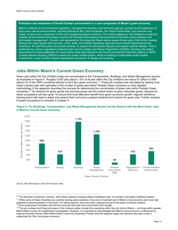#### **Protection and restoration of South Florida's environment is a core component of Miami's green economy.**

Miami's network of environmental regulators, management services, and advocacy groups, spurred by the adjacency of high-value natural environments, including Biscayne Bay, the Everglades, the Great Florida Reef, and beaches and ocean, is also a key component of the city's burgeoning green economy. This nature adjacency has fostered a small but notable environmental technology industry that includes technological advancements that track ocean pollution and stormwater management. Concern and appreciation for protecting these natural assets drives policy that further creates demand for green goods and services. Local, state, and federal regulatory agencies have issued requirements and incentives, for both the public and private sectors, to reduce environmental impacts and restore natural habitats. This is evidenced by various regulations impacting the County's Water and Sewer Department (WASD), including the state's requirement to treat wastewater for reuse rather deep well injections and the Environmental Protection Agency's (EPA) consent decree requiring WASD to amend its ocean outfall system, which is leading to multi-billion-dollar capital investments, many of which require specialized contractors to design and execute.

### **Jobs Within Miami's Current Green Economy**

Green jobs within the City of Miami today are concentrated in the Transportation, Buildings, and Waste Management sectors, as illustrated in [Figure 8](#page-12-0) . Roughly 5,000 jobs (about 1.5% of all jobs within the City of Miami) and about \$1 billion in GRP (about 2% of the GRP) contribute directly to the City's green economy.[12](#page-12-1) These job numbers are calculated by totaling Pure Green industry jobs with estimates of the number of green jobs within Partially Green industries (a more detailed methodology in the appendix describes the process for determining the concentration of green jobs within Partially Green Industries).[13](#page-12-2) As demand for green goods and services grows and the market share of green industries grows, demand for these occupations will also grow. To ensure that local Miamians benefit from green economic growth, regional workforce training actors will need to adapt and expand their curricula to prepare students and workers for green jobs. Further analysis of green occupations is included in Chapter 4.



#### <span id="page-12-0"></span>**Figure 8. The Buildings, Transportation, and Waste Management Sectors are the Sectors with the Most Green Jobs in Miami's Current Green Economy**

*Source: AECOM Analysis, Emsi 2019 Industry Data*

<span id="page-12-1"></span> $12$  Emsi employment considers both full time and part time jobs and counts them both equally.

<sup>&</sup>lt;sup>10</sup> The electrical contractors' industry, which likely captures charging station installation jobs, is included in the green buildings clusters. <sup>11</sup> While some of these industries are currently lacking green practices, they are an important part of Miami's local economy and have high potential to become greener in the future. For these reasons, they have been captured as part of the green economy analysis.

<span id="page-12-2"></span> $13$  The job numbers and financial values in this Analysis solely include firms operating within the city limits of Miami – not those within greater Miami-Dade County nor neighboring municipalities. However, it is important to acknowledge that Miami's local economy is influenced by regional economic forces within Miami-Dade County and Southeast Florida, and that regional supply and demand also play a role in supporting the City's local green economy.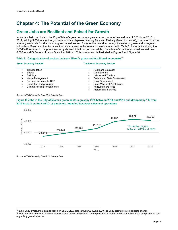# **Chapter 4: The Potential of the Green Economy**

### <span id="page-13-0"></span>**Green Jobs are Resilient and Poised for Growth**

Industries that contribute to the City of Miami's green economy grew at a compounded annual rate of 3.8% from 2015 to 2019, adding 5,600 jobs (although these jobs are dispersed among Pure and Partially Green industries), compared to a 1% annual growth rate for Miami's non-green industries and 1.4% for the overall economy (inclusive of green and non-green industries). Green and traditional sectors, as analyzed in this research, are summarized i[n Table 2.](#page-13-1) Importantly, during the COVID-19 recession, the green economy showed little to no job loss while jobs in Miami's traditional industries lost over 6,000 jobs (US Bureau of Labor Statistics, 2021). [14](#page-13-3) This comparison is illustrated in [Figure 9](#page-13-2) and [Figure 10.](#page-14-0)

#### <span id="page-13-1"></span>**Table 2. Categorization of sectors between Miami's green and traditional economies[15](#page-13-4)**

#### **Green Economy Sectors Traditional Economy Sectors**

• Transportation **Energy Buildings** • Waste Management Sensors, Instruments, R&D • Regulation and Advocacy • Climate Resilient Infrastructure • Heath and Education **Manufacturing** Leisure and Tourism **Federal and State Government** Local Government • Retail/Wholesale/Distribution • Agriculture and Food • Professional Services

#### *Source: AECOM Analysis, Emsi 2019 Industry Data*

#### <span id="page-13-2"></span>**Figure 9. Jobs in the City of Miami's green sectors grew by 20% between 2014 and 2019 and dropped by 1% from 2019 to 2020 as the COVID-19 pandemic impacted business sales and operations**



*Source: AECOM Analysis, Emsi 2019 Industry Data*

<span id="page-13-3"></span><sup>&</sup>lt;sup>14</sup> Emsi 2020 employment data is based on BLS QCEW data through Q2 (June 2020), so 2020 estimates are subject to change.

<span id="page-13-4"></span><sup>&</sup>lt;sup>15</sup> Traditional economy sectors were identified as all other sectors that have a presence in Miami that do not have a large component of pure or partially green industries.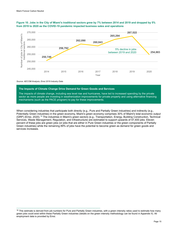

#### <span id="page-14-0"></span>**Figure 10. Jobs in the City of Miami's traditional sectors grew by 7% between 2014 and 2019 and dropped by 5% from 2019 to 2020 as the COVID-19 pandemic impacted business sales and operations**

*Source: AECOM Analysis, Emsi 2019 Industry Data*

#### **The Impacts of Climate Change Drive Demand for Green Goods and Services**

The impacts of climate change, including sea level rise and hurricanes, have led to increased spending by the private sector as more people are investing in weatherization improvements for private property and using alternative financing mechanisms (such as the PACE program) to pay for these improvements.

When considering industries that participate both directly (e.g., Pure and Partially Green industries) and indirectly (e.g., Potentially Green industries) in the green economy, Miami's green economy comprises 30% of Miami's total economic output (GRP) (Emsi, 2020).<sup>[16](#page-14-1)</sup> The industries in Miami's green sectors (e.g., Transportation, Energy, Building Construction, Technical Services, Waste Management, Regulation, and Infrastructure) are estimated to support upwards of 47,400 jobs. Eleven percent of these jobs are green jobs (or jobs that are either in Pure Green industries or the green components of Partially Green industries) while the remaining 89% of jobs have the potential to become green as demand for green goods and services increases.

<span id="page-14-1"></span><sup>&</sup>lt;sup>16</sup> This estimate is derived from job numbers for Pure and Partially Green industries, with a green intensity ratios used to estimate how many green jobs could exist within these Partially Green industries (details on the green intensity methodology can be found in Appendix II). All employment data is provided by Emsi.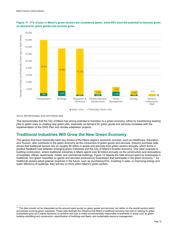



*Source: AECOM Analysis, Emsi 2019 Industry Data*

This demonstrates that the City of Miami has strong potential to transition to a green economy, either by transitioning existing jobs to green ones or creating new green jobs, especially as demand for green goods and services increases with the implementation of the GHG Plan and climate adaptation projects.

### <span id="page-15-0"></span>**Traditional Industries Will Grow the New Green Economy**

The sectors that have historically been key drivers of the Miami region's economic success, such as Healthcare, Education, and Tourism, also contribute to the green economy as the consumers of green goods and services. Industry purchase data shows that traditional sectors rely on roughly \$5 billion in goods and services from green sectors annually, which forms a positive feedback loop between emerging green industries and the City of Miami's broader economy. One clear example is building construction, where traditional industries in Miami spend over \$2 billion annually on the construction and renovations of hospitals, offices, apartments, hotels, and commercial buildings[. Figure 12](#page-16-0) depicts the total amount spent by businesses in traditional, non-green industries on goods and services produced by businesses that participate in the green economy.[17](#page-15-1) As traditional sectors adopt greener practices in the future, such as purchasing EVs, investing in solar, or improving energy and water efficiency of buildings, they will rely on firms within Miami's green sectors.

<span id="page-15-1"></span><sup>&</sup>lt;sup>17</sup> The data should not be interpreted as the amount spent purely on green goods and services, but rather on the overall sectors which encompass evolving green industries. These data illustrate the influence that Miami's traditional economy has had on helping its green businesses grow as it makes decisions on whether and how to make environmentally responsible investments in areas such as green building retrofitting and construction, electrification of buildings and fleets, and sustainable resource management.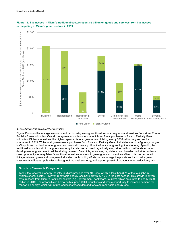

#### <span id="page-16-0"></span>**Figure 12. Businesses in Miami's traditional sectors spent \$5 billion on goods and services from businesses participating in Miami's green sectors in 2019**

*Source: AECOM Analysis, Emsi 2019 Industry Data*

[Figure 13](#page-17-1) shows the average amount spent per industry among traditional sectors on goods and services from either Pure or Partially Green industries. Overall, non-green industries spend about 14% of total purchases in Pure or Partially Green industries. Of these industries, the highest spender is local government, totaling nearly \$330 million in green sector purchases in 2019. While local government's purchases from Pure and Partially Green industries are not *all* green, changes in City policies that lead to more green purchases will have significant influence in "greening" the economy. Spending by traditional industries within the green economy to-date has occurred organically – or, rather, without deliberate economic development or government policies driving demand. Given this, incentives, regulations, and broader market forces have clear opportunity to sway Miami's traditional industries to invest in green goods and services. Given this clear economic linkage between green and non-green industries, public policy efforts that encourage the private sector to make green investments will have ripple effects throughout regional economy, and support pursuit of broader carbon reduction goals.

#### **Growth in Renewable Energy Jobs**

Today, the renewable energy industry in Miami provides over 400 jobs, which is less than 30% of the total jobs in Miami's energy sector. However, renewable energy jobs have grown by 16% in the past decade. This growth is driven by purchases from Miami's traditional sectors (e.g., government, healthcare, tourism), which amounted to nearly \$600 million in 2019. The actions listed below both support GHG reductions and create opportunity to increase demand for renewable energy, which will in turn lead to increased demand for clean renewable energy jobs.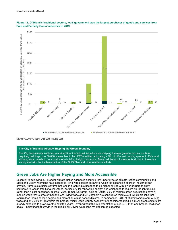

<span id="page-17-1"></span>

*Source: AECOM Analysis, Emsi 2019 Industry Data*

#### **The City of Miami is Already Shaping the Green Economy**

The City has already instituted sustainability-directed policies which are shaping the new green economy, such as requiring buildings over 50,000 square feet to be LEED certified, allocating a fifth of off-street parking spaces to EVs, and allowing solar panels to not contribute to building height maximums. More policies and investments similar to these are anticipated with the implementation of the GHG Plan and other resilience efforts.

### <span id="page-17-0"></span>**Green Jobs Are Higher Paying and More Accessible**

Essential to achieving our broader climate justice agenda is ensuring that underinvested climate justice communities and Black and Brown Miamians have access to living wage career pathways, which the expansion of green industries can provide. Numerous studies confirm that jobs in green industries tend to be higher paying with lower barriers to entry compared to jobs in traditional industries, particularly for renewable energy jobs which tend to require on-the-job training rather than a post-secondary degree (Muro, Tomer, Shivaram, & Kane, 2019). 65% of Miami's green occupations have a median wage that is greater than the local living wage and 60% of them are considered middle skill, which are jobs that require less than a college degree and more than a high school diploma. In comparison, 53% of Miami workers earn a living wage and only 38% of jobs within the broader Miami-Dade County economy are considered middle skill. All green sectors are already expected to grow over the next ten years – even without the implementation of our GHG Plan and broader resilience goals – indicating that growth in the middle-skill, living wage jobs market can be expected.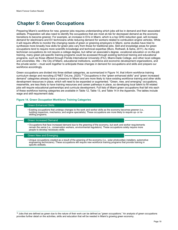# <span id="page-18-0"></span>**Chapter 5: Green Occupations**

Preparing Miami's workforce for new, greener jobs requires understanding which jobs will be in demand and their associated skillsets. Preparation will also need to identify the occupations that are most at-risk for decreased demand as the economy transitions to become greener. For example, an increase in EVs in Miami, which is a top GHG reduction goal, will increase demand for electricians and EV technicians while reducing demand for workers related to combustion engine vehicles. While it will require efforts to monitor the changing needs of green or greening employers in Miami, some studies have tried to synthesize more broadly how skills for green jobs vary from those for traditional jobs. Skill and knowledge areas for green occupations tend to require more scientific knowledge and technical expertise (Muro, Rothwell, & Saha, 2011). As many technician occupations do not require a college degree, but rather an associate's degree, vocational education or on-the-job training, many green job-specific training programs could be accessed through existing technical training and educational programs, such as those offered through Florida International University (FIU), Miami-Dade College, and other local colleges and universities. We – the City of Miami, educational institutions, workforce and economic development organizations, and the private sector – must work together to anticipate these changes in demand for occupations and skills and prepare our workforce accordingly.

Green occupations are divided into three skillset categories, as summarized in [Figure 14,](#page-18-1) that inform workforce training curriculum design and recruiting (O\*NET OnLine, 2020).<sup>[18](#page-18-2)</sup> Occupations in the "green enhanced skills" and "green increased demand" categories already have a presence in Miami and are more likely to have existing workforce training and other skills development resources in place, which will need to be expanded or augmented. "Green, new, and emerging" occupations, meanwhile, are less likely to have training resources and career pathways in place, so developing local talent to fill related jobs will require educational partnerships and curricula development. Full lists of Miami green occupations that fall into each of these workforce training categories are available in [Table 12,](#page-48-0) [Table 13,](#page-52-0) and [Table 14](#page-57-0) in the Appendix. The tables include wage and skill requirement data.

#### **Figure 14. Green Occupation Workforce Training Categories**

#### <span id="page-18-1"></span>Green Enhanced Skills

• Existing occupations that undergo changes to the work and worker skills as the economy becomes greener (i.e., building inspectors, mechanics, and engine specialists). These occupations are more likely to require up- or reskilling programs.

#### Green Increased Demand

• Occupations that face increased demand due to the greening of the economy, but work and worker requirements remain the same (i.e., conservation workers, environmental regulators). These occupations solely require more people to develop necessary skills.

#### Green New and Emerging

• Unique occupations created as a result of the greening of the economy (i.e., solar photovoltaic installers, automotive engineering technicians). These occupations will require new workforce training programs that provide training in specific skillsets.

<span id="page-18-2"></span> $18$  Jobs that are defined as green due to the nature of their work can be defined as "green occupations." An analysis of green occupations provides further detail on the activities, skills and education that will be needed in Miami's growing green economy.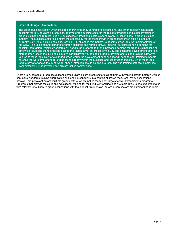#### **Green Buildings & Green Jobs**

The green buildings sector, which includes energy efficiency contractors, electricians, and other specialty contractors, accounts for 35% of Miami's green jobs. Today's green building sector is the result of traditional industries investing in green buildings and retrofits. In 2019, businesses in traditional sectors spent over \$2 billion in Miami's green buildings industry. The buildings sector also offers the opportunity for the most growth in green jobs: green building jobs are currently just 13% of all buildings jobs, leaving 87% of jobs in this industry to become green jobs. As implementation of the GHG Plan takes off and demand for green buildings and retrofits grows, there will be corresponding demand for specialty contractors. Miami's workforce will need to be prepared to fill the increased demand for green buildings jobs or otherwise risk losing them to people outside the region. It will be critical for the City and economic development actors to market green jobs in the buildings industry, particularly to young people, and to develop and expand training pathways tailored to these jobs. New or expanded green workforce development opportunities will need to offer training to people entering the workforce and to re-skilling those already within the buildings and construction industry. Since these jobs tend to pay at or above the living wage, special attention should be given to recruiting and training potential employees from historically underinvested and climate justice communities.

<span id="page-19-0"></span>There are hundreds of green occupations across Miami's core green sectors, all of them with varying growth potential, which can make workforce training prioritization challenging, especially in a context of limited resources. Many occupations, however, are prevalent across multiple green sectors, which makes them ideal targets for workforce training programs. Programs that provide the skills and educational training for multi-industry occupations are more likely to see students match with relevant jobs. Miami's green occupations with the highest "frequencies" across green sectors are summarized i[n Table 3.](#page-19-0)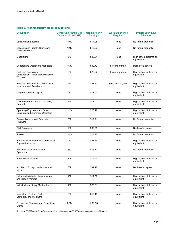#### **Table 3. High frequency green occupations**

| <b>Occupation</b>                                                                 | <b>Compound Annual Job</b><br>Growth (2015 - 2019) | <b>Median Hourly</b><br><b>Earnings</b> | <b>Work Experience</b><br><b>Required</b> | <b>Typical Entry Level</b><br><b>Education</b> |
|-----------------------------------------------------------------------------------|----------------------------------------------------|-----------------------------------------|-------------------------------------------|------------------------------------------------|
| <b>Construction Laborers</b>                                                      | 10%                                                | \$14.08                                 | None                                      | No formal credential                           |
| Laborers and Freight, Stock, and<br><b>Material Movers</b>                        | 12%                                                | \$12.92                                 | None                                      | No formal credential                           |
| Electricians                                                                      | 5%                                                 | \$20.04                                 | None                                      | High school diploma or<br>equivalent           |
| General and Operations Managers                                                   | 16%                                                | \$42.72                                 | 5 years or more                           | Bachelor's degree                              |
| First-Line Supervisors of<br><b>Construction Trades and Extraction</b><br>Workers | 8%                                                 | \$26.92                                 | 5 years or more                           | High school diploma or<br>equivalent           |
| First-Line Supervisors of Mechanics,<br>Installers, and Repairers                 | 2%                                                 | \$28.42                                 | Less than 5 years                         | High school diploma or<br>equivalent           |
| Cargo and Freight Agents                                                          | 9%                                                 | \$17.97                                 | None                                      | High school diploma or<br>equivalent           |
| Maintenance and Repair Workers,<br>General                                        | 8%                                                 | \$17.01                                 | None                                      | High school diploma or<br>equivalent           |
| Operating Engineers and Other<br><b>Construction Equipment Operators</b>          | 11%                                                | \$20.97                                 | None                                      | High school diploma or<br>equivalent           |
| <b>Cement Masons and Concrete</b><br><b>Finishers</b>                             | 8%                                                 | \$19.21                                 | None                                      | No formal credential                           |
| <b>Civil Engineers</b>                                                            | 2%                                                 | \$39.00                                 | None                                      | Bachelor's degree                              |
| Roofers                                                                           | 14%                                                | \$14.45                                 | None                                      | No formal credential                           |
| Bus and Truck Mechanics and Diesel<br><b>Engine Specialists</b>                   | 4%                                                 | \$23.49                                 | None                                      | High school diploma or<br>equivalent           |
| <b>Industrial Truck and Tractor</b><br>Operators                                  | 6%                                                 | \$15.70                                 | None                                      | No formal credential                           |
| <b>Sheet Metal Workers</b>                                                        | $-8%$                                              | \$19.53                                 | None                                      | High school diploma or<br>equivalent           |
| Architects, Except Landscape and<br>Naval                                         | 3%                                                 | \$31.17                                 | None                                      | Bachelor's degree                              |
| Helpers--Installation, Maintenance,<br>and Repair Workers                         | 1%                                                 | \$12.87                                 | None                                      | High school diploma or<br>equivalent           |
| Industrial Machinery Mechanics                                                    | 4%                                                 | \$20.01                                 | None                                      | High school diploma or<br>equivalent           |
| Inspectors, Testers, Sorters,<br>Samplers, and Weighers                           | 8%                                                 | \$17.10                                 | None                                      | High school diploma or<br>equivalent           |
| Production, Planning, and Expediting<br>Clerks                                    | 22%                                                | \$17.98                                 | None                                      | High school diploma or<br>equivalent           |

*Source: AECOM analysis of Emsi occupation data based on O\*NET green occupation classifications*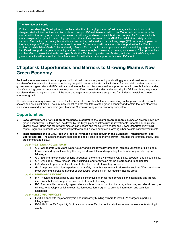#### **The Promise of Electric**

Critical to accelerating EV adoption will be the availability of charging station infrastructure, electricians to support charging station infrastructure, and technicians to support EV maintenance. With more EVs scheduled to arrive in the market within the next year and car companies transitioning to all-electric vehicle stocks, demand for EV mechanics is already expected to grow in the coming years, and the actions presented in the GHG Plan will further catalyze this demand. Mechanics, particularly bus and truck mechanics, make well above the living wage (\$24 per hour compared to the living wage of \$18 per hour), so increased demand for these jobs will create important opportunities for Miami's workforce. While Miami-Dade College already offers an EV mechanic training program, additional training programs could be offered, along with targeted marketing and recruitment strategies. Likewise, increasing awareness of the opportunities and benefits of the electrical trade, and specifically the EV charging station certification, including the trade's wage and growth benefits, will ensure that Miami has a workforce that is able to support widespread EV adoption.

# **Chapter 6: Opportunities and Barriers to Growing Miami's New Green Economy**

Regional economies are not only comprised of individual companies producing and selling goods and services to customers but also of entire networks of actors – including the public sector, educational institutions, funders, civic leaders, and nongovernmental organizations (NGOs) – that contribute to the conditions required to support economic growth. Understanding Miami's existing green economy not only requires identifying green industries and measuring its GRP and living wage jobs, but also understanding which parts of the local and regional ecosystem are supporting (or hindering) sustained green economic growth.

The following summary draws from over 20 interviews with local stakeholders representing public, private, and nonprofit sectors and civic institutions. The summary identifies both facilitators of the green economy and factors that are otherwise inhibiting sustained green economic growth across Miami's growing green economy ecosystem.

### **Opportunities**

- **Local government prioritization of resilience is central to the Miami green economy.** Expected growth in Miami's green economy will, in large part, be driven by the City's planned infrastructure investments under the \$400 million Miami Forever Bond and stormwater master plan update and the County's Water and Sewer Department (WASD) capital upgrades related to environmental protection and climate adaptation, among other notable capital investments.
- **Implementation of our GHG Plan will lead to increased green growth in the Buildings, Transportation, and Energy sectors.** The actions that are expected to directly lead to economic growth, including the creation of new jobs, are summarized below:

#### *Goal 1: GETTING AROUND MIAMI*

- G-2: Collaborate with Miami-Dade County and local advocacy groups to increase utilization of biking as a transit method by implementing the Bicycle Master Plan and expanding the number of protected, green bikeways.
- G-3: Expand micromobility options throughout the entire city including Citi Bikes, scooters, and electric bikes.
- G-4: Develop a Trolley Master Plan including a long-term vision for the program and route updates.
- G-8: Work with partner entities to create bus lanes in strategic, key corridors.
- G-10: Improve pedestrian experience and safety through investments in sidewalks such as ADA compliance measures and increasing number of crosswalks, especially in low-medium income areas.

#### *Goal 2: RENEWABLE ENERGY*

- R-4: Provide additional policy and financial incentives to encourage private solar installations and identify incentives that would appeal to owners of affordable housing.
- R-6: Partner with community organizations such as local nonprofits, trade organizations, and electric and gas utilities, to develop a building electrification education program to provide information and technical assistance.

#### *Goal 3: ELECTRIC VEHICLES*

- EV-3: Partner with major employers and multifamily building owners to install EV chargers in parking lots/garages.
- EV-4: Build on EV Capability Ordinance to require EV charger installations in new developments starting in 2025.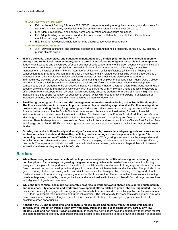#### *Goal 4: ENERGY EFFICIENCY*

- E-1: Implement Building Efficiency 305 (BE305) program requiring energy benchmarking and disclosure for commercial, multi-family residential, and City of Miami municipal buildings over 20,000 sq. ft.
- E-4: Adopt a residential, single-family home energy rating and disclosure ordinance.
- E-5: Adopt building performance standard for commercial, multi-family residential, and City of Miami municipal buildings over 20,000 sq. ft.
- E-6: Establish residential, single-family home energy conservation requirements.

#### *Additional Enabling Actions*

- A-11: Develop a financial and technical assistance program that helps residents, particularly low-income, to pursue climate action.
- **Miami's colleges, universities, and educational institutions are a critical pillar to the city's overall economic strength and to the local green economy, both in terms of workforce training and research and development**. Today, Miami colleges and universities offer courses that directly support many of its green economy sectors, including environmental engineering and protection (University of Miami, Florida International University), sustainable management (University of Miami, Florida International University), building efficiency (University of Miami) and construction trade programs (Florida International University), and EV-related technical skills (Miami Dade College's advanced automotive service technology certificate). Several of these institutions also serve as workforce intermediaries, providing direct access to technical skills training and employment opportunities. Miami-Dade College and Miami-Dade Unified School District also have a track record of working with construction and development companies to attract students to the construction industry, an industry that, on average, offers living wage jobs and job security. Likewise, Florida International University (FIU) has partnered with JP Morgan Chase and local employers to offer Urban Potential Laboratories (UP Labs) which specifically prepares students for middle-skill jobs in high-demand industries. It is this strong foundation of educational assets, which will need to grow and expand in anticipation of increased demand, that will enable Miami to flourish as a green workforce hub.
- **Small but growing green finance and risk management industries are developing in the South Florida region. The finance and risk sectors have an important role to play in providing capital to Miami's climate adaptation projects and providing funding for growing green industries.** Miami already has a strong presence of banks and financial institutions and the the South Florida economy – and climate – is an ideal setting for testing financial instruments and expanding green investment portfolios. Combined, the Miami Forever Bond, GHG Plan, and Venture Miami signal to investors and financial institutions that there is a growing market for green finance and risk management services. There is also potential to grow existing financial institutions and resources, like the Climate First Bank or Solar and Energy Logan Fund (SELF), and attract green businesses accelerators or venture capital firms that provide seed funding.
- **Growing demand – both nationally and locally – for sustainable, renewable, and green goods and services has led to economies of scale and, thereafter, declining costs, creating a virtuous cycle in which "green" is becoming more and more affordable**. This is also evidenced by FPL's growing investment in solar energy, demand for solar panels on private residences, demand for EVs and charging infrastructure, and the airport's energy efficiency overhauls. The expectation is that costs will continue to decline as demand, in Miami and beyond, leads to increased innovation and reaches higher quantities of scale.

### **Barriers**

- **While there is regional consensus about the importance and potential of Miami's new green economy, there is no champion to focus energy on growing the green economy**. A leader is needed to ensure that a functioning ecosystem is in place to support future job creation, to facilitate creation and access to living wage jobs to our Black and Brown populations, and to develop partnerships with local workforce intermediaries and universities. The pockets of the green economy that are particularly active and visible, such as in the Transportation, Buildings, Energy, and Climate Resilient Infrastructure, are mostly operating independently of one another. The actors within these sectors, including private enterprises, nonprofits, civic organizations, and educational institutions would benefit from stronger connections and alignment of goals and resources.
- **While the City of Miami has made considerable progress in working toward shared goals across sustainability and resilience, City economic and workforce development efforts related to green jobs are fragmented**. The City has limited capacity to engage with emerging green firms to better understand how evolving public sector investments (GHG Plan) will impact their industries and future job creation. The lack of a city-level economic development arm was noted as a specific concern, alongside need for more deliberate strategies to leverage city procurement rules to accelerate green opportunities.
- Although the COVID-19 pandemic and economic recession are beginning to wane, the pandemic has had **consequential impact on Miami's economy with many Miamians still out of employment, particularly lowincome Black and non-white Hispanic residents**. In response, City leaders have the opportunity to leverage federal and state resources to explicitly support job creation in sectors best positioned to drive growth and creation of good jobs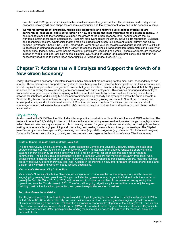over the next 10-20 years, which includes the industries across the green sectors. The decisions made today about economic recovery will have shape the economy, community, and the environment today and in the decades to come.

● **Workforce development programs, middle-skill employers, and Miami's public-school system require partnerships, resources, and clear direction on how to prepare the local workforce for the green economy**. To ensure that Miami has the workforce to support the growth of the green economy, it will need to ensure that its workforce is trained for green occupations. Presently, employers across industries, including Transportation, Buildings, and Technology sectors, hypothesize that the region's skilled talent supply is insufficient to meet current and future demand (JPMorgan Chase & Co., 2015). Meanwhile, lower-skilled younger residents and adults report that it is difficult to access high-demand occupations for a variety of reasons, including skill and education requirements and visibility of opportunities. Indeed, many lower-income residents, particularly Black and non-white Hispanic residents, are most often in need of middle-skill jobs, lack high school diplomas, GEDs, and/or English language proficiency and are thus not necessarily positioned to pursue these opportunities (JPMorgan Chase & Co., 2015).

# **Chapter 7: Actions that will Catalyze and Support the Growth of a New Green Economy**

Today, Miami's green economy ecosystem includes many actors that are operating, for the most part, independently of one another. These actors lack a supportive ecosystem to help them grow, hire, increase their impacts on the local economy, and provide equitable opportunities. Our goal is to ensure that green industries have a pathway for growth and that the City plays an active role in paving the way for new green economic growth and employment. This includes preparing underemployed workers for new green opportunities, engaging with the current and potential green job holders, fostering connections between stakeholders, and building business and workforce training capacity and synergies across the entire ecosystem. While the City has an important role to play in the new green economy, growing an equitable New Green Economy will require partnerships and actors from all sectors of Miami's economic ecosystem. The City-led actions are intended to encourage broader, collective actions from the City's economic development, workforce development, and climate justice stakeholders.

#### **City Authority**

As discussed in the GHG Plan, the City of Miami faces practical constraints on its ability to influence all GHG emissions. The same is true for the City's ability to direct and influence the local economy – we can directly make change through just a few select channels. We can play an impactful role in creating demand for green goods and services by purchasing those items, making requirements through permitting and contracting, and leading by example and through partnerships. The City-led New Economy actions leverage the City's existing resources (e.g., staff), programs (e.g., Summer Youth Connect program, Opportunity Center), authority (e.g., zoning and procurement), and regional leadership to influence Miami's economy.

#### **State of Illinois' Climate and Equitable Jobs Act**

In September 2021, Illinois Governor J.B. Pritzker signed the Climate and Equitable Jobs Act, setting the state on a course to phase out fossil fuels in the power sector by 2045. The act more than doubles renewable energy funding, expands energy efficiency programs, and invests \$115 million per year for green job creation in disadvantaged communities. The bill includes a comprehensive effort to transition workers and municipalities away from fossil fuels, establishing a "displaced worker bill of rights" to provide training and benefits to transitioning workers, replacing lost local property tax revenue from energy sources, and investing in job training, an incubator program for clean energy firms, and a clean jobs workforce network for "equity-focused populations."

#### **Vancouver's Greenest City Action Plan**

Vancouver's Greenest City Action Plan included a major effort to increase the number of green jobs and businesses engaging in greening their operations. This plan included two green economy targets: the first to double the number of green jobs from 18,250 in 2010 by 2020, and the second to double the number of companies actively greening their operations, from the 5% who were in 2011. The effort, still ongoing, significantly increased the number of jobs in green building construction, local food production, and green transportation-related industries.

#### **Toronto's Green Jobs Metrics**

The City government of Toronto actively tracks and develops its green jobs and workforce, which it estimated in 2019 to include about 60,000 workers. The City has commissioned research on developing and managing regional economic clusters, emphasizing a firm-neutral, collaborative approach to economic development at the industry level. The City has rolled out a Green Market Acceleration Program (GMAP) to coordinate between green firms, investors, and City officials. Toronto accommodates GMAP participants by lending them use of City-owned infrastructure for research, pilots, and demonstrations.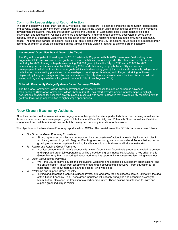#### **Community Leadership and Regional Action**

The green economy is bigger than just the City of Miami and its borders – it extends across the entire South Florida region and beyond. Efforts to grow the green economy need to involve the Greater Miami region and its economic and workforce development institutions, including the Beacon Council, the Chamber of Commerce, plus a deep bench of colleges, universities, and foundations. All these actors are already active in Miami's green economy ecosystem in some sort of capacity, either by supporting workforce and educational development, recruiting green industries, or funding community needs. The proposed partner led actions, detailed in Table 4 along with the City-led actions, could be led by a regional green economy champion or could be dispersed across various entitites working together to grow the green economy.

#### **Los Angeles' Green New Deal & Green Jobs Target**

The City of Los Angeles followed up on its 2015 Sustainable City pLAn with its 2019 Green New Deal, setting more aggressive GHG emissions reduction goals and a more ambitious economic agenda. The plan aims for City carbon neutrality by 2050. Among its targets are creating 300,000 green jobs in the City by 2035 and 400,000 by 2050, increasing green sector investment by \$2 billion by 2035, and eliminating the gap between City and county unemployment. Initiatives to achieve these goals will include developing green jobs pipelines at community colleges and technical schools, creating private sector partnerships to boost apprenticeships, and offer job retraining for those displaced by the green energy transition and automation. The City also plans to offer more tax incentives, subsidized loans, and regulatory assistance for green investment (City of Los Angeles, 2019).

#### **Colorado Community College System's Career Pathways Website**

The Colorado Community College System developed an extensive website focused on careers in advanced manufacturing (Colorado Community College System, 2021). Their effort provides unique industry maps to highlight occupations positioned for near term growth, placed in context with career pathways that provide clarity regarding how to get from lower wage opportunities to higher wage opportunities.

### **New Green Economy Actions**

All of these actions will require continuous engagement with impacted workers, particularly those from waning industries and those who are un- and under-employed, green job holders, and Pure, Partially, and Potentially Green industries. Sustained engagement and collaboration will ensure that the new green economy is working for Miamians.

The objectives of the New Green Economy report spell out GROW. The breakdown of the GROW framework is as follows:

- G Grow the Green Economy Ecosystem
	- $\circ$  Strong regional economies are underpinned by an ecosystem of actors that each play important roles in facilitating economic growth. To grow Miami's green economy, we must consider all factors that support a growing economic ecosystem, including local leadership and business and industry networks.
- R Recruit and Retain a Green Workforce
	- A critical component of Miami's economy is its workforce. A workforce that is prepared to capitalize on new and expanded green job opportunities will be attractive to green industries. Likewise, a key driver of this Green Economy Plan is ensuring that our workforce has opportunity to access resilient, living-wage jobs.
- O Open Occupational Pathways
	- We the City of Miami, educational institutions, workforce and economic development organizations, and the private sector – must work together to create green occupational pathways – from education to job placement - that allow more Miamians to access living wage jobs.
	- W Welcome and Support Green Industry
		- Inviting and attracting green industries to invest, hire, and grow their businesses here is, ultimately, the goal of this Green Economy Plan. These green industries will not only bring jobs and economic diversity to Miami but will also ease the transition to a carbon-free future. These actions are intended to invite and support green industry in Miami.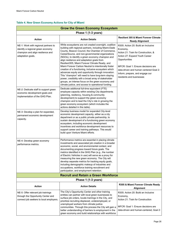#### **Table 4. New Green Economy Actions for City of Miami**

| <b>Grow the Green Economy Ecosystem</b>                                                                                             |                                                                                                                                                                                                                                                                                                                                                                                                                                                                                                                                                                                                                                                                                                                                                                              |                                                                                                                                                                                                                                                                                           |
|-------------------------------------------------------------------------------------------------------------------------------------|------------------------------------------------------------------------------------------------------------------------------------------------------------------------------------------------------------------------------------------------------------------------------------------------------------------------------------------------------------------------------------------------------------------------------------------------------------------------------------------------------------------------------------------------------------------------------------------------------------------------------------------------------------------------------------------------------------------------------------------------------------------------------|-------------------------------------------------------------------------------------------------------------------------------------------------------------------------------------------------------------------------------------------------------------------------------------------|
|                                                                                                                                     | Phase 1 (1-3 years)                                                                                                                                                                                                                                                                                                                                                                                                                                                                                                                                                                                                                                                                                                                                                          |                                                                                                                                                                                                                                                                                           |
| Action                                                                                                                              | <b>Action Details</b>                                                                                                                                                                                                                                                                                                                                                                                                                                                                                                                                                                                                                                                                                                                                                        | <b>Resilient 305 &amp; Miami Forever Climate</b><br><b>Ready Alignment</b>                                                                                                                                                                                                                |
| NE-1: Work with regional partners to<br>identify a regional green economy<br>champion and align resilience and<br>adaptation goals. | While ecosystems are not created overnight, coalition<br>building with regional partners, including Miami-Dade<br>County, Beacon Council, the Chamber of Commerce,<br>CareerSource, and non-governmental organizations<br>(NGOs), to identify a green economy champion and<br>align resilience and adaptation goals from<br>Resilient305, Miami Forever Climate Ready, and<br>Miami Forever Carbon Neutral to intentionally foster<br>creation of a functioning, inclusive ecosystem which<br>advances equity and opportunity through innovation.<br>This "champion" will need to have long-term staying<br>power, credibility with a broad array of stakeholder<br>groups, an intense focus on the green economy and<br>climate justice, and access to operational funding. | R305: Action 20: Build an Inclusive<br>Economy,<br>Action 21: Train for Construction, &<br>Action 27: Expand Youth Career<br>Opportunities<br>MFCR: Goal 1: Ensure decisions are<br>data-driven and human centered Goal 2:<br>Inform, prepare, and engage our<br>residents and businesses |
| NE-2: Dedicate staff to support green<br>economic development goals and<br>implementation of the GHG Plan.                          | Dedicate additional full-time equivalent (FTE)<br>employee capacity within existing City departments<br>(planning, resiliency, housing & community<br>development) to support the green economy<br>champion and to lead the City's role in growing the<br>green economy ecosystem (which includes the<br>actions detailed in this table).                                                                                                                                                                                                                                                                                                                                                                                                                                    |                                                                                                                                                                                                                                                                                           |
| NE-3: Develop a plan for expanded,<br>permanent economic development<br>capacity.                                                   | Develop business model for expanded City-level<br>economic development capacity, either as a city<br>department or as a public private partnership, to<br>sustain development of a functioning green economy<br>ecosystem, including economic development<br>incentives and workforce development resources to<br>support career and training pathways. This would<br>build upon Venture Miami efforts.                                                                                                                                                                                                                                                                                                                                                                      |                                                                                                                                                                                                                                                                                           |
| NE-4: Develop green economy<br>performance metrics.                                                                                 | Performance metrics are essential in placing climate<br>investments and associated job creation in a broader<br>economic, social, and environmental context, and<br>documenting progress toward future goals. The<br>metrics identified in the GHG Plan (e.g., the number<br>of Electric Vehicles in use) will serve as a proxy for<br>measuring the new green economy. The City will<br>develop separate metrics for tracking equity goals,<br>including demographic makeup of industries and<br>occupations, workforce training recruitment and<br>participation, and employment retention.                                                                                                                                                                                |                                                                                                                                                                                                                                                                                           |
|                                                                                                                                     | <b>Recruit and Retain a Green Workforce</b>                                                                                                                                                                                                                                                                                                                                                                                                                                                                                                                                                                                                                                                                                                                                  |                                                                                                                                                                                                                                                                                           |
|                                                                                                                                     | Phase 1 (1-3 years)                                                                                                                                                                                                                                                                                                                                                                                                                                                                                                                                                                                                                                                                                                                                                          |                                                                                                                                                                                                                                                                                           |
| Action                                                                                                                              | <b>Action Details</b>                                                                                                                                                                                                                                                                                                                                                                                                                                                                                                                                                                                                                                                                                                                                                        | R305 & Miami Forever Climate Ready<br><b>Alignment</b>                                                                                                                                                                                                                                    |
| NE-5: Offer relevant job trainings<br>through the Opportunity Center and<br>connect job seekers to local employers.                 | The City's Opportunity Center and other training<br>entities can partner with local green businesses to<br>surface job orders, locate trainings in the City, and<br>prioritize recruiting displaced, underemployed, or<br>unemployed workers from climate justice<br>communities. Through this process the City will gain a<br>better understanding of barriers to employment in the<br>green economy and build relationships with workforce                                                                                                                                                                                                                                                                                                                                 | R305: Action 20: Build an Inclusive<br>Economy,<br>Action 21: Train for Construction<br>MFCR: Goal 1: Ensure decisions are<br>data-driven and human-centered, Goal 2:                                                                                                                     |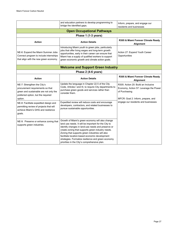|                                                                                                                                                            | and education partners to develop programming to<br>bridge the identified gaps.                                                                                                                                                                                                                                                                                                                                                | Inform, prepare, and engage our<br>residents and businesses                                                                          |
|------------------------------------------------------------------------------------------------------------------------------------------------------------|--------------------------------------------------------------------------------------------------------------------------------------------------------------------------------------------------------------------------------------------------------------------------------------------------------------------------------------------------------------------------------------------------------------------------------|--------------------------------------------------------------------------------------------------------------------------------------|
|                                                                                                                                                            | <b>Open Occupational Pathways</b>                                                                                                                                                                                                                                                                                                                                                                                              |                                                                                                                                      |
|                                                                                                                                                            | Phase 1 (1-3 years)                                                                                                                                                                                                                                                                                                                                                                                                            |                                                                                                                                      |
| <b>Action</b>                                                                                                                                              | <b>Action Details</b>                                                                                                                                                                                                                                                                                                                                                                                                          | R305 & Miami Forever Climate Ready<br>Alignment                                                                                      |
| NE-6: Expand the Miami Summer Jobs<br>Connect program to include internships<br>that align with the new green economy.                                     | Introducing Miami youth to green jobs, particularly<br>jobs that offer living wages and long-term growth<br>opportunities, early in their career can ensure that<br>Miami has a supply of qualified workers to support<br>green economic growth and climate action goals.                                                                                                                                                      | Action 27: Expand Youth Career<br>Opportunities                                                                                      |
|                                                                                                                                                            | <b>Welcome and Support Green Industry</b>                                                                                                                                                                                                                                                                                                                                                                                      |                                                                                                                                      |
| Phase 2 (4-6 years)                                                                                                                                        |                                                                                                                                                                                                                                                                                                                                                                                                                                |                                                                                                                                      |
| <b>Action</b>                                                                                                                                              | <b>Action Details</b>                                                                                                                                                                                                                                                                                                                                                                                                          | R305 & Miami Forever Climate Ready<br>Alignment                                                                                      |
| NE-7: Strengthen the City's<br>procurement requirements so that<br>green and sustainable are not only the<br>preferred option, but the required<br>option. | Update the language in Chapter 22.5 of the City<br>Code, Articles I and III, to require City departments to<br>purchase green goods and services rather than<br>consider them.                                                                                                                                                                                                                                                 | R305: Action 20: Build an Inclusive<br>Economy, Action 57: Leverage the Power<br>of Purchasing<br>MFCR: Goal 2: Inform, prepare, and |
| NE-8: Facilitate expedited design and<br>permitting review of projects that will<br>achieve Miami's GHG and resilience<br>goals.                           | Expedited review will reduce costs and encourage<br>developers, contractors, and related businesses to<br>pursue sustainable opportunities.                                                                                                                                                                                                                                                                                    | engage our residents and businesses                                                                                                  |
| NE-9: Preserve or enhance zoning that<br>supports green industries.                                                                                        | Growth of Miami's green economy will also change<br>land use needs. It will be important for the City to<br>identify changes in land-use needs and preserve or<br>create zoning that supports green industry needs.<br>Zoning that supports green industries will also<br>facilitate location-based economic development<br>strategies. Formalize resilience and green economy<br>priorities in the City's comprehensive plan. |                                                                                                                                      |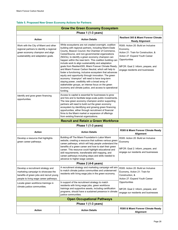#### **Table 5. Proposed New Green Economy Actions for Partners**

| <b>Grow the Green Economy Ecosystem</b>                                                                                                                        |                                                                                                                                                                                                                                                                                                                                                                                                                                                                                                                                                                                                                                                                                                                                                                                                                                                                    |                                                                                                                                                                                                                     |
|----------------------------------------------------------------------------------------------------------------------------------------------------------------|--------------------------------------------------------------------------------------------------------------------------------------------------------------------------------------------------------------------------------------------------------------------------------------------------------------------------------------------------------------------------------------------------------------------------------------------------------------------------------------------------------------------------------------------------------------------------------------------------------------------------------------------------------------------------------------------------------------------------------------------------------------------------------------------------------------------------------------------------------------------|---------------------------------------------------------------------------------------------------------------------------------------------------------------------------------------------------------------------|
|                                                                                                                                                                | Phase 1 (1-3 years)                                                                                                                                                                                                                                                                                                                                                                                                                                                                                                                                                                                                                                                                                                                                                                                                                                                |                                                                                                                                                                                                                     |
| <b>Action</b>                                                                                                                                                  | <b>Action Details</b>                                                                                                                                                                                                                                                                                                                                                                                                                                                                                                                                                                                                                                                                                                                                                                                                                                              | Resilient 305 & Miami Forever Climate<br><b>Ready Alignment</b>                                                                                                                                                     |
| Work with the City of Miami and other<br>regional partners to identify a regional<br>green economy champion and align<br>sustainability and adaptation goals.  | While ecosystems are not created overnight, coalition<br>building with regional partners, including Miami-Dade<br>County, Beacon Council, the Chamber of Commerce,<br>CareerSource, and non-governmental organizations<br>(NGOs), to identify a green economy champion can<br>happen within the near-term. This coalition building can<br>include work to align sustainability and adaptation<br>goals from Resilient305, Miami Forever Climate Ready,<br>and Miami Forever Carbon Neutral, which will help to<br>foster a functioning, inclusive ecosystem that advances<br>equity and opportunity through innovation. The green<br>economy "champion" will need to have long-term<br>staying power, credibility with a broad array of<br>stakeholder groups, an intense focus on the green<br>economy and climate justice, and access to operational<br>funding. | R305: Action 20: Build an Inclusive<br>Economy,<br>Action 21: Train for Construction, &<br>Action 27: Expand Youth Career<br>Opportunities<br>MFCR: Goal 2: Inform, prepare, and<br>engage residents and businesses |
| Identify and grow green financing<br>opportunities.                                                                                                            | Access to capital is essential for businesses to grow<br>and hire and to facilitate large-scale public investments.<br>The new green economy champion and/or supporting<br>partners will need to build out the green economy<br>ecosystem by identifying and growing green financing<br>opportunities, either through recruitment of financial<br>firms to the Miami market or expansion of offerings<br>from existing financial organizations.                                                                                                                                                                                                                                                                                                                                                                                                                    |                                                                                                                                                                                                                     |
|                                                                                                                                                                | <b>Recruit and Retain a Green Workforce</b>                                                                                                                                                                                                                                                                                                                                                                                                                                                                                                                                                                                                                                                                                                                                                                                                                        |                                                                                                                                                                                                                     |
|                                                                                                                                                                | Phase 1 (1-3 years)                                                                                                                                                                                                                                                                                                                                                                                                                                                                                                                                                                                                                                                                                                                                                                                                                                                |                                                                                                                                                                                                                     |
| <b>Action</b>                                                                                                                                                  | <b>Action Details</b>                                                                                                                                                                                                                                                                                                                                                                                                                                                                                                                                                                                                                                                                                                                                                                                                                                              | R305 & Miami Forever Climate Ready<br>Alignment                                                                                                                                                                     |
| Develop a resource that highlights<br>green career pathways.                                                                                                   | Building off The Miami Foundation's Labor Miami<br>website, creating a resource that outlines various green<br>career pathways, which will help people understand the<br>benefits of a green career and how to start their green<br>career. This resource could highlight educational and<br>skill requirements, transferable skill mapping, and<br>career pathways including steps and skills needed to<br>advance to higher-wage careers.                                                                                                                                                                                                                                                                                                                                                                                                                        | R305: Action 20: Build an Inclusive<br>Economy<br>MFCR: Goal 2: Inform, prepare, and<br>engage our residents and businesses                                                                                         |
| Phase 2 (4-6 years)                                                                                                                                            |                                                                                                                                                                                                                                                                                                                                                                                                                                                                                                                                                                                                                                                                                                                                                                                                                                                                    |                                                                                                                                                                                                                     |
| Develop a recruitment strategy and<br>marketing campaign to showcase the<br>benefits of green jobs and recruit young<br>people to living wage career pathways. | A recruitment strategy and marketing campaign will aim<br>to match climate justice communities and underserved<br>residents with living wage jobs in the green economy.                                                                                                                                                                                                                                                                                                                                                                                                                                                                                                                                                                                                                                                                                            | R305: Action 20: Build an Inclusive<br>Economy, Action 21: Train for<br>Construction, &<br>Action 27: Expand Youth Career                                                                                           |
| Locate green workforce trainings in<br>climate justice communities.                                                                                            | In support of the recruitment strategy to match<br>residents with living wage jobs, green workforce<br>trainings and supportive assets, including certification<br>programs, should have a sustained presence in climate<br>justice communities.                                                                                                                                                                                                                                                                                                                                                                                                                                                                                                                                                                                                                   | Opportunities<br>MFCR: Goal 2: Inform, prepare, and<br>engage our residents and businesses                                                                                                                          |
|                                                                                                                                                                | <b>Open Occupational Pathways</b>                                                                                                                                                                                                                                                                                                                                                                                                                                                                                                                                                                                                                                                                                                                                                                                                                                  |                                                                                                                                                                                                                     |
|                                                                                                                                                                | Phase 1 (1-3 years)                                                                                                                                                                                                                                                                                                                                                                                                                                                                                                                                                                                                                                                                                                                                                                                                                                                |                                                                                                                                                                                                                     |
| <b>Action</b>                                                                                                                                                  | <b>Action Details</b>                                                                                                                                                                                                                                                                                                                                                                                                                                                                                                                                                                                                                                                                                                                                                                                                                                              | R305 & Miami Forever Climate Ready<br><b>Alignment</b>                                                                                                                                                              |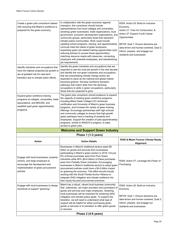| Create a green jobs consortium tasked<br>with ensuring that Miami's workforce is<br>prepared for the green economy.<br>Identify industries and occupations that<br>have the highest projected job growth or<br>are at greatest risk for near-term<br>transition due to climate action efforts.<br>Expand green workforce training<br>programs at colleges, universities, trade | In collaboration with the green economy regional<br>champion, this consortium should include<br>representatives from local colleges and universities,<br>(existing) green businesses, trade organizations, local<br>government, economic development organizations, and<br>community groups, particularly those that represent<br>climate justice communities. Work could include<br>updating school programs, training, and apprenticeship<br>curricula meet the needs of green employers,<br>expanding green job-related training opportunities (and<br>reducing barriers to access those opportunities),<br>matching resource needs with resources, connecting<br>employers with potential employees, and standardizing<br>job requirements.<br>Identify the green industries and occupations that are<br>expected to see the most job growth in the next decade<br>and identify the non-green industries and occupations<br>that are exacerbating climate change and/or are<br>expected to wane as the national and global market<br>becomes greener. Develop workforce transition<br>pathways that match skills from the declining<br>occupations to skills in green occupations, particularly<br>those that are expected to grow.<br>The green jobs consortium should endeavor to expand<br>the capacity of existing green workforce programs, | R305: Action 20: Build an Inclusive<br>Economy,<br>Action 21: Train for Construction, &<br>Action 27: Expand Youth Career<br>Opportunities<br>MFCR: Goal 1: Ensure decisions are<br>data-driven and human-centered, Goal 2:<br>Inform, prepare, and engage our<br>residents and businesses |
|--------------------------------------------------------------------------------------------------------------------------------------------------------------------------------------------------------------------------------------------------------------------------------------------------------------------------------------------------------------------------------|------------------------------------------------------------------------------------------------------------------------------------------------------------------------------------------------------------------------------------------------------------------------------------------------------------------------------------------------------------------------------------------------------------------------------------------------------------------------------------------------------------------------------------------------------------------------------------------------------------------------------------------------------------------------------------------------------------------------------------------------------------------------------------------------------------------------------------------------------------------------------------------------------------------------------------------------------------------------------------------------------------------------------------------------------------------------------------------------------------------------------------------------------------------------------------------------------------------------------------------------------------------------------------------------------------------------------------------------------|--------------------------------------------------------------------------------------------------------------------------------------------------------------------------------------------------------------------------------------------------------------------------------------------|
| associations, and MDUSD, and                                                                                                                                                                                                                                                                                                                                                   | including Miami Dade College's EV technician                                                                                                                                                                                                                                                                                                                                                                                                                                                                                                                                                                                                                                                                                                                                                                                                                                                                                                                                                                                                                                                                                                                                                                                                                                                                                                         |                                                                                                                                                                                                                                                                                            |
| establish paid green apprenticeship                                                                                                                                                                                                                                                                                                                                            | certification and University of Miami's green business                                                                                                                                                                                                                                                                                                                                                                                                                                                                                                                                                                                                                                                                                                                                                                                                                                                                                                                                                                                                                                                                                                                                                                                                                                                                                               |                                                                                                                                                                                                                                                                                            |
| programs.                                                                                                                                                                                                                                                                                                                                                                      | programs, and increase the variety of green training<br>offerings. Encourage partnerships with high schools                                                                                                                                                                                                                                                                                                                                                                                                                                                                                                                                                                                                                                                                                                                                                                                                                                                                                                                                                                                                                                                                                                                                                                                                                                          |                                                                                                                                                                                                                                                                                            |
|                                                                                                                                                                                                                                                                                                                                                                                | and community colleges to ensure that high-growth                                                                                                                                                                                                                                                                                                                                                                                                                                                                                                                                                                                                                                                                                                                                                                                                                                                                                                                                                                                                                                                                                                                                                                                                                                                                                                    |                                                                                                                                                                                                                                                                                            |
|                                                                                                                                                                                                                                                                                                                                                                                | green pathways have a backlog of students and<br>employees. Support the creation of paid apprenticeship                                                                                                                                                                                                                                                                                                                                                                                                                                                                                                                                                                                                                                                                                                                                                                                                                                                                                                                                                                                                                                                                                                                                                                                                                                              |                                                                                                                                                                                                                                                                                            |
|                                                                                                                                                                                                                                                                                                                                                                                | programs, similar to WASCO's program, to ease                                                                                                                                                                                                                                                                                                                                                                                                                                                                                                                                                                                                                                                                                                                                                                                                                                                                                                                                                                                                                                                                                                                                                                                                                                                                                                        |                                                                                                                                                                                                                                                                                            |
|                                                                                                                                                                                                                                                                                                                                                                                | access to green jobs.                                                                                                                                                                                                                                                                                                                                                                                                                                                                                                                                                                                                                                                                                                                                                                                                                                                                                                                                                                                                                                                                                                                                                                                                                                                                                                                                |                                                                                                                                                                                                                                                                                            |
|                                                                                                                                                                                                                                                                                                                                                                                | <b>Welcome and Support Green Industry</b>                                                                                                                                                                                                                                                                                                                                                                                                                                                                                                                                                                                                                                                                                                                                                                                                                                                                                                                                                                                                                                                                                                                                                                                                                                                                                                            |                                                                                                                                                                                                                                                                                            |
|                                                                                                                                                                                                                                                                                                                                                                                | Phase 1 (1-3 years)                                                                                                                                                                                                                                                                                                                                                                                                                                                                                                                                                                                                                                                                                                                                                                                                                                                                                                                                                                                                                                                                                                                                                                                                                                                                                                                                  |                                                                                                                                                                                                                                                                                            |
| Action                                                                                                                                                                                                                                                                                                                                                                         | <b>Action Details</b>                                                                                                                                                                                                                                                                                                                                                                                                                                                                                                                                                                                                                                                                                                                                                                                                                                                                                                                                                                                                                                                                                                                                                                                                                                                                                                                                | R305 & Miami Forever Climate Ready<br>Alignment                                                                                                                                                                                                                                            |
|                                                                                                                                                                                                                                                                                                                                                                                | Businesses in Miami's traditional sectors spent \$5                                                                                                                                                                                                                                                                                                                                                                                                                                                                                                                                                                                                                                                                                                                                                                                                                                                                                                                                                                                                                                                                                                                                                                                                                                                                                                  |                                                                                                                                                                                                                                                                                            |
| Engage with local businesses, property<br>owners, and large employers to<br>encourage the development and<br>implementation of green procurement<br>policies.<br>Engage with local businesses to design                                                                                                                                                                        | billion on goods and services from businesses<br>participating in Miami's green sectors in 2019; Yet just<br>6% of those purchases were from Pure Green<br>industries while 94% (\$4.6 billion) of these purchases<br>were from Partially Green industries. Encouraging<br>businesses in Miami's traditional sectors to adopt green<br>procurement policies could have a \$4.6 billion impact<br>on greening the economy. This effort should include<br>working with the South Florida Anchor Alliance to<br>integrate GHG mitigation and climate resilience into<br>their equity-focused procurement practices.<br>Miami has a robust, vibrant local business community                                                                                                                                                                                                                                                                                                                                                                                                                                                                                                                                                                                                                                                                             | R305: Action 57: Leverage the Power of<br>Purchasing<br>R305: Action 20: Build an Inclusive                                                                                                                                                                                                |
| incentives to support "greening."                                                                                                                                                                                                                                                                                                                                              | that, collectively, are major providers and purchasers of                                                                                                                                                                                                                                                                                                                                                                                                                                                                                                                                                                                                                                                                                                                                                                                                                                                                                                                                                                                                                                                                                                                                                                                                                                                                                            | Economy                                                                                                                                                                                                                                                                                    |
|                                                                                                                                                                                                                                                                                                                                                                                | goods and services and major employers. Greening                                                                                                                                                                                                                                                                                                                                                                                                                                                                                                                                                                                                                                                                                                                                                                                                                                                                                                                                                                                                                                                                                                                                                                                                                                                                                                     |                                                                                                                                                                                                                                                                                            |
|                                                                                                                                                                                                                                                                                                                                                                                | local businesses will be important for achieving GHG<br>mitigation and climate justice goals. To support this                                                                                                                                                                                                                                                                                                                                                                                                                                                                                                                                                                                                                                                                                                                                                                                                                                                                                                                                                                                                                                                                                                                                                                                                                                        | MFCR: Goal 1: Ensure decisions are                                                                                                                                                                                                                                                         |
|                                                                                                                                                                                                                                                                                                                                                                                | transition, we will need to understand what type of                                                                                                                                                                                                                                                                                                                                                                                                                                                                                                                                                                                                                                                                                                                                                                                                                                                                                                                                                                                                                                                                                                                                                                                                                                                                                                  | data-driven and human centered, Goal 2:                                                                                                                                                                                                                                                    |
|                                                                                                                                                                                                                                                                                                                                                                                | support will be helpful for either purchasing green                                                                                                                                                                                                                                                                                                                                                                                                                                                                                                                                                                                                                                                                                                                                                                                                                                                                                                                                                                                                                                                                                                                                                                                                                                                                                                  | Inform, prepare, and engage our                                                                                                                                                                                                                                                            |
|                                                                                                                                                                                                                                                                                                                                                                                | goods or services or to transition to offer green goods<br>or services.                                                                                                                                                                                                                                                                                                                                                                                                                                                                                                                                                                                                                                                                                                                                                                                                                                                                                                                                                                                                                                                                                                                                                                                                                                                                              | residents and businesses                                                                                                                                                                                                                                                                   |
|                                                                                                                                                                                                                                                                                                                                                                                |                                                                                                                                                                                                                                                                                                                                                                                                                                                                                                                                                                                                                                                                                                                                                                                                                                                                                                                                                                                                                                                                                                                                                                                                                                                                                                                                                      |                                                                                                                                                                                                                                                                                            |
|                                                                                                                                                                                                                                                                                                                                                                                | Phase 2 (4-6 years)                                                                                                                                                                                                                                                                                                                                                                                                                                                                                                                                                                                                                                                                                                                                                                                                                                                                                                                                                                                                                                                                                                                                                                                                                                                                                                                                  |                                                                                                                                                                                                                                                                                            |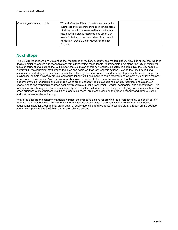| Create a green incubation hub. | Work with Venture Miami to create a mechanism for<br>businesses and entrepreneurs to pitch climate action<br>initiatives related to business and tech solutions and<br>secure funding, startup resources, and use of City<br>assets for testing products and ideas. This concept |  |
|--------------------------------|----------------------------------------------------------------------------------------------------------------------------------------------------------------------------------------------------------------------------------------------------------------------------------|--|
|                                | inspired by Toronto's Green Market Acceleration                                                                                                                                                                                                                                  |  |
|                                | Program)                                                                                                                                                                                                                                                                         |  |

# **Next Steps**

The COVID-19 pandemic has taught us the importance of resilience, equity, and modernization. Now, it is critical that we take decisive action to ensure our economic recovery efforts reflect these tenets. As immediate next steps, the City of Miami will focus on foundational actions that will support the expansion of this new economic sector. To enable this, the City needs to identify full-time equivalent staff time to focus on and begin work on City-specific actions. Beyond the City, key regional stakeholders including neighbor cities, Miami-Dade County, Beacon Council, workforce development intermediaries, green businesses, climate advocacy groups, and educational institutions, need to come together and collectively identify a regional green economy champion. A green economy champion is needed to lead on collaborating with public and private sector leaders; providing leadership and vision related to green economy goals; supporting start-up, retention, and expansion efforts; and taking ownership of green economy metrics (e.g., jobs, recruitment, wages, companies, and opportunities). This "champion", which may be a person, office, entity, or a coalition, will need to have long-term staying power, credibility with a broad audience of stakeholders, institutions, and businesses, an intense focus on the green economy and climate justice, and access to operational funding.

With a regional green economy champion in place, the proposed actions for growing the green economy can begin to take form. As the City updates its GHG Plan, we will maintain open channels of communication with workers, businesses, educational institutions, community organizations, public agencies, and residents to collaborate and report on the positive economic impacts of the GHG Plan and related climate actions.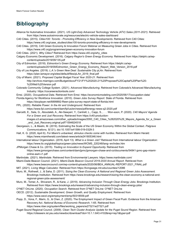# **Bibliography**

- Alliance for Automative Innovation. (2021). *US Light-Duty Advanced Technology Vehicle (ATV) Sales (2011-2021).* Retrieved from https://www.autosinnovate.org/resources/electric-vehicle-sales-dashboard
- C40 Cities. (2015). *Cities100: Toronto - Promoting Efficiency in New Developments*. Retrieved from C40 Cities: https://www.c40.org/case\_studies/cities100-toronto-promoting-efficiency-in-new-developments
- C40 Cities. (2019). C40 Green Economy & Innovation Forum Webinar on Measuring Green Jobs in Cities. Retrieved from https://www.c40.org/programmes/green-economy-innovation-forum
- C40 Cities. (2021). *Why Cities?* Retrieved from https://www.c40.org/why\_cities
- Calgary Economic Development. (2016). *Calgary Region's Green Energy Economy.* Retrieved from https://delphi.ca/wpcontent/uploads/2019/09/135.pdf
- City of Edmonton. (2018). *Edmonton's Green Energy Economy.* Retrieved from https://delphi.ca/wpcontent/uploads/2019/09/Edmonton\_Green\_Energy\_Economy\_Report\_Web\_Version\_2018.pdf
- City of Los Angeles. (2019). *L.A.'s Green New Deal: Sustainable City pLAn.* Retrieved from https://plan.lamayor.org/sites/default/files/pLAn\_2019\_final.pdf
- City of Miami. (2021). *Proposed Capital Budget Fiscal Year 2020-21.* Retrieved from http://archive.miamigov.com/Budget/docs/FY21/FY%202020-21%20Proposed%20Capital%20Plan%20- %20Web%20Version.pdf
- Colorado Community College System. (2021). *Advanced Manufacturing*. Retrieved from Colorado's Advanced Manufacturing Industry: https://cocareeractiontools.com/
- Emsi. (2020). *Occupational Data*. Retrieved from Emsi: https://economicmodeling.com/2020/06/17/occupation-data/
- Florida Agency for Workforce Innovation. (2010). *Green Jobs Survey Report.* State of Florida. Retrieved from
- https://docplayer.net/6899892-Reen-jobs-survey-report-state-of-florida.html
- FPL. (2020). *Reliable Power: In the Air and Underground.* Retrieved from https://www.fpl.com/content/dam/fpl/us/en/news/pdf/energy-news-q2-2020.pdf Garcetti, E., Sala, G., Aboutaleb, A., Aki-Sawyerr, Y., Cantrell, L., Capp, S., . . . Won-soon, P. (2020). *C40 Mayors' Agenda*
- *For a Green and Just Recovery.* Retrieved from https://c40-productionimages.s3.amazonaws.com/other\_uploads/images/2093\_C40\_Cities\_%282020%29\_Mayors\_Agenda\_for\_a\_Green and Just Recovery.original.pdf?1594824518
- Georgeson, L., & Maslin, M. (2019). Estimating the Scale of the US Green Economy Within the Global Context. *Palgrave Communications, 5*(121). doi:10.1057/s41599-019-0329-3
- Hall, K. G. (2020, April 6). *For Miami's unbanked, stimulus checks come with hurdles*. Retrieved from Miami Herald: https://www.miamiherald.com/latest-news/article241805346.html
- International labour Organization. (2016, April 13). *What is a Green Job?* Retrieved from International labour Organization: https://www.ilo.org/global/topics/green-jobs/news/WCMS\_220248/lang--en/index.htm
- JPMorgan Chase & Co. (2015). *Trading on Innovation to Expand Opportunity.* Retrieved from https://www.jpmorganchase.com/content/dam/jpmc/jpmorgan-chase-and-co/documents/54841-jpmc-gap-miamionline-aw4-v1.pdf
- Martindale. (2021). *Martindale*. Retrieved from Environmental Lawyers: https://www.martindale.com/
- Miami-Dade Beacon Council. (2021). *Miami-Dade Beacon Council 2019-2020 Annual Report.* Retrieved from https://www.beaconcouncil.com/wp-content/uploads/2020/06/BEA\_ANNUAL-REPORT-2021\_FINAL.pdf
- MIT. (2021). *Living Wage Calculator.* Retrieved from https://livingwage.mit.edu/counties/12086
- Muro, M., Rothwell, J., & Saha, D. (2011). *Sizing the Clean Economy: A National and Regional Green Jobs Assessment.* Brookings Institution. Retrieved from https://www.brookings.edu/research/sizing-the-clean-economy-a-national-andregional-green-jobs-assessment/
- Muro, M., Tomer, A., Shivaram, R., & Kane, J. (2019). *Advancing Inclusion Through Clean Energy Jobs.* Brookings Institution. Retrieved from https://www.brookings.edu/research/advancing-inclusion-through-clean-energy-jobs/
- O\*NET OnLine. (2020). *Occupation Search*. Retrieved from O\*NET OnLine: O\*NET OnLine
- OECD. (2012). *Sustainable Development, Green Growth, and Quality Employment.* Retrieved from https://www.oecd.org/employment/emp/50318559.pdf
- Popp, D., Vona, F., Marin, G., & Chen, Z. (2020). The Employment Impact of Green Fiscal Push: Evidence from the American Recovery Act. *National Bureau of Economic Research*, 1-65. Retrieved from https://www.nber.org/system/files/working\_papers/w27321/w27321.pdf
- Puget Sound Regional Council. (2009). *Clean Tech Cluster Analysis Update for the Puget Sound Region.* Retrieved from https://citeseerx.ist.psu.edu/viewdoc/download?doi=10.1.1.643.4102&rep=rep1&type=pdf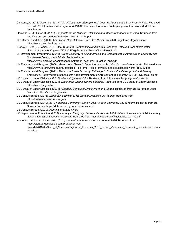- Quintana, A. (2018, December 19). *A Tale Of Too Much 'Wishcycling': A Look At Miami-Dade's Low Recycle Rate*. Retrieved from WLRN: https://www.wlrn.org/news/2018-12-19/a-tale-of-too-much-wishcycling-a-look-at-miami-dades-lowrecycle-rate
- Stoevska, V., & Hunter, D. (2012). *Proposals for the Statistical Definition and Measurement of Green Jobs.* Retrieved from http://ina.bnu.edu.cn/docs/20140604145534115744.pdf
- The Miami Foundation. (2020). *Give Miami Day*. Retrieved from Give Miami Day 2020 Registered Organizations: https://www.givemiamiday.org/
- Tuohey, P., Zea, L., Parker, O., & Tuttle, S. (2021). *Communities and the Gig Economy.* Retrieved from https://bettercities.org/wp-content/uploads/2021/04/Gig-Economy-Better-Cities-Project.pdf
- UN Development Programme. (2012). *Green Economy in Action: Articles and Excerpts that Illustrate Green Economy and Sustainable Development Efforts.* Retrieved from

https://www.un.org/waterforlifedecade/pdf/green\_economy\_in\_action\_eng.pdf

- UN Environmental Program. (2008). *Green Jobs: Towards Decent Work in a Sustainable, Low-Carbon World.* Retrieved from https://www.ilo.org/wcmsp5/groups/public/---ed\_emp/---emp\_ent/documents/publication/wcms\_158727.pdf
- UN Environmental Program. (2011). *Towards a Green Economy: Pathways to Sustainable Development and Poverty Eradication.* Retrieved from https://sustainabledevelopment.un.org/content/documents/126GER\_synthesis\_en.pdf
- US Bureau of Labor Statistics. (2013). *Measuring Green Jobs.* Retrieved from https://www.bls.gov/green/home.htm
- US Bureau of Labor Statistics. (2021). *Local Area Unemployment Statistics*. Retrieved from US Bureau of Labor Statistics: https://www.bls.gov/lau/
- US Bureau of Labor Statistics. (2021). *Quarterly Census of Employment and Wages*. Retrieved from US Bureau of Labor Statistics: https://www.bls.gov/cew/
- US Census Bureau. (2018). *Longitudinal Employer-Household Dynamics OnTheMap.* Retrieved from https://onthemap.ces.census.gov/
- US Census Bureau. (2019). *2019 American Community Survey (ACS) 5-Year Estimates, City of Miami*. Retrieved from US Census Bureau: https://data.census.gov/cedsci/advanced
- US Census Bureau. (2020). *Hispanic or Latino Origin.*
- US Department of Education. (2003). *Literacy in Everyday Life: Results from the 2003 National Assessment of Adult Literacy.* National Center of Education Statistics. Retrieved from https://nces.ed.gov/Pubs2007/2007480.pdf

Vancouver Economic Commission. (2018). *State of Vancouver's Green Economy 2018.* Retrieved from https://storage.googleapis.com/production-vec-

uploads/2018/06/State of Vancouvers Green Economy 2018 Report Vancouver Economic Commission.compr essed.pdf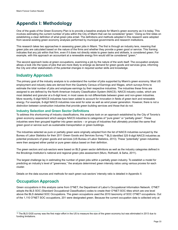# **Appendix I: Methodology**

One of the goals of the Green Economy Plan is to provide a baseline analysis for Miami's green economy as it is today. This involves estimating the current number of jobs within the City of Miami that can be considered "green." Doing so first relies on establishing a clear definition of what green jobs entail. The definitions and methods adopted in this research were adopted from several existing green economy analyses performed by municipal governments and research institutions.

This research takes two approaches in assessing green jobs in Miami. The first is through an industry lens, meaning that green jobs are calculated based on the nature of the firms and whether they provide a green good or service. This framing indicates that any job within that firm, even if it does not directly relate to green tasks and skillsets, is considered green. For example, with this approach an accountant at a renewable energy firm would still be considered "green."

The second approach looks at green occupations, examining a job by the nature of the work itself. The occupation analysis allows a look into the types of jobs that are more likely to emerge as demand for green goods and services grow, informing the City and other stakeholders of the potential changes in required worker skills and knowledge.

# **Industry Approach**

The primary goal of the industry analysis is to understand the number of jobs supported by Miami's green economy. Most US employment and industry data are derived from the Quarterly Census of Earnings and Wages, which surveys firms to estimate the total number of jobs and employee earnings by their respective industries. The industries these firms are assigned to are defined by the North American Industry Classification System (NAICS). NAICS industry codes, which are most detailed and granular at a 6-digit level, in most cases do not differentiate between green and non-green industries. More recently, 6-digit NAICS industries have been added to account for innovation in fields of green tech and renewable energy. For example, 6-digit NAICS industries now exist for solar as well as wind power generation. However, there is not a distinction between construction industries that provide green building services and those that do not.

#### **Industry Selection and Green Sector Definitions**

To address this shortcoming of industry classifications, this analysis took on an approach established by the City of Toronto's green economy assessment which assigns NAICS industries to categories of "pure green" or "partially green". These industries were then grouped together into green sectors – or groups of industries that ultimately provided the same final green good or service such as sustainable transportation or green buildings.

The industries selected as pure or partially green were originally adopted from the list of NAICS industries surveyed by the Bureau of Labor Statistics for their 2011 Green Goods and Services Survey. [19](#page-32-0) BLS identified 325 6-digit NAICS industries as potential producers of green goods and services (US Bureau of Labor Statistics, 2013). These "potentially" green industries were then assigned either partial or pure green status based on their definition.

The green sectors and sub-sectors were based on BLS green sector definitions as well as the industry categories defined in the Brookings Institution's national and regional green jobs assessment (Muro, Rothwell, & Saha, 2011).

The largest challenge lay in estimating the number of green jobs within a partially green industry. To establish a model for predicting an industry's level of "greenness," the analysis determined green intensity ratios using various proxies for each cluster.

Details on the data sources and methods for each green sub-sectors' intensity ratio is detailed in Appendix II.

## **Occupation Approach**

Green occupations in this analysis came from O\*NET, the Department of Labor's Occupational Information Network. O\*NET adopts the BLS SOC (Standard Occupational Classification) codes to create their O\*NET-SOC titles which are one level above the BLS detailed SOC Occupations. The green occupations used the 2010 taxonomy of SOC O\*NET occupations. Out of the 1,110 O\*NET SOC occupations, 201 were designated green. Because the current occupation data is collected only at

<span id="page-32-0"></span><sup>&</sup>lt;sup>19</sup> The BLS GGS survey was the first major effort in the US to measure the size of the green economy but was eliminated in 2013 due to funding limitations.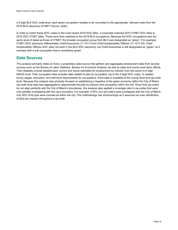a 5-digit BLS SOC code-level, each green occupation needed to be converted to the appropriate, relevant code from the 2018 BLS taxonomy (O\*NET OnLine, 2020).

In order to match these SOC codes to the most recent 2018 SOC titles, a crosswalk matched 2010 O\*NET SOC titles to 2018 SOC O\*NET titles. Those were then matched to the 2018 BLS occupations. Because the SOC occupations lack the same level of detail as those of O\*NET, the broader occupation group from BLS was designated as "green." For example, O\*NET SOC taxonomy differentiates Chief Executives (11-1011) from Chief Sustainability Officers (11-1011.03). Chief Sustainability Officers SOC does not exist in the BLS SOC taxonomy, but Chief Executives is still designated as "green" as it overlaps with a sub-occupation that is considered green.

### **Data Sources**

This analysis primarily relies on Emsi, a proprietary data source that gathers and aggregates employment data from several sources such as the Bureau of Labor Statistics, Bureau for Economic Analysis, as well as state and county level labor offices. Their datasets include detailed past, current and future estimates for employment by industry from the sector to 6-digit NAICS level. Their occupation data includes data related to jobs by occupation (up to the 5-digit SOC code), to median hourly wages, education, and skill-level requirements for occupations. Emsi data is available at the county-level and zip-code level. Because this analysis was primarily focused on establishing a baseline of the green economy within the City of Miami, zip-code level data was aggregated to approximate the jobs by industry and occupation within the city. Given that zip-codes do not align perfectly with the City of Miami's boundaries, this analysis also applied a coverage ratio to zip-codes that were only partially overlapping with the city's boundary. For example, if 50% of a zip-code's area overlapped with the City of Miami, only 50% of its jobs were counted as within the city. This methodology has shortcomings as it assumed an even distribution of jobs per industry throughout a zip-code.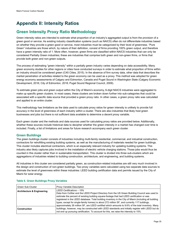# **Appendix II: Intensity Ratios**

# **Green Intensity Proxy Ratio Methodology**

Green intensity ratios are intended to estimate what proportion of an industry's aggregated output is from the provision of a green good or service. As existing industry classification systems (such as NAICS) often do not differentiate industries based on whether they provide a green good or service, most industries must be categorized by their level of greenness. "Pure Green" industries are those which, by nature of their definition, consist of firms providing 100% green output, and therefore have a green intensity ratio of 1. More often, however, green firms are classified within NAICS industries that can only be considered Partially Green industries; these are industries that comprise both green and non-green firms, or firms that provide both green and non-green outputs.

The process of estimating "green intensity" within a partially green industry varies depending on data accessibility. Many green economy studies for other regions or cities have conducted surveys in order to estimate what proportion of firms within an industry should be considered green (C40 Cities, 2015). In the absence of firm survey data, other data that describes the market penetration of activities related to the green economy can be used as a proxy. This method was adopted for green energy economy assessments of Calgary and Edmonton, Canada and Puget Sound in Washington State (Calgary Economic Development, 2016; City of Edmonton, 2018; Puget Sound Regional Council, 2009).

To estimate green jobs and green output within the City of Miami's economy, 6-digit NAICS industries were aggregated to make up specific green clusters. In most cases, these clusters are broken down further into sub-categories that could be associated with a specific data source that provided a green proxy ratio. In other cases, a green proxy ratio was calculated and applied to an entire cluster.

This methodology has limitations as the data used to calculate proxy ratios for green intensity is unlikely to provide full accuracy in the level of greenness of each industry within a cluster. There are also industries that likely host green businesses and jobs but there is not sufficient data available to determine a decent proxy variable.

Each green cluster and the methods and data sources used for calculating proxy ratios are provided below. Additionally, whether these sources include historical data to decipher whether the green intensity in a market has changed over time is included. Finally, a list of limitations and areas for future research accompany each green cluster.

### **Green Buildings**

The green buildings cluster consists of industries including multi-family residential, commercial, and industrial construction, contractors for retrofitting existing building systems, as well as the manufacturing of materials needed for green buildings. This cluster includes electrical contractors, which is an especially relevant industry for updating building systems. This industry also likely captures jobs involved in the installation of electric vehicle charging stations. Those jobs would thus be counted in this cluster rather than in sustainable transportation. This cluster is divided into three sub-clusters which are aggregations of industries related to building construction, architecture, and engineering, and building systems.

All industries in this cluster are considered partially green, as construction-related industries are still very much involved in the design and construction of non-green buildings. Two proxy variables were calculated using two separate data sources to estimate the level of greenness within these industries: LEED building certification data and permits issued by the City of Miami for solar energy.

| Green Sub-Cluster                     | Proxy Variable Description                                                                                                                                                                                                                                                                                                                                                                                                           |
|---------------------------------------|--------------------------------------------------------------------------------------------------------------------------------------------------------------------------------------------------------------------------------------------------------------------------------------------------------------------------------------------------------------------------------------------------------------------------------------|
| <b>Architecture &amp; Engineering</b> | LEED Certifications - 15%<br>Data from CoStar and the LEED Project Directory from the US Green Building Council was used to<br>estimate the percent of existing building square-footage that had LEED certification or was<br>registered in the LEED database. Total building inventory in the City of Miami (including all building<br>types, except for single-family homes) is about 272 million SF, and currently 117 buildings, |
| <b>Construction</b>                   | approximately 26 million SF, are LEED certified which amounts to 9.6% of the total inventory. Many<br>buildings, however, may be constructed with LEED standards and initially register with LEED but do<br>not end up pursuing certification. To account for this, we raise the intensity to 15%.                                                                                                                                   |

#### **Table 6. Green Buildings Proxy Variables**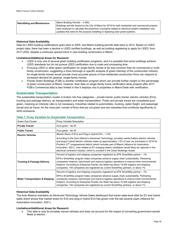| <b>Retrofitting and Maintenance</b> | Miami Building Permits - 0.48% |                                                                                                     |
|-------------------------------------|--------------------------------|-----------------------------------------------------------------------------------------------------|
|                                     |                                | Buildings permits issued by the City of Miami for 2019 for both residential and commercial projects |
|                                     |                                | were analyzed to calculate the proportion of projects related to electrical system installation and |
|                                     |                                | updates that were for the purpose installing or replacing solar panel systems.                      |

#### **Historical Data Availability**

Data for LEED building certifications goes back to 2005, and Miami building permits date back to 2012. Based on LEED project data, there has been a decline in LEED certified buildings, as well as building registering to apply for LEED, from 2017-2020, despite a continued upward trend in new building construction in Miami.

#### **Limitations/Additional Areas for Research**

- LEED is only one of several green building certification programs, and it is possible that some buildings achieve LEED standards but do not pursue LEED certification due to costs and processing time.
- Pursuing LEED or other green certification for single-family homes is far less common than for commercial or multifamily construction, suggesting a more thorough or specific analysis of green intensity of the construction industry for single-family homes would provide more accurate picture of how residential construction firms can respond to increased demand for greener, single-family homes.
- Florida Green Buildings (FGB) is another certification program which can provide further insight on the percentage of green construction of Miami, however, their data on single family home certification lacks projects after 2017. FGB's Commercial data is also limited in that it displays only 6 properties in Miami-Dade with certification.

#### **Sustainable Transportation**

The sustainable transportation cluster is broken into five categories – private transit, public transit, electric vehicles (EVs), trucking and package delivery, air transportation and water transportation. Public and private transit are considered pure green, meaning an intensity ratio is not necessary. Industries related to automobiles, trucking, water freight, and passenger transit and air travel, for the most part, consist of firms that are not green and are industries that contribute significantly to GHG emissions.

| Green Sub-Cluster                          | Proxy Variable Description                                                                                                                                                                                                                                                                                                                                                                                                                                                                                  |
|--------------------------------------------|-------------------------------------------------------------------------------------------------------------------------------------------------------------------------------------------------------------------------------------------------------------------------------------------------------------------------------------------------------------------------------------------------------------------------------------------------------------------------------------------------------------|
| <b>Private Transit</b>                     | Pure green - No IR                                                                                                                                                                                                                                                                                                                                                                                                                                                                                          |
| <b>Public Transit</b>                      | Pure green - No IR                                                                                                                                                                                                                                                                                                                                                                                                                                                                                          |
| <b>Electric Vehicles</b>                   | Market Share of EVs and Plug-in Hybrid EVs $-1.5\%$                                                                                                                                                                                                                                                                                                                                                                                                                                                         |
|                                            | According to the Auto Alliance's Advanced Technology, privately-owned battery electric vehicles<br>and plug-in hybrid electric vehicles made up approximately 1.5% of new car purchases in 2018 for<br>Florida's 27 <sup>th</sup> congressional district (which includes part of Miami) (Alliance for Automative<br>Innovation, 2021). Jobs related to EV charging station installation would likely be captured in the<br>electrical contractor industry, which is counted in the Green Buildings cluster. |
|                                            | Percent of logistics and shipping companies registered as EPA SmartWay partner – 1%                                                                                                                                                                                                                                                                                                                                                                                                                         |
| <b>Trucking &amp; Package Delivery</b>     | EPA's SmartWay program helps companies advance supply chain sustainability. Partnering<br>companies measure, benchmark and improve logistics operations to improve their environmental<br>footprint. According to Enterprise Florida, the State has about 15,000 logistics and shipping<br>companies. 140 companies are registered as current SmartWay partners, or about 1%.                                                                                                                               |
|                                            | Percent of logistics and shipping companies registered as EPA SmartWay partner – 1%                                                                                                                                                                                                                                                                                                                                                                                                                         |
| <b>Water Transportation &amp; Shipping</b> | EPA's SmartWay program helps companies advance supply chain sustainability. Partnering<br>companies measure, benchmark and improve logistics operations to improve their environmental<br>footprint. According to Enterprise Florida, the State has about 15,000 logistics and shipping<br>companies. 140 companies are registered as current SmartWay partners, or about 1%.                                                                                                                               |

#### **Table 7. Proxy Variables for Sustainable Transportation**

#### **Historical Data Availability**

The Auto Alliance maintains an Advanced Technology Vehicle Sales dashboard that tracks state-level data for EV and hybrid sales which shows that market share for EVs and plug-in hybrid EVs has grown over the last several years (Alliance for Automative Innovation, 2021).

#### **Limitations/Additional Areas for Research**

• This data is only for privately owned vehicles and does not account for the impact of converting government-owned fleets to electric.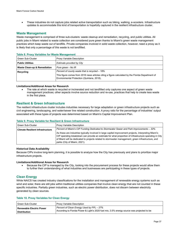• These industries do not capture jobs related active transportation such as biking, walking, e-scooters. Infrastructure updates to accommodate this kind of transportation is hopefully captured in the resilient infrastructure cluster.

#### **Waste Management**

Waste management is comprised of three sub-clusters: waste cleanup and remediation, recycling, and public utilities. All public jobs in Miami related to waste collection are considered pure green thanks to Miami's green waste management practices which keep waste out of landfills. Private companies involved in solid waste collection, however, need a proxy as it is likely that only a percentage of this waste is not landfilled.

| <u>HUDIG OF FIOAY VALIUDICO IOL VIUJIG MULLUQUILIGIII</u> |                                                                                                                                                 |  |
|-----------------------------------------------------------|-------------------------------------------------------------------------------------------------------------------------------------------------|--|
| Green Sub-Cluster                                         | Proxy Variable Description                                                                                                                      |  |
| <b>Public Utilities</b>                                   | Estimate provided by City                                                                                                                       |  |
| <b>Waste Clean-up &amp; Remediation</b>                   | Pure green - No IR                                                                                                                              |  |
| Recycling                                                 | Percent of county waste that is recycled – 18%                                                                                                  |  |
|                                                           | This figure comes from 2018 news articles citing a figure calculated by the Florida Department of<br>Environmental Protection (Quintana, 2018). |  |

#### **Table 8. Proxy Variables for Waste Management**

#### **Limitations/Additional Areas for Research**

The rate at which waste is recycled or incinerated and not landfilled only captures one aspect of green waste management practices; other aspects involve source reduction and re-use, practices that help to create less waste in the first place.

#### **Resilient & Green Infrastructure**

The resilient infrastructure cluster includes industries necessary for large adaptation or green infrastructure projects such as civil engineering, landscaping, and water/sewer line related construction. A proxy ratio for the percentage of industries' output associated with these types of projects was determined based on Miami's Capital Improvement Plan.

#### **Table 9. Proxy Variable for Resilient & Green Infrastructure**

| Green Sub-Cluster                       | Proxy Variable Description                                                                                                                                                                                                                                                                                                                            |
|-----------------------------------------|-------------------------------------------------------------------------------------------------------------------------------------------------------------------------------------------------------------------------------------------------------------------------------------------------------------------------------------------------------|
| <b>Climate Resilient Infrastructure</b> | Percent of Miami's CIP Funding Dedicated to Stormwater Sewer and Park Improvements - 32%                                                                                                                                                                                                                                                              |
|                                         | As these are industries typically involved in large capital improvement projects, interpreting Miami's<br>CIP spending breakdown can provide an estimate for what proportion of infrastructure spending in City<br>of Miami will be dedicated to projects related to stormwater management, green infrastructure, and<br>parks (City of Miami, 2021). |

#### **Historical Data Availability**

Because CIPs involve long-term planning, it is possible to analyze how the City has previously and plans to prioritize major infrastructure projects.

#### **Limitations/Additional Areas for Research**

• Because the CIP is managed by the City, looking into the procurement process for these projects would allow them to further their understanding of what industries and businesses are participating in these types of projects.

#### **Clean Energy**

While NAICS has created industry classifications for the installation and management of renewable energy systems such as wind and solar, there are still jobs within traditional utilities companies that involve clean energy that are not counted in these specific industries. Partially green industries, such as electric power distribution, does not discern between electricity generated by clean sources.

#### **Table 10. Proxy Variables for Clean Energy**

| Green Sub-Cluster               | <b>Proxy Variable Description</b>                                                          |
|---------------------------------|--------------------------------------------------------------------------------------------|
| <b>Renewable Electric Power</b> | Percent of Clean Energy Used by FPL - 27%                                                  |
| <b>Distribution</b>             | According to Florida Power & Light's 2020 fuel mix, 3.5% energy source was projected to be |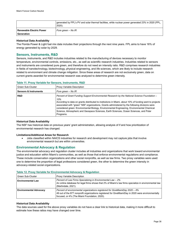|                                          | generated by FPL's PV and solar thermal facilities, while nuclear power generated 23% in 2020 (FPL,<br>$2020$ ). |
|------------------------------------------|------------------------------------------------------------------------------------------------------------------|
| l Renewable Electric Power<br>Generation | Pure green – No IR                                                                                               |

#### **Historical Data Availability**

The Florida Power & Light fuel mix data includes their projections through the next nine years. FPL aims to have 16% of energy generated by solar by 2029.

#### **Sensors, Instruments, R&D**

Sensors, instruments, and R&D includes industries related to the manufacturing of devices necessary to monitor temperature, environmental controls, emissions, etc., as well as scientific research industries. Industries related to sensors and instruments are considered pure green, and therefore do not need an intensity ratio. R&D comprises research industries in fields of nanotechnology, biotechnology, physical engineering, and life sciences, which are likely to include research related to environment and climate change mitigation. Since these areas of research are not exclusively green, data on current grants awarded for environmental research was analyzed to determine green intensity.

#### **Table 11. Proxy Variable for Sensors, Instruments, R&D**

| Green Sub-Cluster                | <b>Proxy Variable Description</b>                                                                                                                                                                                                                                                                                                                                                                                                                                                                                    |
|----------------------------------|----------------------------------------------------------------------------------------------------------------------------------------------------------------------------------------------------------------------------------------------------------------------------------------------------------------------------------------------------------------------------------------------------------------------------------------------------------------------------------------------------------------------|
| <b>Sensors &amp; Instruments</b> | Pure green - No IR                                                                                                                                                                                                                                                                                                                                                                                                                                                                                                   |
| <b>R&amp;D</b>                   | Percent of Grant Funding Support Environmental Research by the National Science Foundation -<br>10%<br>According to data on grants distributed to institutions in Miami, about 10% of funding went to projects<br>associated with "green" NSF organizations. Grants administered by the following divisions were<br>considered green: Environmental Biology, Environmental Engineering, Environmental Chemical<br>Science, Atmospheric and Geospace Sciences, Earth Sciences, Ocean Sciences, and Polar<br>Programs. |

#### **Historical Data Availability**

The NSF has historical data on previous years' grant administration, allowing analysis of if and how prioritization of environmental research has changed.

#### **Limitations/Additional Areas for Research**

• Jobs classified within NAICS industries for research and development may not capture jobs that involve environmental research but are within universities.

#### **Environmental Advocacy & Regulation**

The environmental advocacy and regulation cluster includes all industries and organizations that work toward environmental justice and education within Miami's communities, as well as those that enforce environmental regulations and compliance. These include conservation organizations and other social nonprofits, as well as law firms. Two proxy variables were used: one to determine the proportion of legal professions considered green, the other to determine the green intensity in advocacy-related social organizations.

| Green Sub-Cluster             | Proxy Variable Description                                                                                                                                                                                                         |
|-------------------------------|------------------------------------------------------------------------------------------------------------------------------------------------------------------------------------------------------------------------------------|
| <b>Environmental Law</b>      | Percent of Law Firms Specializing in Environmental Law - 2%<br>An online database for legal firms shows that 2% of Miami's law firms specialize in environmental law<br>(Martindale, 2021).                                        |
| <b>Environmental Advocacy</b> | Percent of environmental organizations registered for GiveMiamiDay 2020 - 4%<br>49 out of the 877 nonprofit organizations registered for GiveMiamiDay in 2020 were environmentally<br>focused, or 4% (The Miami Foundation, 2020). |

#### **Table 12. Proxy Variable for Environmental Advocacy & Regulation**

#### **Historical Data Availability**

The data sources used for the above proxy variables do not have a clear link to historical data, making it more difficult to estimate how these ratios may have changed over time.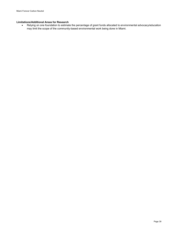#### **Limitations/Additional Areas for Research**

• Relying on one foundation to estimate the percentage of grant funds allocated to environmental advocacy/education may limit the scope of the community-based environmental work being done in Miami.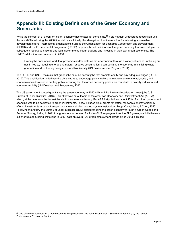# **Appendix III: Existing Definitions of the Green Economy and Green Jobs**

While the concept of a "green" or "clean" economy has existed for some time,<sup>[20](#page-39-0)</sup> it did not gain widespread recognition until the late 2000s following the 2008 financial crisis. Initially, the idea gained traction as a tool for achieving sustainable development efforts. International organizations such as the Organization for Economic Cooperation and Development (OECD) and UN Environmental Programme (UNEP) proposed broad definitions of the green economy that were adopted in subsequent reports as national and local governments began tracking and investing in their own green economies. The UNEP's definition was presented in 2008:

Green jobs encompass work that preserves and/or restores the environment through a variety of means, including but not limited to, reducing energy and natural resource consumption, decarbonizing the economy, minimizing waste generation and protecting ecosystems and biodiversity (UN Environmental Program, 2011).

The OECD and UNEP maintain that green jobs must be decent jobs that promote equity and pay adequate wages (OECD, 2012). This qualification underlines the UN's efforts to encourage policy makers to integrate environmental, social, and economic considerations in drafting policy, ensuring that the green economy goals also contribute to poverty reduction and economic mobility (UN Development Programme, 2012).

The US government started quantifying the green economy in 2010 with an initiative to collect data on green jobs (US Bureau of Labor Statistics, 2013). This effort was an outcome of the American Recovery and Reinvestment Act (ARRA) which, at the time, was the largest fiscal stimulus in recent history. Per ARRA stipulations, about 17% of all direct government spending was to be dedicated to green investments. These included block grants for states' renewable energy efficiency efforts, investments in public transport and clean vehicles, and ecosystem restoration (Popp, Vona, Marin, & Chen, 2020). Following the ARRA, the Bureau of Labor Statistics (BLS) started tracking the green economy through a Green Goods and Services Survey, finding in 2011 that green jobs accounted for 2.4% of US employment. As the BLS green jobs initiative was cut short due to funding limitations in 2013, data on overall US green employment growth since 2013 is limited.

<span id="page-39-0"></span><sup>&</sup>lt;sup>20</sup> One of the first concepts for a green economy was presented in the 1989 *Blueprint for a Sustainable Economy* by the London Environmental Economics Centre.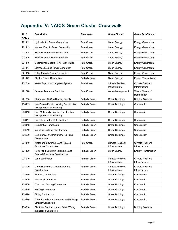# **Appendix IV: NAICS-Green Cluster Crosswalk**

| 2017<br><b>NAICS</b> | <b>Description</b>                                                                | Greenness              | <b>Green Cluster</b>                               | <b>Green Sub-Cluster</b>                   |
|----------------------|-----------------------------------------------------------------------------------|------------------------|----------------------------------------------------|--------------------------------------------|
| 221111               | <b>Hydroelectric Power Generation</b>                                             | Pure Green             | Clean Energy                                       | <b>Energy Generation</b>                   |
| 221113               | Nuclear Electric Power Generation                                                 | Pure Green             | Clean Energy                                       | <b>Energy Generation</b>                   |
| 221114               | Solar Electric Power Generation                                                   | Pure Green             | Clean Energy                                       | <b>Energy Generation</b>                   |
| 221115               | Wind Electric Power Generation                                                    | Pure Green             | Clean Energy                                       | <b>Energy Generation</b>                   |
| 221116               | Geothermal Electric Power Generation                                              | Pure Green             | Clean Energy                                       | <b>Energy Generation</b>                   |
| 221117               | <b>Biomass Electric Power Generation</b>                                          | Pure Green             | Clean Energy                                       | <b>Energy Generation</b>                   |
| 221118               | Other Electric Power Generation                                                   | Pure Green             | Clean Energy                                       | <b>Energy Generation</b>                   |
| 221122               | <b>Electric Power Distribution</b>                                                | <b>Partially Green</b> | Clean Energy                                       | <b>Energy Transmission</b>                 |
| 221310               | Water Supply and Irrigation Systems                                               | Pure Green             | <b>Climate Resilient</b><br>Infrastructure         | <b>Climate Resilient</b><br>Infrastructure |
| 221320               | Sewage Treatment Facilities                                                       | Pure Green             | Waste Cleanup &<br>Waste Management<br>Remediation |                                            |
| 221330               | Steam and Air-Conditioning Supply                                                 | <b>Partially Green</b> | <b>Green Buildings</b>                             | <b>Building Systems</b>                    |
| 236115               | New Single-Family Housing Construction<br>(except For-Sale Builders)              | <b>Partially Green</b> | <b>Green Buildings</b>                             | Construction                               |
| 236116               | New Multifamily Housing Construction<br>(except For-Sale Builders)                | <b>Partially Green</b> | <b>Green Buildings</b>                             | Construction                               |
| 236117               | New Housing For-Sale Builders                                                     | <b>Partially Green</b> | <b>Green Buildings</b>                             | Construction                               |
| 236118               | <b>Residential Remodelers</b>                                                     | <b>Partially Green</b> | <b>Green Buildings</b>                             | Construction                               |
| 236210               | Industrial Building Construction                                                  | <b>Partially Green</b> | <b>Green Buildings</b>                             | Construction                               |
| 236220               | Commercial and Institutional Building<br>Construction                             | <b>Partially Green</b> | <b>Green Buildings</b>                             | Construction                               |
| 237110               | Water and Sewer Line and Related<br><b>Structures Construction</b>                | Pure Green             | <b>Climate Resilient</b><br>Infrastructure         | <b>Climate Resilient</b><br>Infrastructure |
| 237130               | Power and Communication Line and<br><b>Related Structures Construction</b>        | <b>Partially Green</b> | Clean Energy                                       | <b>Energy Transmission</b>                 |
| 237210               | Land Subdivision                                                                  | <b>Partially Green</b> | <b>Climate Resilient</b><br>Infrastructure         | Climate Resilient<br>Infrastructure        |
| 237990               | Other Heavy and Civil Engineering<br>Construction                                 | Partially Green        | <b>Climate Resilient</b><br>Infrastructure         | <b>Climate Resilient</b><br>Infrastructure |
| 238130               | <b>Framing Contractors</b>                                                        | Partially Green        | <b>Green Buildings</b>                             | Construction                               |
| 238140               | <b>Masonry Contractors</b>                                                        | Partially Green        | <b>Green Buildings</b>                             | Construction                               |
| 238150               | Glass and Glazing Contractors                                                     | Partially Green        | Green Buildings                                    | Construction                               |
| 238160               | Roofing Contractors                                                               | Partially Green        | <b>Green Buildings</b>                             | Construction                               |
| 238170               | <b>Siding Contractors</b>                                                         | Partially Green        | <b>Green Buildings</b>                             | Construction                               |
| 238190               | Other Foundation, Structure, and Building<br><b>Exterior Contractors</b>          | Partially Green        | <b>Green Buildings</b>                             | Construction                               |
| 238210               | <b>Electrical Contractors and Other Wiring</b><br><b>Installation Contractors</b> | Partially Green        | <b>Green Buildings</b>                             | <b>Building Systems</b>                    |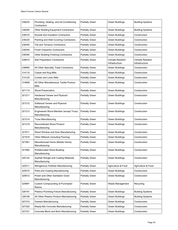| 238220 | Plumbing, Heating, and Air-Conditioning<br>Contractors | Partially Green        | <b>Green Buildings</b>                     | <b>Building Systems</b>                    |
|--------|--------------------------------------------------------|------------------------|--------------------------------------------|--------------------------------------------|
| 238290 | <b>Other Building Equipment Contractors</b>            | Partially Green        | <b>Green Buildings</b>                     | <b>Building Systems</b>                    |
| 238310 | Drywall and Insulation Contractors                     | Partially Green        | <b>Green Buildings</b>                     | Construction                               |
| 238320 | Painting and Wall Covering Contractors                 | Partially Green        | <b>Green Buildings</b>                     | Construction                               |
| 238340 | <b>Tile and Terrazzo Contractors</b>                   | Partially Green        | <b>Green Buildings</b>                     | Construction                               |
| 238350 | <b>Finish Carpentry Contractors</b>                    | Partially Green        | <b>Green Buildings</b>                     | Construction                               |
| 238390 | <b>Other Building Finishing Contractors</b>            | Partially Green        | <b>Green Buildings</b>                     | Construction                               |
| 238910 | <b>Site Preparation Contractors</b>                    | Partially Green        | <b>Climate Resilient</b><br>Infrastructure | <b>Climate Resilient</b><br>Infrastructure |
| 238990 | All Other Specialty Trade Contractors                  | Partially Green        | <b>Green Buildings</b>                     | Construction                               |
| 314110 | Carpet and Rug Mills                                   | Partially Green        | <b>Green Buildings</b>                     | Construction                               |
| 314120 | <b>Curtain and Linen Mills</b>                         | Partially Green        | <b>Green Buildings</b>                     | Construction                               |
| 314999 | All Other Miscellaneous Textile Product<br>Mills       | Partially Green        | <b>Green Buildings</b>                     | Construction                               |
| 321114 | <b>Wood Preservation</b>                               | Partially Green        | <b>Green Buildings</b>                     | Construction                               |
| 321211 | Hardwood Veneer and Plywood<br>Manufacturing           | Partially Green        | <b>Green Buildings</b>                     | Construction                               |
| 321212 | Softwood Veneer and Plywood<br>Manufacturing           | Partially Green        | <b>Green Buildings</b>                     | Construction                               |
| 321213 | Engineered Wood Member (except Truss)<br>Manufacturing | <b>Partially Green</b> | <b>Green Buildings</b>                     | Construction                               |
| 321214 | <b>Truss Manufacturing</b>                             | <b>Partially Green</b> | <b>Green Buildings</b>                     | Construction                               |
| 321219 | <b>Reconstituted Wood Product</b><br>Manufacturing     | Partially Green        | <b>Green Buildings</b>                     | Construction                               |
| 321911 | Wood Window and Door Manufacturing                     | Partially Green        | Green Buildings                            | Construction                               |
| 321918 | Other Millwork (including Flooring)                    | Partially Green        | <b>Green Buildings</b>                     | Construction                               |
| 321991 | Manufactured Home (Mobile Home)<br>Manufacturing       | <b>Partially Green</b> | <b>Green Buildings</b>                     | Construction                               |
| 321992 | Prefabricated Wood Building<br>Manufacturing           | Partially Green        | Green Buildings                            | Construction                               |
| 324122 | Asphalt Shingle and Coating Materials<br>Manufacturing | Partially Green        | <b>Green Buildings</b>                     | Construction                               |
| 325311 | Nitrogenous Fertilizer Manufacturing                   | Partially Green        | Agriculture & Food                         | Agriculture & Food                         |
| 325510 | Paint and Coating Manufacturing                        | Partially Green        | Green Buildings                            | Construction                               |
| 325612 | Polish and Other Sanitation Good<br>Manufacturing      | Partially Green        | <b>Green Buildings</b>                     | Construction                               |
| 325991 | <b>Custom Compounding of Purchased</b><br>Resins       | Partially Green        | Waste Management                           | Recycling                                  |
| 326191 | Plastics Plumbing Fixture Manufacturing                | Partially Green        | <b>Green Buildings</b>                     | <b>Building Systems</b>                    |
| 326199 | All Other Plastics Product Manufacturing               | Partially Green        | Green Buildings                            | <b>Building Systems</b>                    |
| 327310 | <b>Cement Manufacturing</b>                            | Partially Green        | <b>Green Buildings</b>                     | Construction                               |
| 327320 | Ready-Mix Concrete Manufacturing                       | Partially Green        | <b>Green Buildings</b>                     | Construction                               |
| 327331 | Concrete Block and Brick Manufacturing                 | Partially Green        | Green Buildings                            | Construction                               |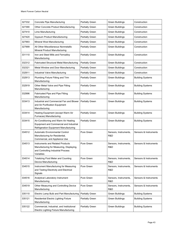| 327332 | Concrete Pipe Manufacturing                                                                                                     | Partially Green        | <b>Green Buildings</b>                                | Construction            |
|--------|---------------------------------------------------------------------------------------------------------------------------------|------------------------|-------------------------------------------------------|-------------------------|
| 327390 | Other Concrete Product Manufacturing                                                                                            | Partially Green        | <b>Green Buildings</b>                                | Construction            |
| 327410 | Lime Manufacturing                                                                                                              | Partially Green        | <b>Green Buildings</b>                                | Construction            |
| 327420 | <b>Gypsum Product Manufacturing</b>                                                                                             | Partially Green        | <b>Green Buildings</b>                                | Construction            |
| 327993 | Mineral Wool Manufacturing                                                                                                      | Partially Green        | <b>Green Buildings</b>                                | Construction            |
| 327999 | All Other Miscellaneous Nonmetallic<br>Mineral Product Manufacturing                                                            | Partially Green        | <b>Green Buildings</b>                                | Construction            |
| 331110 | Iron and Steel Mills and Ferroalloy<br>Manufacturing                                                                            | Partially Green        | <b>Green Buildings</b>                                | Construction            |
| 332312 | <b>Fabricated Structural Metal Manufacturing</b>                                                                                | Partially Green        | <b>Green Buildings</b>                                | Construction            |
| 332321 | Metal Window and Door Manufacturing                                                                                             | Partially Green        | <b>Green Buildings</b>                                | Construction            |
| 332911 | Industrial Valve Manufacturing                                                                                                  | Partially Green        | <b>Green Buildings</b>                                | Construction            |
| 332913 | Plumbing Fixture Fitting and Trim<br>Manufacturing                                                                              | Partially Green        | <b>Green Buildings</b>                                | <b>Building Systems</b> |
| 332919 | Other Metal Valve and Pipe Fitting<br>Manufacturing                                                                             | Partially Green        | <b>Green Buildings</b>                                | <b>Building Systems</b> |
| 332996 | Fabricated Pipe and Pipe Fitting<br>Manufacturing                                                                               | Partially Green        | <b>Green Buildings</b>                                | <b>Building Systems</b> |
| 333413 | Industrial and Commercial Fan and Blower<br>and Air Purification Equipment<br>Manufacturing                                     | Partially Green        | <b>Green Buildings</b>                                | <b>Building Systems</b> |
| 333414 | Heating Equipment (except Warm Air<br>Furnaces) Manufacturing                                                                   | Partially Green        | <b>Green Buildings</b>                                | <b>Building Systems</b> |
| 333415 | Air-Conditioning and Warm Air Heating<br>Equipment and Commercial and Industrial<br>Refrigeration Equipment Manufacturing       | Partially Green        | <b>Green Buildings</b>                                | <b>Building Systems</b> |
| 334512 | <b>Automatic Environmental Control</b><br>Manufacturing for Residential,<br>Commercial, and Appliance Use                       | Pure Green             | Sensors, Instruments,<br>R&D                          | Sensors & Instruments   |
| 334513 | Instruments and Related Products<br>Manufacturing for Measuring, Displaying,<br>and Controlling Industrial Process<br>Variables | Pure Green             | Sensors, Instruments,<br>R&D                          | Sensors & Instruments   |
| 334514 | <b>Totalizing Fluid Meter and Counting</b><br>Device Manufacturing                                                              | Pure Green             | Sensors, Instruments,<br>R&D                          | Sensors & Instruments   |
| 334515 | Instrument Manufacturing for Measuring<br>and Testing Electricity and Electrical<br>Signals                                     | Pure Green             | Sensors & Instruments<br>Sensors, Instruments,<br>R&D |                         |
| 334516 | Analytical Laboratory Instrument<br>Manufacturing                                                                               | Pure Green             | Sensors, Instruments,<br>R&D                          | Sensors & Instruments   |
| 334519 | Other Measuring and Controlling Device<br>Manufacturing                                                                         | Pure Green             | Sensors, Instruments,<br>R&D                          | Sensors & Instruments   |
| 335110 | Electric Lamp Bulb and Part Manufacturing                                                                                       | Partially Green        | <b>Green Buildings</b>                                | <b>Building Systems</b> |
| 335121 | Residential Electric Lighting Fixture<br>Manufacturing                                                                          | Partially Green        | <b>Green Buildings</b>                                | <b>Building Systems</b> |
| 335122 | Commercial, Industrial, and Institutional<br>Electric Lighting Fixture Manufacturing                                            | <b>Partially Green</b> | <b>Green Buildings</b>                                | <b>Building Systems</b> |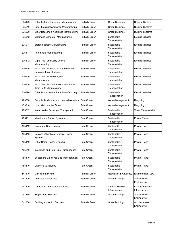| 335129 | Other Lighting Equipment Manufacturing                                    | Partially Green        | <b>Building Systems</b><br><b>Green Buildings</b> |                                            |
|--------|---------------------------------------------------------------------------|------------------------|---------------------------------------------------|--------------------------------------------|
| 335210 | Small Electrical Appliance Manufacturing                                  | Partially Green        | <b>Green Buildings</b>                            | <b>Building Systems</b>                    |
| 335220 | Major Household Appliance Manufacturing                                   | Partially Green        | <b>Green Buildings</b>                            | <b>Building Systems</b>                    |
| 335312 | Motor and Generator Manufacturing                                         | Partially Green        | Sustainable<br>Transportation                     | <b>Electric Vehicles</b>                   |
| 335911 | Storage Battery Manufacturing                                             | <b>Partially Green</b> | Sustainable<br>Transportation                     | Electric Vehicles                          |
| 336111 | Automobile Manufacturing                                                  | Partially Green        | Sustainable<br>Transportation                     | <b>Electric Vehicles</b>                   |
| 336112 | <b>Light Truck and Utility Vehicle</b><br>Manufacturing                   | <b>Partially Green</b> | Sustainable<br>Transportation                     | <b>Electric Vehicles</b>                   |
| 336320 | Motor Vehicle Electrical and Electronic<br><b>Equipment Manufacturing</b> | Partially Green        | Sustainable<br>Transportation                     | <b>Electric Vehicles</b>                   |
| 336340 | Motor Vehicle Brake System<br>Manufacturing                               | Partially Green        | Sustainable<br>Transportation                     | <b>Electric Vehicles</b>                   |
| 336350 | Motor Vehicle Transmission and Power<br>Train Parts Manufacturing         | <b>Partially Green</b> | Sustainable<br>Transportation                     | <b>Electric Vehicles</b>                   |
| 336390 | Other Motor Vehicle Parts Manufacturing                                   | Partially Green        | Sustainable<br>Transportation                     | <b>Electric Vehicles</b>                   |
| 423930 | Recyclable Material Merchant Wholesalers                                  | Pure Green             | Waste Management                                  | Recycling                                  |
| 453310 | <b>Used Merchandise Stores</b>                                            | Pure Green             | Waste Management                                  | Recycling                                  |
| 483212 | Inland Water Passenger Transportation                                     | <b>Pure Green</b>      | Sustainable<br>Transportation                     | <b>Water Transportation</b>                |
| 485111 | Mixed Mode Transit Systems                                                | Pure Green             | Sustainable<br>Transportation                     | <b>Private Transit</b>                     |
| 485112 | <b>Commuter Rail Systems</b>                                              | Pure Green             | Sustainable<br>Transportation                     | <b>Private Transit</b>                     |
| 485113 | Bus and Other Motor Vehicle Transit<br>Systems                            | Pure Green             | Sustainable<br>Transportation                     | <b>Private Transit</b>                     |
| 485119 | Other Urban Transit Systems                                               | Pure Green             | Sustainable<br>Transportation                     | <b>Private Transit</b>                     |
| 485210 | Interurban and Rural Bus Transportation                                   | Pure Green             | Sustainable<br>Transportation                     | Private Transit                            |
| 485410 | School and Employee Bus Transportation                                    | Pure Green             | Sustainable<br>Transportation                     | <b>Private Transit</b>                     |
| 485510 | <b>Charter Bus Industry</b>                                               | Pure Green             | Sustainable<br>Transportation                     | <b>Private Transit</b>                     |
| 541110 | Offices of Lawyers                                                        | Partially Green        | Regulation & Advocacy                             | <b>Environmental Law</b>                   |
| 541310 | <b>Architectural Services</b>                                             | Partially Green        | <b>Green Buildings</b>                            | Architecture &<br>Engineering              |
| 541320 | Landscape Architectural Services                                          | Partially Green        | <b>Climate Resilient</b><br>Infrastructure        | <b>Climate Resilient</b><br>Infrastructure |
| 541330 | <b>Engineering Services</b>                                               | Partially Green        | <b>Green Buildings</b>                            | Architecture &<br>Engineering              |
| 541350 | <b>Building Inspection Services</b>                                       | <b>Partially Green</b> | <b>Green Buildings</b>                            | Architecture &<br>Engineering              |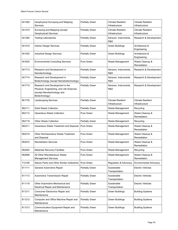| 541360 | Geophysical Surveying and Mapping<br>Services                                                                               | <b>Partially Green</b> | <b>Climate Resilient</b><br>Infrastructure | <b>Climate Resilient</b><br>Infrastructure |
|--------|-----------------------------------------------------------------------------------------------------------------------------|------------------------|--------------------------------------------|--------------------------------------------|
| 541370 | Surveying and Mapping (except<br>Geophysical) Services                                                                      | Partially Green        | <b>Climate Resilient</b><br>Infrastructure | <b>Climate Resilient</b><br>Infrastructure |
| 541380 | <b>Testing Laboratories</b>                                                                                                 | <b>Partially Green</b> | Sensors, Instruments,<br>R&D               | Research & Development                     |
| 541410 | <b>Interior Design Services</b>                                                                                             | Partially Green        | <b>Green Buildings</b>                     | Architecture &<br>Engineering              |
| 541420 | Industrial Design Services                                                                                                  | Partially Green        | <b>Green Buildings</b>                     | Architecture &<br>Engineering              |
| 541620 | <b>Environmental Consulting Services</b>                                                                                    | Pure Green             | Waste Management                           | Waste Cleanup &<br>Remediation             |
| 541713 | Research and Development in<br>Nanotechnology                                                                               | Partially Green        | Sensors, Instruments,<br>R&D               | Research & Development                     |
| 541714 | Research and Development in<br>Biotechnology (except Nanobiotechnology)                                                     | Partially Green        | Sensors, Instruments,<br>R&D               | Research & Development                     |
| 541715 | Research and Development in the<br>Physical, Engineering, and Life Sciences<br>(except Nanotechnology and<br>Biotechnology) | <b>Partially Green</b> | Sensors, Instruments,<br>R&D               | Research & Development                     |
| 561730 | <b>Landscaping Services</b>                                                                                                 | Partially Green        | <b>Climate Resilient</b><br>Infrastructure | <b>Climate Resilient</b><br>Infrastructure |
| 562111 | Solid Waste Collection                                                                                                      | <b>Partially Green</b> | Waste Management                           | Recycling                                  |
| 562112 | <b>Hazardous Waste Collection</b>                                                                                           | Pure Green             | Waste Management                           | Waste Cleanup &<br>Remediation             |
| 562119 | Other Waste Collection                                                                                                      | <b>Partially Green</b> | Waste Management                           | Recycling                                  |
| 562211 | Hazardous Waste Treatment and Disposal                                                                                      | Pure Green             | Waste Management                           | Waste Cleanup &<br>Remediation             |
| 562219 | Other Nonhazardous Waste Treatment<br>and Disposal                                                                          | Pure Green             | Waste Management                           | Waste Cleanup &<br>Remediation             |
| 562910 | <b>Remediation Services</b>                                                                                                 | Pure Green             | Waste Management                           | Waste Cleanup &<br>Remediation             |
| 562920 | <b>Materials Recovery Facilities</b>                                                                                        | Pure Green             | Waste Management                           | Recycling                                  |
| 562998 | All Other Miscellaneous Waste<br><b>Management Services</b>                                                                 | Pure Green             | Waste Management                           | Waste Cleanup &<br>Remediation             |
| 712190 | Nature Parks and Other Similar Institutions                                                                                 | Pure Green             | Regulation & Advocacy                      | <b>Environmental Advocacy</b>              |
| 811111 | General Automotive Repair                                                                                                   | <b>Partially Green</b> | Sustainable<br>Transportation              | <b>Electric Vehicles</b>                   |
| 811113 | Automotive Transmission Repair                                                                                              | <b>Partially Green</b> | Sustainable<br>Transportation              | <b>Electric Vehicles</b>                   |
| 811118 | Other Automotive Mechanical and<br><b>Electrical Repair and Maintenance</b>                                                 | Partially Green        | Sustainable<br>Transportation              | Electric Vehicles                          |
| 811211 | Consumer Electronics Repair and<br>Maintenance                                                                              | <b>Partially Green</b> | Green Buildings                            | <b>Building Systems</b>                    |
| 811212 | Computer and Office Machine Repair and<br>Maintenance                                                                       | Partially Green        | Green Buildings                            | <b>Building Systems</b>                    |
| 811213 | Communication Equipment Repair and<br>Maintenance                                                                           | <b>Partially Green</b> | <b>Green Buildings</b>                     | <b>Building Systems</b>                    |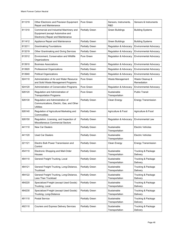| 811219 | Other Electronic and Precision Equipment<br>Repair and Maintenance                                                | Pure Green             | Sensors, Instruments,<br>R&D  | Sensors & Instruments          |
|--------|-------------------------------------------------------------------------------------------------------------------|------------------------|-------------------------------|--------------------------------|
| 811310 | Commercial and Industrial Machinery and<br>Equipment (except Automotive and<br>Electronic) Repair and Maintenance | <b>Partially Green</b> | <b>Green Buildings</b>        | <b>Building Systems</b>        |
| 811412 | Appliance Repair and Maintenance                                                                                  | <b>Partially Green</b> | <b>Green Buildings</b>        | <b>Building Systems</b>        |
| 813211 | <b>Grantmaking Foundations</b>                                                                                    | <b>Partially Green</b> | Regulation & Advocacy         | Environmental Advocacy         |
| 813219 | Other Grantmaking and Giving Services                                                                             | Partially Green        | Regulation & Advocacy         | <b>Environmental Advocacy</b>  |
| 813312 | Environment, Conservation and Wildlife<br>Organizations                                                           | <b>Pure Green</b>      | Regulation & Advocacy         | <b>Environmental Advocacy</b>  |
| 813910 | <b>Business Associations</b>                                                                                      | Partially Green        | Regulation & Advocacy         | <b>Environmental Advocacy</b>  |
| 813920 | Professional Organizations                                                                                        | <b>Partially Green</b> | Regulation & Advocacy         | <b>Environmental Advocacy</b>  |
| 813940 | <b>Political Organizations</b>                                                                                    | <b>Partially Green</b> | Regulation & Advocacy         | <b>Environmental Advocacy</b>  |
| 924110 | Administration of Air and Water Resource<br>and Solid Waste Management Programs                                   | Pure Green             | Waste Management              | Waste Cleanup &<br>Remediation |
| 924120 | Administration of Conservation Programs                                                                           | Pure Green             | Regulation & Advocacy         | <b>Environmental Advocacy</b>  |
| 926120 | Regulation and Administration of<br><b>Transportation Programs</b>                                                | Pure Green             | Sustainable<br>Transportation | <b>Public Transit</b>          |
| 926130 | Regulation and Administration of<br>Communications, Electric, Gas, and Other<br><b>Utilities</b>                  | <b>Partially Green</b> | Clean Energy                  | <b>Energy Transmission</b>     |
| 926140 | Regulation of Agricultural Marketing and<br>Commodities                                                           | <b>Partially Green</b> | Agriculture & Food            | Agriculture & Food             |
| 926150 | Regulation, Licensing, and Inspection of<br>Miscellaneous Commercial Sectors                                      | <b>Partially Green</b> | Regulation & Advocacy         | Environmental Law              |
| 441110 | <b>New Car Dealers</b>                                                                                            | <b>Partially Green</b> | Sustainable<br>Transportation | <b>Electric Vehicles</b>       |
| 441120 | <b>Used Car Dealers</b>                                                                                           | <b>Partially Green</b> | Sustainable<br>Transportation | <b>Electric Vehicles</b>       |
| 221121 | Electric Bulk Power Transmission and<br>Control                                                                   | <b>Partially Green</b> | Clean Energy                  | <b>Energy Transmission</b>     |
| 454110 | Electronic Shopping and Mail-Order<br>Houses                                                                      | Partially Green        | Sustainable<br>Transportation | Trucking & Package<br>Delivery |
| 484110 | General Freight Trucking, Local                                                                                   | Partially Green        | Sustainable<br>Transportation | Trucking & Package<br>Delivery |
| 484121 | General Freight Trucking, Long-Distance,<br>Truckload                                                             | Partially Green        | Sustainable<br>Transportation | Trucking & Package<br>Delivery |
| 484122 | General Freight Trucking, Long-Distance,<br>Less Than Truckload                                                   | <b>Partially Green</b> | Sustainable<br>Transportation | Trucking & Package<br>Delivery |
| 484220 | Specialized Freight (except Used Goods)<br>Trucking, Local                                                        | Partially Green        | Sustainable<br>Transportation | Trucking & Package<br>Delivery |
| 484230 | Specialized Freight (except Used Goods)<br>Trucking, Long-Distance                                                | Partially Green        | Sustainable<br>Transportation | Trucking & Package<br>Delivery |
| 491110 | <b>Postal Service</b>                                                                                             | <b>Partially Green</b> | Sustainable<br>Transportation | Trucking & Package<br>Delivery |
| 492110 | Couriers and Express Delivery Services                                                                            | Partially Green        | Sustainable<br>Transportation | Trucking & Package<br>Delivery |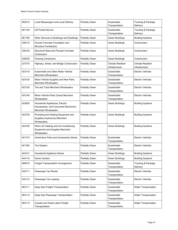| 492210 | Local Messengers and Local Delivery                                                                   | <b>Partially Green</b> | Sustainable<br>Transportation                             | Trucking & Package<br>Delivery             |
|--------|-------------------------------------------------------------------------------------------------------|------------------------|-----------------------------------------------------------|--------------------------------------------|
| 901149 | <b>US Postal Service</b>                                                                              | <b>Partially Green</b> | Sustainable<br>Transportation                             | Trucking & Package<br>Delivery             |
| 561790 | Other Services to Buildings and Dwellings                                                             | <b>Partially Green</b> | <b>Green Buildings</b>                                    | <b>Building Systems</b>                    |
| 238110 | Poured Concrete Foundation and<br><b>Structure Contractors</b>                                        | Partially Green        | <b>Green Buildings</b>                                    | Construction                               |
| 238120 | <b>Structural Steel and Precast Concrete</b><br>Contractors                                           | <b>Partially Green</b> | <b>Green Buildings</b>                                    | Construction                               |
| 238330 | <b>Flooring Contractors</b>                                                                           | <b>Partially Green</b> | <b>Green Buildings</b>                                    | Construction                               |
| 237310 | Highway, Street, and Bridge Construction                                                              | Partially Green        | <b>Climate Resilient</b><br>Infrastructure                | <b>Climate Resilient</b><br>Infrastructure |
| 423110 | Automobile and Other Motor Vehicle<br><b>Merchant Wholesalers</b>                                     | Partially Green        | Sustainable<br>Transportation                             | Electric Vehicles                          |
| 423120 | Motor Vehicle Supplies and New Parts<br><b>Merchant Wholesalers</b>                                   | <b>Partially Green</b> | Sustainable<br>Transportation                             | <b>Electric Vehicles</b>                   |
| 423130 | Tire and Tube Merchant Wholesalers                                                                    | Partially Green        | Sustainable<br>Transportation                             | <b>Electric Vehicles</b>                   |
| 423140 | Motor Vehicle Parts (Used) Merchant<br>Wholesalers                                                    | <b>Partially Green</b> | Sustainable<br>Transportation                             | Electric Vehicles                          |
| 423620 | Household Appliances, Electric<br>Housewares, and Consumer Electronics<br><b>Merchant Wholesalers</b> | <b>Partially Green</b> | <b>Green Buildings</b>                                    | <b>Building Systems</b>                    |
| 423720 | Plumbing and Heating Equipment and<br>Supplies (Hydronics) Merchant<br>Wholesalers                    | <b>Partially Green</b> | <b>Green Buildings</b>                                    | <b>Building Systems</b>                    |
| 423730 | Warm Air Heating and Air-Conditioning<br><b>Equipment and Supplies Merchant</b><br>Wholesalers        | <b>Partially Green</b> | <b>Green Buildings</b>                                    | <b>Building Systems</b>                    |
| 441310 | <b>Automotive Parts and Accessories Stores</b>                                                        | Partially Green        | Sustainable<br><b>Electric Vehicles</b><br>Transportation |                                            |
| 441320 | <b>Tire Dealers</b>                                                                                   | <b>Partially Green</b> | Sustainable<br>Transportation                             | <b>Electric Vehicles</b>                   |
| 443141 | Household Appliance Stores                                                                            | Partially Green        | Green Buildings                                           | <b>Building Systems</b>                    |
| 444110 | <b>Home Centers</b>                                                                                   | Partially Green        | <b>Green Buildings</b>                                    | <b>Building Systems</b>                    |
| 488510 | Freight Transportation Arrangement                                                                    | Partially Green        | Sustainable<br>Transportation                             | Trucking & Package<br>Delivery             |
| 532111 | Passenger Car Rental                                                                                  | <b>Partially Green</b> | Sustainable<br>Transportation                             | <b>Electric Vehicles</b>                   |
| 532112 | Passenger Car Leasing                                                                                 | Partially Green        | Sustainable<br>Transportation                             | <b>Electric Vehicles</b>                   |
| 483111 | Deep Sea Freight Transportation                                                                       | Partially Green        | Sustainable<br>Transportation                             | <b>Water Transportation</b>                |
| 483112 | Deep Sea Passenger Transportation                                                                     | Partially Green        | Sustainable<br>Transportation                             | <b>Water Transportation</b>                |
| 483113 | Coastal and Great Lakes Freight<br>Transportation                                                     | Partially Green        | Sustainable<br>Transportation                             | Water Transportation                       |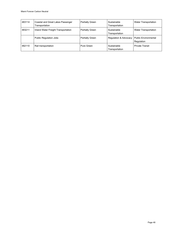| 483114 | Coastal and Great Lakes Passenger<br>Transportation | <b>Partially Green</b> | Sustainable<br>Transportation                | <b>Water Transportation</b> |
|--------|-----------------------------------------------------|------------------------|----------------------------------------------|-----------------------------|
| 483211 | Inland Water Freight Transportation                 | <b>Partially Green</b> | Sustainable<br>Transportation                | <b>Water Transportation</b> |
|        | <b>Public Regulation Jobs</b>                       | Partially Green        | Regulation & Advocacy   Public Environmental | Regulation                  |
| 482110 | Rail transportation                                 | Pure Green             | Sustainable<br>Transportation                | <b>Private Transit</b>      |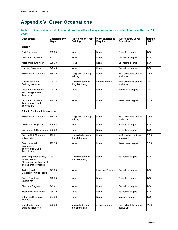# **Appendix V: Green Occupations**

#### <span id="page-48-0"></span>**Table 13. Green enhanced skill occupations that offer a living wage and are expected to grow in the next 10 years**

| Occupation                                                                                     | <b>Median Hourly</b><br>Wage | Typical On-the-Job-<br>Training       | <b>Work Experience</b><br>Required | <b>Typical Entry Level</b><br><b>Education</b> | <b>Middle</b><br>Skill? |  |  |  |  |
|------------------------------------------------------------------------------------------------|------------------------------|---------------------------------------|------------------------------------|------------------------------------------------|-------------------------|--|--|--|--|
| Energy                                                                                         |                              |                                       |                                    |                                                |                         |  |  |  |  |
| <b>Civil Engineers</b>                                                                         | \$39.00                      | None                                  | None                               | Bachelor's degree                              | <b>NO</b>               |  |  |  |  |
| <b>Electrical Engineers</b>                                                                    | \$43.31                      | None                                  | None                               | Bachelor's degree                              | NO.                     |  |  |  |  |
| <b>Mechanical Engineers</b>                                                                    | \$38.78                      | None                                  | None                               | Bachelor's degree                              | NO.                     |  |  |  |  |
| <b>Nuclear Engineers</b>                                                                       | \$48.46                      | None                                  | None                               | Bachelor's degree                              | <b>NO</b>               |  |  |  |  |
| <b>Power Plant Operators</b>                                                                   | \$34.75                      | Long-term on-the-job<br>training      | None                               | High school diploma or<br>equivalent           | <b>YES</b>              |  |  |  |  |
| Construction and<br><b>Building Inspectors</b>                                                 | \$29.38                      | Moderate-term on-<br>the-job training | 5 years or more                    | High school diploma or<br>equivalent           | <b>YES</b>              |  |  |  |  |
| Industrial Engineering<br>Technologists and<br>Technicians                                     | \$26.20                      | None                                  | None                               | Associate's degree                             | <b>YES</b>              |  |  |  |  |
| Industrial Engineering<br>Technologists and<br>Technicians                                     | \$26.20                      | None                                  | None                               | Associate's degree                             | <b>YES</b>              |  |  |  |  |
| <b>Climate Resilient Infrastructure</b>                                                        |                              |                                       |                                    |                                                |                         |  |  |  |  |
| <b>Power Plant Operators</b>                                                                   | \$34.75                      | Long-term on-the-job<br>training      | None                               | High school diploma or<br>equivalent           | <b>YES</b>              |  |  |  |  |
| Aerospace Engineers                                                                            | \$46.62                      | None                                  | None                               | Bachelor's degree                              | NO.                     |  |  |  |  |
| Environmental Engineers                                                                        | \$33.60                      | None                                  | None                               | Bachelor's degree                              | NO.                     |  |  |  |  |
| Service Unit Operators,<br>Oil and Gas                                                         | \$20.82                      | Moderate-term on-<br>the-job training | None                               | No formal educational<br>credential            | <b>YES</b>              |  |  |  |  |
| Environmental<br>Engineering<br>Technologists and<br>Technicians                               | \$25.25                      | None                                  | None                               | Associate's degree                             | <b>YES</b>              |  |  |  |  |
| Sales Representatives,<br>Wholesale and<br>Manufacturing, Technical<br>and Scientific Products | \$30.27                      | Moderate-term on-<br>the-job training | None                               | Bachelor's degree                              | NO.                     |  |  |  |  |
| Training and<br><b>Development Specialists</b>                                                 | \$27.28                      | None                                  | Less than 5 years                  | Bachelor's degree                              | <b>NO</b>               |  |  |  |  |
| <b>Public Relations</b><br><b>Specialists</b>                                                  | \$26.75                      | None                                  | None                               | Bachelor's degree                              | <b>NO</b>               |  |  |  |  |
| <b>Electrical Engineers</b>                                                                    | \$43.41                      | None                                  | None                               | Bachelor's degree                              | NO.                     |  |  |  |  |
| <b>Mechanical Engineers</b>                                                                    | \$38.79                      | None                                  | None                               | Bachelor's degree                              | NO.                     |  |  |  |  |
| Urban and Regional<br>Planners                                                                 | \$37.33                      | None                                  | None                               | Master's degree                                | NO.                     |  |  |  |  |
| Construction and<br><b>Building Inspectors</b>                                                 | \$29.38                      | Moderate-term on-<br>the-job training | 5 years or more                    | High school diploma or<br>equivalent           | YES                     |  |  |  |  |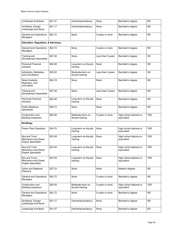| Landscape Architects                                                             | \$31.47 | Internship/residency                  | None              | Bachelor's degree                    | <b>NO</b>  |
|----------------------------------------------------------------------------------|---------|---------------------------------------|-------------------|--------------------------------------|------------|
| Architects, Except<br>Landscape and Naval                                        | \$31.17 | Internship/residency                  | None              | Bachelor's degree                    | <b>NO</b>  |
| General and Operations<br>Managers                                               | \$42.72 | None                                  | 5 years or more   | Bachelor's degree                    | NO.        |
| <b>Education, Regulation, &amp; Advocacy</b>                                     |         |                                       |                   |                                      |            |
| General and Operations<br>Managers                                               | \$42.72 | None                                  | 5 years or more   | Bachelor's degree                    | NO         |
| Training and<br><b>Development Specialists</b>                                   | \$27.28 | None                                  | Less than 5 years | Bachelor's degree                    | NO         |
| <b>Personal Financial</b><br>Advisors                                            | \$48.48 | Long-term on-the-job<br>training      | None              | Bachelor's degree                    | NO         |
| Arbitrators, Mediators,<br>and Conciliators                                      | \$25.83 | Moderate-term on-<br>the-job training | Less than 5 years | Bachelor's degree                    | NO.        |
| News Analysts,<br>Reporters, and<br>Journalists                                  | \$24.19 | None                                  | None              | Bachelor's degree                    | NO         |
| Training and<br><b>Development Specialists</b>                                   | \$27.28 | None                                  | Less than 5 years | Bachelor's degree                    | <b>NO</b>  |
| <b>Personal Financial</b><br>Advisors                                            | \$40.48 | Long-term on-the-job<br>training      | None              | Bachelor's degree                    | <b>NO</b>  |
| <b>Public Relations</b><br>Specialists                                           | \$26.75 | None                                  | None              | Bachelor's degree                    | NO.        |
| Construction and<br><b>Building Inspectors</b>                                   | \$29.38 | Moderate-term on-<br>the-job training | 5 years or more   | High school diploma or<br>equivalent | <b>YES</b> |
| <b>Buildings</b>                                                                 |         |                                       |                   |                                      |            |
| <b>Power Plant Operators</b>                                                     | \$34.75 | Long-term on-the-job<br>training      | None              | High school diploma or<br>equivalent | <b>YES</b> |
| <b>Bus and Truck</b><br><b>Mechanics and Diesel</b><br><b>Engine Specialists</b> | \$23.49 | Long-term on-the-job<br>training      | None              | High school diploma or<br>equivalent | <b>YES</b> |
| <b>Bus and Truck</b><br>Mechanics and Diesel<br><b>Engine Specialists</b>        | \$23.49 | Long-term on-the-job<br>training      | None              | High school diploma or<br>equivalent | <b>YES</b> |
| <b>Bus and Truck</b><br><b>Mechanics and Diesel</b><br><b>Engine Specialists</b> | \$23.49 | Long-term on-the-job<br>training      | None              | High school diploma or<br>equivalent | <b>YES</b> |
| Urban and Regional<br>Planners                                                   | \$37.33 | None                                  | None              | Master's degree                      | NO         |
| <b>General and Operations</b><br>Managers                                        | \$42.72 | None                                  | 5 years or more   | Bachelor's degree                    | NO.        |
| Construction and<br><b>Building Inspectors</b>                                   | \$29.38 | Moderate-term on-<br>the-job training | 5 years or more   | High school diploma or<br>equivalent | <b>YES</b> |
| General and Operations<br>Managers                                               | \$42.72 | None                                  | 5 years or more   | Bachelor's degree                    | NO.        |
| Architects, Except<br>Landscape and Naval                                        | \$31.17 | Internship/residency                  | None              | Bachelor's degree                    | NO         |
| Landscape Architects                                                             | \$31.47 | Internship/residency                  | None              | Bachelor's degree                    | NO.        |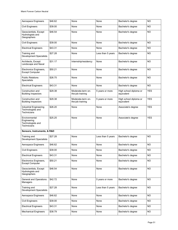| Aerospace Engineers                                               | \$46.62 | None                                  | None              | Bachelor's degree                    | <b>NO</b>  |
|-------------------------------------------------------------------|---------|---------------------------------------|-------------------|--------------------------------------|------------|
| Civil Engineers                                                   | \$39.00 | None                                  | None              | Bachelor's degree                    | NO         |
| Geoscientists, Except<br>Hydrologists and<br>Geographers          | \$46.54 | None                                  | None              | Bachelor's degree                    | NO.        |
| Civil Engineers                                                   | \$39.00 | None                                  | None              | Bachelor's degree                    | NO.        |
| <b>Electrical Engineers</b>                                       | \$43.31 | None                                  | None              | Bachelor's degree                    | NO         |
| Training and<br><b>Development Specialists</b>                    | \$27.28 | None                                  | Less than 5 years | Bachelor's degree                    | NO.        |
| Architects, Except<br>Landscape and Naval                         | \$31.17 | Internship/residency                  | None              | Bachelor's degree                    | NO         |
| Electronics Engineers,<br><b>Except Computer</b>                  | \$50.21 | None                                  | None              | Bachelor's degree                    | <b>NO</b>  |
| <b>Public Relations</b><br><b>Specialists</b>                     | \$26.75 | None                                  | None              | Bachelor's degree                    | NO.        |
| <b>Electrical Engineers</b>                                       | \$43.31 | None                                  | None              | Bachelor's degree                    | NO.        |
| Construction and<br><b>Building Inspectors</b>                    | \$29.38 | Moderate-term on-<br>the-job training | 5 years or more   | High school diploma or<br>equivalent | <b>YES</b> |
| Construction and<br><b>Building Inspectors</b>                    | \$29.38 | Moderate-term on-<br>the-job training | 5 years or more   | High school diploma or<br>equivalent | <b>YES</b> |
| <b>Industrial Engineering</b><br>Technologists and<br>Technicians | \$26.20 | None                                  | None              | Associate's degree                   | <b>YES</b> |
| Environmental<br>Engineering<br>Technologists and<br>Technicians  | \$25.25 | None                                  | None              | Associate's degree                   | <b>YES</b> |
| Sensors, Instruments, & R&D                                       |         |                                       |                   |                                      |            |
| Training and<br>Development Specialists                           | \$27.28 | None                                  | Less than 5 years | Bachelor's degree                    | <b>NO</b>  |
| Aerospace Engineers                                               | \$46.62 | None                                  | None              | Bachelor's degree                    | NO         |
| Civil Engineers                                                   | \$39.00 | None                                  | None              | Bachelor's degree                    | <b>NO</b>  |
| <b>Electrical Engineers</b>                                       | \$43.31 | None                                  | None              | Bachelor's degree                    | NO.        |
| Electronics Engineers,<br><b>Except Computer</b>                  | \$50.21 | None                                  | None              | Bachelor's degree                    | NO.        |
| Geoscientists, Except<br>Hydrologists and<br>Geographers          | \$46.54 | None                                  | None              | Bachelor's degree                    | NO.        |
| <b>General and Operations</b><br>Managers                         | \$42.72 | None                                  | 5 years or more   | Bachelor's degree                    | NO.        |
| Training and<br><b>Development Specialists</b>                    | \$27.28 | None                                  | Less than 5 years | Bachelor's degree                    | NO.        |
| Aerospace Engineers                                               | \$46.62 | None                                  | None              | Bachelor's degree                    | NO.        |
| Civil Engineers                                                   | \$39.00 | None                                  | None              | Bachelor's degree                    | NO.        |
| <b>Electrical Engineers</b>                                       | \$43.31 | None                                  | None              | Bachelor's degree                    | NO.        |
| <b>Mechanical Engineers</b>                                       | \$38.79 | None                                  | None              | Bachelor's degree                    | NO         |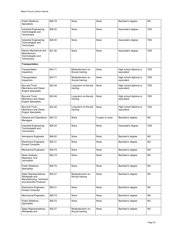| <b>Public Relations</b><br>Specialists                                                         | \$26.79 | None                                  | None            | Bachelor's degree                    | <b>NO</b>  |
|------------------------------------------------------------------------------------------------|---------|---------------------------------------|-----------------|--------------------------------------|------------|
| <b>Industrial Engineering</b><br>Technologists and<br><b>Technicians</b>                       | \$26.20 | None                                  | None            | Associate's degree                   | <b>YES</b> |
| <b>Industrial Engineering</b><br>Technologists and<br><b>Technicians</b>                       | \$26.20 | None                                  | None            | Associate's degree                   | <b>YES</b> |
| Electro-Mechanical and<br>Mechatronics<br>Technologists and<br>Technicians                     | \$21.00 | None                                  | None            | Associate's degree                   | <b>YES</b> |
| <b>Transportation</b>                                                                          |         |                                       |                 |                                      |            |
| Transportation<br>Inspectors                                                                   | \$43.71 | Moderate-term on-<br>the-job training | None            | High school diploma or<br>equivalent | <b>YES</b> |
| Transportation<br>Inspectors                                                                   | \$43.71 | Moderate-term on-<br>the-job training | None            | High school diploma or<br>equivalent | <b>YES</b> |
| <b>Bus and Truck</b><br><b>Mechanics and Diesel</b><br><b>Engine Specialists</b>               | \$23.49 | Long-term on-the-job<br>training      | None            | High school diploma or<br>equivalent | <b>YES</b> |
| <b>Bus and Truck</b><br>Mechanics and Diesel<br><b>Engine Specialists</b>                      | \$23.49 | Long-term on-the-job<br>training      | None            | High school diploma or<br>equivalent | <b>YES</b> |
| <b>Bus and Truck</b><br><b>Mechanics and Diesel</b><br><b>Engine Specialists</b>               | \$23.49 | Long-term on-the-job<br>training      | None            | High school diploma or<br>equivalent | <b>YES</b> |
| <b>General and Operations</b><br>Managers                                                      | \$42.72 | None                                  | 5 years or more | Bachelor's degree                    | <b>NO</b>  |
| Industrial Engineering<br>Technologists and<br>Technicians                                     | \$26.20 | None                                  | None            | Associate's degree                   | <b>YES</b> |
| Aerospace Engineers                                                                            | \$46.62 | None                                  | None            | Bachelor's degree                    | NO.        |
| Electronics Engineers,<br><b>Except Computer</b>                                               | \$50.21 | None                                  | None            | Bachelor's degree                    | <b>NO</b>  |
| <b>Mechanical Engineers</b>                                                                    | \$38.79 | None                                  | None            | Bachelor's degree                    | <b>NO</b>  |
| News Analysts,<br>Reporters, and<br>Journalists                                                | \$24.19 | None                                  | None            | Bachelor's degree                    | <b>NO</b>  |
| <b>Public Relations</b><br><b>Specialists</b>                                                  | \$26.79 | None                                  | None            | Bachelor's degree                    | <b>NO</b>  |
| Sales Representatives,<br>Wholesale and<br>Manufacturing, Technical<br>and Scientific Products | \$30.27 | Moderate-term on-<br>the-job training | None            | Bachelor's degree                    | <b>NO</b>  |
| Electronics Engineers,<br><b>Except Computer</b>                                               | \$50.21 | None                                  | None            | Bachelor's degree                    | <b>NO</b>  |
| <b>Mechanical Engineers</b>                                                                    | \$28.79 | None                                  | None            | Bachelor's degree                    | NO.        |
| <b>Public Relations</b><br><b>Specialists</b>                                                  | \$26.75 | None                                  | None            | Bachelor's degree                    | NO.        |
| Sales Representatives,<br>Wholesale and                                                        | \$30.27 | Moderate-term on-<br>the-job training | None            | Bachelor's degree                    | <b>NO</b>  |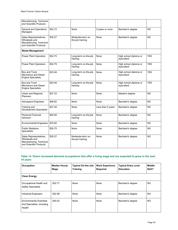| Manufacturing, Technical<br>and Scientific Products                                            |         |                                       |                   |                                      |            |
|------------------------------------------------------------------------------------------------|---------|---------------------------------------|-------------------|--------------------------------------|------------|
| <b>General and Operations</b><br>Managers                                                      | \$42.72 | None                                  | 5 years or more   | Bachelor's degree                    | <b>NO</b>  |
| Sales Representatives,<br>Wholesale and<br>Manufacturing, Technical<br>and Scientific Products | \$30.27 | Moderate-term on-<br>the-job training | None              | Bachelor's degree                    | NO.        |
| <b>Waste Management</b>                                                                        |         |                                       |                   |                                      |            |
| <b>Power Plant Operators</b>                                                                   | \$34.75 | Long-term on-the-job<br>training      | None              | High school diploma or<br>equivalent | <b>YES</b> |
| Power Plant Operators                                                                          | \$34.79 | Long-term on-the-job<br>training      | None              | High school diploma or<br>equivalent | <b>YES</b> |
| <b>Bus and Truck</b><br><b>Mechanics and Diesel</b><br><b>Engine Specialists</b>               | \$23.49 | Long-term on-the-job<br>training      | None              | High school diploma or<br>equivalent | <b>YES</b> |
| <b>Bus and Truck</b><br>Mechanics and Diesel<br><b>Engine Specialists</b>                      | \$23.49 | Long-term on-the-job<br>training      | None              | High school diploma or<br>equivalent | <b>YES</b> |
| Urban and Regional<br>Planners                                                                 | \$37.33 | None                                  | None              | Master's degree                      | NO.        |
| Aerospace Engineers                                                                            | \$46.62 | None                                  | None              | Bachelor's degree                    | NO.        |
| Training and<br><b>Development Specialists</b>                                                 | \$27.28 | None                                  | Less than 5 years | Bachelor's degree                    | <b>NO</b>  |
| <b>Personal Financial</b><br>Advisors                                                          | \$40.48 | Long-term on-the-job<br>training      | None              | Bachelor's degree                    | <b>NO</b>  |
| <b>Environmental Engineers</b>                                                                 | \$33.60 | None                                  | None              | Bachelor's degree                    | NO.        |
| <b>Public Relations</b><br><b>Specialists</b>                                                  | \$26.75 | None                                  | None              | Bachelor's degree                    | NO.        |
| Sales Representatives,<br>Wholesale and<br>Manufacturing, Technical<br>and Scientific Products | \$30.27 | Moderate-term on-<br>the-job training | None              | Bachelor's degree                    | NO.        |

#### <span id="page-52-0"></span>**Table 14. Green increased demand occupations that offer a living wage and are expected to grow in the next 10 years**

| Occupation                                                              | <b>Median Hourly</b><br>Wage | Typical On-the-Job-<br><b>Training</b> | <b>Work Experience</b><br><b>Required</b> | <b>Typical Entry Level</b><br><b>Education</b> | Middle<br>Skill? |  |  |  |  |
|-------------------------------------------------------------------------|------------------------------|----------------------------------------|-------------------------------------------|------------------------------------------------|------------------|--|--|--|--|
| <b>Clean Energy</b>                                                     |                              |                                        |                                           |                                                |                  |  |  |  |  |
| Occupational Health and<br><b>Safety Specialists</b>                    | \$32.77                      | None                                   | None                                      | Bachelor's degree                              | <b>NO</b>        |  |  |  |  |
| <b>Industrial Engineers</b>                                             | \$32.99                      | None                                   | None                                      | Bachelor's degree                              | NO.              |  |  |  |  |
| <b>Environmental Scientists</b><br>and Specialists, Including<br>Health | \$30.03                      | None                                   | None                                      | Bachelor's degree                              | NO.              |  |  |  |  |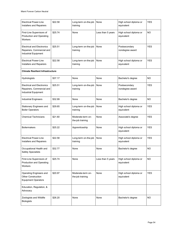| <b>Electrical Power-Line</b><br>Installers and Repairers                               | \$22.58 | Long-term on-the-job<br>training      | None              | High school diploma or<br>equivalent | <b>YES</b> |
|----------------------------------------------------------------------------------------|---------|---------------------------------------|-------------------|--------------------------------------|------------|
| First-Line Supervisors of<br>Production and Operating<br>Workers                       | \$25.74 | None                                  | Less than 5 years | High school diploma or<br>equivalent | NO.        |
| <b>Electrical and Electronics</b><br>Repairers, Commercial and<br>Industrial Equipment | \$25.51 | Long-term on-the-job<br>training      | None              | Postsecondary<br>nondegree award     | <b>YES</b> |
| <b>Electrical Power-Line</b><br>Installers and Repairers                               | \$22.58 | Long-term on-the-job<br>training      | None              | High school diploma or<br>equivalent | <b>YES</b> |
| <b>Climate Resilient Infrastructure</b>                                                |         |                                       |                   |                                      |            |
| Hydrologists                                                                           | \$37.17 | None                                  | None              | Bachelor's degree                    | NO.        |
| <b>Electrical and Electronics</b><br>Repairers, Commercial and<br>Industrial Equipment | \$25.51 | Long-term on-the-job<br>training      | None              | Postsecondary<br>nondegree award     | <b>YES</b> |
| <b>Industrial Engineers</b>                                                            | \$32.99 | None                                  | None              | Bachelor's degree                    | NO.        |
| Stationary Engineers and<br><b>Boiler Operators</b>                                    | \$29.65 | Long-term on-the-job<br>training      | None              | High school diploma or<br>equivalent | <b>YES</b> |
| <b>Chemical Technicians</b>                                                            | \$21.60 | Moderate-term on-<br>the-job training | None              | Associate's degree                   | YES        |
| <b>Boilermakers</b>                                                                    | \$25.22 | Apprenticeship                        | None              | High school diploma or<br>equivalent | <b>YES</b> |
| <b>Electrical Power-Line</b><br>Installers and Repairers                               | \$22.58 | Long-term on-the-job<br>training      | None              | High school diploma or<br>equivalent | <b>YES</b> |
| Occupational Health and<br><b>Safety Specialists</b>                                   | \$32.77 | None                                  | None              | Bachelor's degree                    | <b>NO</b>  |
| First-Line Supervisors of<br><b>Production and Operating</b><br>Workers                | \$25.74 | None                                  | Less than 5 years | High school diploma or<br>equivalent | <b>NO</b>  |
| Operating Engineers and<br><b>Other Construction</b><br><b>Equipment Operators</b>     | \$20.97 | Moderate-term on-<br>the-job training | None              | High school diploma or<br>equivalent | <b>YES</b> |
| Education, Regulation, &<br>Advocacy                                                   |         |                                       |                   |                                      |            |
| Zoologists and Wildlife<br><b>Biologists</b>                                           | \$26.20 | None                                  | None              | Bachelor's degree                    | <b>NO</b>  |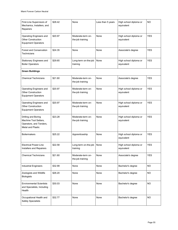| First-Line Supervisors of<br>Mechanics, Installers, and<br>Repairers                                | \$28.42 | None                                  | Less than 5 years | High school diploma or<br>equivalent | <b>NO</b>  |
|-----------------------------------------------------------------------------------------------------|---------|---------------------------------------|-------------------|--------------------------------------|------------|
| Operating Engineers and<br><b>Other Construction</b><br><b>Equipment Operators</b>                  | \$20.97 | Moderate-term on-<br>the-job training | None              | High school diploma or<br>equivalent | <b>YES</b> |
| Forest and Conservation<br>Technicians                                                              | \$24.35 | None                                  | None              | Associate's degree                   | <b>YES</b> |
| Stationary Engineers and<br><b>Boiler Operators</b>                                                 | \$29.65 | Long-term on-the-job<br>training      | None              | High school diploma or<br>equivalent | <b>YES</b> |
| <b>Green Buildings</b>                                                                              |         |                                       |                   |                                      |            |
| <b>Chemical Technicians</b>                                                                         | \$21.60 | Moderate-term on-<br>the-job training | None              | Associate's degree                   | YES.       |
| Operating Engineers and<br><b>Other Construction</b><br><b>Equipment Operators</b>                  | \$20.97 | Moderate-term on-<br>the-job training | None              | High school diploma or<br>equivalent | <b>YES</b> |
| Operating Engineers and<br><b>Other Construction</b><br><b>Equipment Operators</b>                  | \$20.97 | Moderate-term on-<br>the-job training | None              | High school diploma or<br>equivalent | <b>YES</b> |
| Drilling and Boring<br>Machine Tool Setters,<br>Operators, and Tenders,<br><b>Metal and Plastic</b> | \$23.28 | Moderate-term on-<br>the-job training | None              | High school diploma or<br>equivalent | <b>YES</b> |
| <b>Boilermakers</b>                                                                                 | \$25.22 | Apprenticeship                        | None              | High school diploma or<br>equivalent | <b>YES</b> |
| <b>Electrical Power-Line</b><br>Installers and Repairers                                            | \$22.58 | Long-term on-the-job<br>training      | None              | High school diploma or<br>equivalent | <b>YES</b> |
| <b>Chemical Technicians</b>                                                                         | \$21.60 | Moderate-term on-<br>the-job training | None              | Associate's degree                   | <b>YES</b> |
| <b>Industrial Engineers</b>                                                                         | \$32.99 | None                                  | None              | Bachelor's degree                    | <b>NO</b>  |
| Zoologists and Wildlife<br><b>Biologists</b>                                                        | \$26.20 | None                                  | None              | Bachelor's degree                    | <b>NO</b>  |
| <b>Environmental Scientists</b><br>and Specialists, Including<br>Health                             | \$30.03 | None                                  | None              | Bachelor's degree                    | <b>NO</b>  |
| Occupational Health and<br><b>Safety Specialists</b>                                                | \$32.77 | None                                  | None              | Bachelor's degree                    | <b>NO</b>  |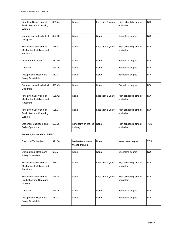| First-Line Supervisors of<br><b>Production and Operating</b><br>Workers | \$25.74 | None                                  | Less than 5 years | High school diploma or<br>equivalent | NO.        |
|-------------------------------------------------------------------------|---------|---------------------------------------|-------------------|--------------------------------------|------------|
| Commercial and Industrial<br>Designers                                  | \$26.43 | None                                  | None              | Bachelor's degree                    | NO.        |
| First-Line Supervisors of<br>Mechanics, Installers, and<br>Repairers    | \$28.42 | None                                  | Less than 5 years | High school diploma or<br>equivalent | NO.        |
| <b>Industrial Engineers</b>                                             | \$32.99 | None                                  | None              | Bachelor's degree                    | NO.        |
| Chemists                                                                | \$29.26 | None                                  | None              | Bachelor's degree                    | NO.        |
| Occupational Health and<br><b>Safety Specialists</b>                    | \$32.77 | None                                  | None              | Bachelor's degree                    | NO.        |
| Commercial and Industrial<br>Designers                                  | \$26.43 | None                                  | None              | Bachelor's degree                    | NO.        |
| First-Line Supervisors of<br>Mechanics, Installers, and<br>Repairers    | \$28.42 | None                                  | Less than 5 years | High school diploma or<br>equivalent | NO.        |
| First-Line Supervisors of<br><b>Production and Operating</b><br>Workers | \$25.74 | None                                  | Less than 5 years | High school diploma or<br>equivalent | <b>NO</b>  |
| Stationary Engineers and<br><b>Boiler Operators</b>                     | \$29.65 | Long-term on-the-job<br>training      | None              | High school diploma or<br>equivalent | <b>YES</b> |
| Sensors, Instruments, & R&D                                             |         |                                       |                   |                                      |            |
| <b>Chemical Technicians</b>                                             | \$21.60 | Moderate-term on-<br>the-job training | None              | Associate's degree                   | <b>YES</b> |
| Occupational Health and<br><b>Safety Specialists</b>                    | \$32.77 | None                                  | None              | Bachelor's degree                    | <b>NO</b>  |
| First-Line Supervisors of<br>Mechanics, Installers, and<br>Repairers    | \$28.42 | None                                  | Less than 5 years | High school diploma or<br>equivalent | <b>NO</b>  |
| First-Line Supervisors of<br><b>Production and Operating</b><br>Workers | \$25.74 | None                                  | Less than 5 years | High school diploma or<br>equivalent | <b>NO</b>  |
| Chemists                                                                | \$29.26 | None                                  | None              | Bachelor's degree                    | NO.        |
| Occupational Health and<br><b>Safety Specialists</b>                    | \$32.77 | None                                  | None              | Bachelor's degree                    | <b>NO</b>  |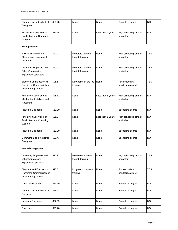| Commercial and Industrial<br>Designers                                                        | \$26.43 | None                                  | None              | Bachelor's degree                    | <b>NO</b>  |
|-----------------------------------------------------------------------------------------------|---------|---------------------------------------|-------------------|--------------------------------------|------------|
| First-Line Supervisors of<br><b>Production and Operating</b><br>Workers                       | \$25.74 | None                                  | Less than 5 years | High school diploma or<br>equivalent | <b>NO</b>  |
| Transportation                                                                                |         |                                       |                   |                                      |            |
| Rail-Track Laying and<br>Maintenance Equipment<br>Operators                                   | \$22.07 | Moderate-term on-<br>the-job training | None              | High school diploma or<br>equivalent | <b>YES</b> |
| Operating Engineers and<br><b>Other Construction</b><br><b>Equipment Operators</b>            | \$20.97 | Moderate-term on-<br>the-job training | None              | High school diploma or<br>equivalent | <b>YES</b> |
| <b>Electrical and Electronics</b><br>Repairers, Commercial and<br><b>Industrial Equipment</b> | \$25.51 | Long-term on-the-job<br>training      | None              | Postsecondary<br>nondegree award     | <b>YES</b> |
| First-Line Supervisors of<br>Mechanics, Installers, and<br>Repairers                          | \$28.42 | None                                  | Less than 5 years | High school diploma or<br>equivalent | NO.        |
| <b>Industrial Engineers</b>                                                                   | \$32.99 | None                                  | None              | Bachelor's degree                    | NO         |
| First-Line Supervisors of<br><b>Production and Operating</b><br>Workers                       | \$25.74 | None                                  | Less than 5 years | High school diploma or<br>equivalent | <b>NO</b>  |
| <b>Industrial Engineers</b>                                                                   | \$32.99 | None                                  | None              | Bachelor's degree                    | <b>NO</b>  |
| Commercial and Industrial<br>Designers                                                        | \$26.43 | None                                  | None              | Bachelor's degree                    | NO         |
| <b>Waste Management</b>                                                                       |         |                                       |                   |                                      |            |
| Operating Engineers and<br><b>Other Construction</b><br><b>Equipment Operators</b>            | \$20.97 | Moderate-term on-<br>the-job training | None              | High school diploma or<br>equivalent | <b>YES</b> |
| <b>Electrical and Electronics</b><br>Repairers, Commercial and<br><b>Industrial Equipment</b> | \$25.51 | Long-term on-the-job<br>training      | None              | Postsecondary<br>nondegree award     | <b>YES</b> |
| <b>Chemical Engineers</b>                                                                     | \$45.30 | None                                  | None              | Bachelor's degree                    | <b>NO</b>  |
| Commercial and Industrial<br>Designers                                                        | \$26.43 | None                                  | None              | Bachelor's degree                    | <b>NO</b>  |
| <b>Industrial Engineers</b>                                                                   | \$32.99 | None                                  | None              | Bachelor's degree                    | <b>NO</b>  |
| Chemists                                                                                      | \$29.26 | None                                  | None              | Bachelor's degree                    | NO.        |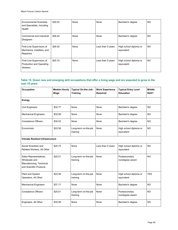| <b>Environmental Scientists</b><br>and Specialists, Including<br>Health | \$30.03 | None | None              | Bachelor's degree                    | NO        |
|-------------------------------------------------------------------------|---------|------|-------------------|--------------------------------------|-----------|
| Commercial and Industrial<br>Designers                                  | \$26.43 | None | None              | Bachelor's degree                    | NO        |
| First-Line Supervisors of<br>Mechanics, Installers, and<br>Repairers    | \$28.42 | None | Less than 5 years | High school diploma or<br>equivalent | <b>NO</b> |
| First-Line Supervisors of<br><b>Production and Operating</b><br>Workers | \$25.74 | None | Less than 5 years | High school diploma or<br>equivalent | <b>NO</b> |

#### <span id="page-57-0"></span>**Table 15. Green new and emerging skill occupations that offer a living wage and are expected to grow in the next 10 years**

| Occupation                                                                                     | <b>Median Hourly</b><br>Wage | Typical On-the-Job-<br><b>Training</b> | <b>Work Experience</b><br><b>Required</b> | <b>Typical Entry Level</b><br><b>Education</b> | <b>Middle</b><br>Skill? |
|------------------------------------------------------------------------------------------------|------------------------------|----------------------------------------|-------------------------------------------|------------------------------------------------|-------------------------|
| <b>Energy</b>                                                                                  |                              |                                        |                                           |                                                |                         |
| <b>Civil Engineers</b>                                                                         | \$32.77                      | None                                   | None                                      | Bachelor's degree                              | <b>NO</b>               |
| <b>Mechanical Engineers</b>                                                                    | \$32.99                      | None                                   | None                                      | Bachelor's degree                              | <b>NO</b>               |
| <b>Compliance Officers</b>                                                                     | \$30.03                      | None                                   | None                                      | Bachelor's degree                              | <b>NO</b>               |
| Economists                                                                                     | \$22.58                      | Long-term on-the-job<br>training       | None                                      | High school diploma or<br>equivalent           | <b>NO</b>               |
| <b>Climate Resilient Infrastructure</b>                                                        |                              |                                        |                                           |                                                |                         |
| Social Scientists and<br>Related Workers, All Other                                            | \$25.74                      | None                                   | Less than 5 years                         | High school diploma or<br>equivalent           | <b>NO</b>               |
| Sales Representatives,<br>Wholesale and<br>Manufacturing, Technical<br>and Scientific Products | \$25.51                      | Long-term on-the-job<br>training       | None                                      | Postsecondary<br>nondegree award               | <b>NO</b>               |
| Plant and System<br>Operators, All Other                                                       | \$22.58                      | Long-term on-the-job<br>training       | None                                      | High school diploma or<br>equivalent           | <b>YES</b>              |
| <b>Mechanical Engineers</b>                                                                    | \$37.17                      | None                                   | None                                      | Bachelor's degree                              | <b>NO</b>               |
| <b>Compliance Officers</b>                                                                     | \$25.51                      | Long-term on-the-job<br>training       | None                                      | Postsecondary<br>nondegree award               | <b>NO</b>               |
| Engineers, All Other                                                                           | \$32.99                      | None                                   | None                                      | Bachelor's degree                              | <b>NO</b>               |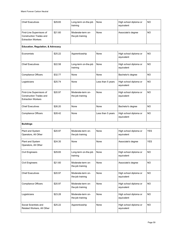| <b>Chief Executives</b>                                                                  | \$29.65 | Long-term on-the-job<br>training      | None              | High school diploma or<br>equivalent | NO         |
|------------------------------------------------------------------------------------------|---------|---------------------------------------|-------------------|--------------------------------------|------------|
| First-Line Supervisors of<br><b>Construction Trades and</b><br><b>Extraction Workers</b> | \$21.60 | Moderate-term on-<br>the-job training | None              | Associate's degree                   | <b>NO</b>  |
| <b>Education, Regulation, &amp; Advocacy</b>                                             |         |                                       |                   |                                      |            |
| Economists                                                                               | \$25.22 | Apprenticeship                        | None              | High school diploma or<br>equivalent | <b>NO</b>  |
| <b>Chief Executives</b>                                                                  | \$22.58 | Long-term on-the-job<br>training      | None              | High school diploma or<br>equivalent | <b>NO</b>  |
| <b>Compliance Officers</b>                                                               | \$32.77 | None                                  | None              | Bachelor's degree                    | <b>NO</b>  |
| Logisticians                                                                             | \$25.74 | None                                  | Less than 5 years | High school diploma or<br>equivalent | <b>NO</b>  |
| First-Line Supervisors of<br><b>Construction Trades and</b><br><b>Extraction Workers</b> | \$20.97 | Moderate-term on-<br>the-job training | None              | High school diploma or<br>equivalent | <b>NO</b>  |
| <b>Chief Executives</b>                                                                  | \$26.20 | None                                  | None              | Bachelor's degree                    | <b>NO</b>  |
| <b>Compliance Officers</b>                                                               | \$28.42 | None                                  | Less than 5 years | High school diploma or<br>equivalent | <b>NO</b>  |
| <b>Buildings</b>                                                                         |         |                                       |                   |                                      |            |
| Plant and System<br>Operators, All Other                                                 | \$20.97 | Moderate-term on-<br>the-job training | None              | High school diploma or<br>equivalent | <b>YES</b> |
| Plant and System<br>Operators, All Other                                                 | \$24.35 | None                                  | None              | Associate's degree                   | <b>YES</b> |
| <b>Civil Engineers</b>                                                                   | \$29.65 | Long-term on-the-job<br>training      | None              | High school diploma or<br>equivalent | <b>NO</b>  |
| <b>Civil Engineers</b>                                                                   | \$21.60 | Moderate-term on-<br>the-job training | None              | Associate's degree                   | <b>NO</b>  |
| <b>Chief Executives</b>                                                                  | \$20.97 | Moderate-term on-<br>the-job training | None              | High school diploma or<br>equivalent | <b>NO</b>  |
| <b>Compliance Officers</b>                                                               | \$20.97 | Moderate-term on-<br>the-job training | None              | High school diploma or<br>equivalent | <b>NO</b>  |
| Logisticians                                                                             | \$23.28 | Moderate-term on-<br>the-job training | None              | High school diploma or<br>equivalent | <b>NO</b>  |
| Social Scientists and<br>Related Workers, All Other                                      | \$25.22 | Apprenticeship                        | None              | High school diploma or<br>equivalent | <b>NO</b>  |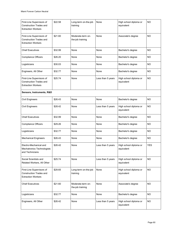| First-Line Supervisors of<br><b>Construction Trades and</b><br><b>Extraction Workers</b> | \$22.58 | Long-term on-the-job<br>training      | None              | High school diploma or<br>equivalent | <b>NO</b>  |  |  |
|------------------------------------------------------------------------------------------|---------|---------------------------------------|-------------------|--------------------------------------|------------|--|--|
| First-Line Supervisors of<br><b>Construction Trades and</b><br><b>Extraction Workers</b> | \$21.60 | Moderate-term on-<br>the-job training | None              | Associate's degree                   | <b>NO</b>  |  |  |
| <b>Chief Executives</b>                                                                  | \$32.99 | None                                  | None              | Bachelor's degree                    | <b>NO</b>  |  |  |
| <b>Compliance Officers</b>                                                               | \$26.20 | None                                  | None              | Bachelor's degree                    | <b>NO</b>  |  |  |
| Logisticians                                                                             | \$30.03 | None                                  | None              | Bachelor's degree                    | NO.        |  |  |
| Engineers, All Other                                                                     | \$32.77 | None                                  | None              | Bachelor's degree                    | <b>NO</b>  |  |  |
| First-Line Supervisors of<br><b>Construction Trades and</b><br><b>Extraction Workers</b> | \$25.74 | None                                  | Less than 5 years | High school diploma or<br>equivalent | <b>NO</b>  |  |  |
| Sensors, Instruments, R&D                                                                |         |                                       |                   |                                      |            |  |  |
| <b>Civil Engineers</b>                                                                   | \$26.43 | None                                  | None              | Bachelor's degree                    | <b>NO</b>  |  |  |
| <b>Civil Engineers</b>                                                                   | \$28.42 | None                                  | Less than 5 years | High school diploma or<br>equivalent | NO.        |  |  |
| <b>Chief Executives</b>                                                                  | \$32.99 | None                                  | None              | Bachelor's degree                    | NO.        |  |  |
| <b>Compliance Officers</b>                                                               | \$29.26 | None                                  | None              | Bachelor's degree                    | <b>NO</b>  |  |  |
| Logisticians                                                                             | \$32.77 | None                                  | None              | Bachelor's degree                    | <b>NO</b>  |  |  |
| <b>Mechanical Engineers</b>                                                              | \$26.43 | None                                  | None              | Bachelor's degree                    | <b>NO</b>  |  |  |
| Electro-Mechanical and<br>Mechatronics Technologists<br>and Technicians                  | \$28.42 | None                                  | Less than 5 years | High school diploma or<br>equivalent | <b>YES</b> |  |  |
| Social Scientists and<br>Related Workers, All Other                                      | \$25.74 | None                                  | Less than 5 years | High school diploma or<br>equivalent | <b>NO</b>  |  |  |
| First-Line Supervisors of<br>Construction Trades and<br><b>Extraction Workers</b>        | \$29.65 | Long-term on-the-job<br>training      | None              | High school diploma or<br>equivalent | <b>NO</b>  |  |  |
| <b>Chief Executives</b>                                                                  | \$21.60 | Moderate-term on-<br>the-job training | None              | Associate's degree                   | <b>NO</b>  |  |  |
| Logisticians                                                                             | \$32.77 | None                                  | None              | Bachelor's degree                    | <b>NO</b>  |  |  |
| Engineers, All Other                                                                     | \$28.42 | None                                  | Less than 5 years | High school diploma or<br>equivalent | <b>NO</b>  |  |  |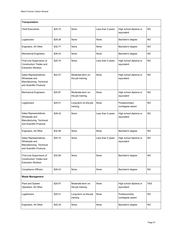| <b>Transportation</b>                                                                          |         |                                       |                   |                                      |            |  |  |
|------------------------------------------------------------------------------------------------|---------|---------------------------------------|-------------------|--------------------------------------|------------|--|--|
| <b>Chief Executives</b>                                                                        | \$25.74 | None                                  | Less than 5 years | High school diploma or<br>equivalent | <b>NO</b>  |  |  |
| Logisticians                                                                                   | \$29.26 | None                                  | None              | Bachelor's degree                    | NO         |  |  |
| Engineers, All Other                                                                           | \$32.77 | None                                  | None              | Bachelor's degree                    | ΝO         |  |  |
| <b>Mechanical Engineers</b>                                                                    | \$26.43 | None                                  | None              | Bachelor's degree                    | NO         |  |  |
| First-Line Supervisors of<br><b>Construction Trades and</b><br><b>Extraction Workers</b>       | \$25.74 | None                                  | Less than 5 years | High school diploma or<br>equivalent | <b>NO</b>  |  |  |
| Sales Representatives,<br>Wholesale and<br>Manufacturing, Technical<br>and Scientific Products | \$22.07 | Moderate-term on-<br>the-job training | None              | High school diploma or<br>equivalent | <b>NO</b>  |  |  |
| <b>Mechanical Engineers</b>                                                                    | \$20.97 | Moderate-term on-<br>the-job training | None              | High school diploma or<br>equivalent | <b>NO</b>  |  |  |
| Logisticians                                                                                   | \$25.51 | Long-term on-the-job<br>training      | None              | Postsecondary<br>nondegree award     | NO.        |  |  |
| Sales Representatives,<br>Wholesale and<br>Manufacturing, Technical<br>and Scientific Products | \$28.42 | None                                  | Less than 5 years | High school diploma or<br>equivalent | NO         |  |  |
| Engineers, All Other                                                                           | \$32.99 | None                                  | None              | Bachelor's degree                    | <b>NO</b>  |  |  |
| Sales Representatives,<br>Wholesale and<br>Manufacturing, Technical<br>and Scientific Products | \$25.74 | None                                  | Less than 5 years | High school diploma or<br>equivalent | <b>NO</b>  |  |  |
| First-Line Supervisors of<br><b>Construction Trades and</b><br><b>Extraction Workers</b>       | \$32.99 | None                                  | None              | Bachelor's degree                    | NO.        |  |  |
| <b>Compliance Officers</b>                                                                     | \$26.43 | None                                  | None              | Bachelor's degree                    | NO.        |  |  |
| <b>Waste Management</b>                                                                        |         |                                       |                   |                                      |            |  |  |
| Plant and System<br>Operators, All Other                                                       | \$20.97 | Moderate-term on-<br>the-job training | None              | High school diploma or<br>equivalent | <b>YES</b> |  |  |
| Logisticians                                                                                   | \$25.51 | Long-term on-the-job<br>training      | None              | Postsecondary<br>nondegree award     | <b>NO</b>  |  |  |
| Engineers, All Other                                                                           | \$45.30 | None                                  | None              | Bachelor's degree                    | NO.        |  |  |